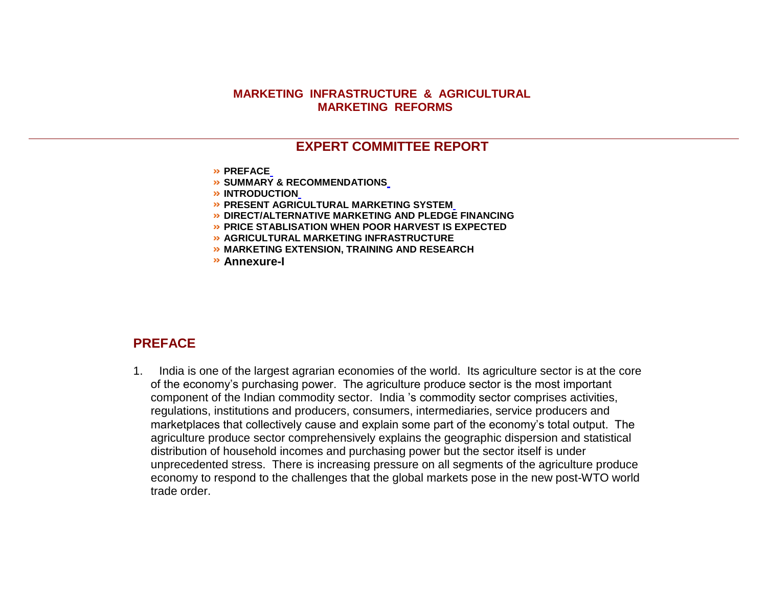#### **MARKETING INFRASTRUCTURE & AGRICULTURAL MARKETING REFORMS**

## **EXPERT COMMITTEE REPORT**

- **PREFAC[E](http://agmarknet.nic.in/amrscheme/expcommrepmark.htm#PREFACE%20%C2%A0)**
- **SUMMARY & RECOMMENDATION[S](http://agmarknet.nic.in/amrscheme/expcommrepmark.htm#SUMMARY%20&%20RECOMMENDATIONS%20%C2%A0%20%C2%A0)**
- **INTRODUCTIO[N](http://agmarknet.nic.in/amrscheme/expcommrepmark.htm#INTRODUCTION)**
- **PRESENT AGRICULTURAL MARKETING SYSTE[M](http://agmarknet.nic.in/amrscheme/expcommrepmark.htm#PRESENT%20AGRICULTURAL%20MARKETING%20SYSTEM)**
- $\rightarrow$  **DIRECT/ALTERNATIVE MARKETING AND PLEDGE FINANCING**
- **PRICE STABLISATION WHEN POOR HARVEST IS EXPECTED**
- **AGRICULTURAL MARKETING INFRASTRUCTURE**
- **MARKETING EXTENSION, TRAINING AND RESEARCH**
- **Annexure-I**

### **PREFACE**

1. India is one of the largest agrarian economies of the world. Its agriculture sector is at the core of the economy's purchasing power. The agriculture produce sector is the most important component of the Indian commodity sector. India 's commodity sector comprises activities, regulations, institutions and producers, consumers, intermediaries, service producers and marketplaces that collectively cause and explain some part of the economy's total output. The agriculture produce sector comprehensively explains the geographic dispersion and statistical distribution of household incomes and purchasing power but the sector itself is under unprecedented stress. There is increasing pressure on all segments of the agriculture produce economy to respond to the challenges that the global markets pose in the new post-WTO world trade order.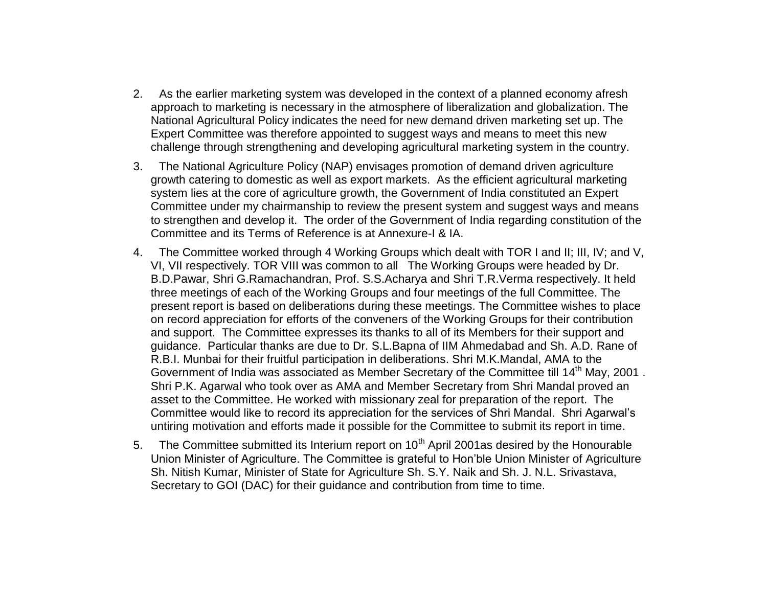- 2. As the earlier marketing system was developed in the context of a planned economy afresh approach to marketing is necessary in the atmosphere of liberalization and globalization. The National Agricultural Policy indicates the need for new demand driven marketing set up. The Expert Committee was therefore appointed to suggest ways and means to meet this new challenge through strengthening and developing agricultural marketing system in the country.
- 3. The National Agriculture Policy (NAP) envisages promotion of demand driven agriculture growth catering to domestic as well as export markets. As the efficient agricultural marketing system lies at the core of agriculture growth, the Government of India constituted an Expert Committee under my chairmanship to review the present system and suggest ways and means to strengthen and develop it. The order of the Government of India regarding constitution of the Committee and its Terms of Reference is at Annexure-I & IA.
- 4. The Committee worked through 4 Working Groups which dealt with TOR I and II; III, IV; and V, VI, VII respectively. TOR VIII was common to all The Working Groups were headed by Dr. B.D.Pawar, Shri G.Ramachandran, Prof. S.S.Acharya and Shri T.R.Verma respectively. It held three meetings of each of the Working Groups and four meetings of the full Committee. The present report is based on deliberations during these meetings. The Committee wishes to place on record appreciation for efforts of the conveners of the Working Groups for their contribution and support. The Committee expresses its thanks to all of its Members for their support and guidance. Particular thanks are due to Dr. S.L.Bapna of IIM Ahmedabad and Sh. A.D. Rane of R.B.I. Munbai for their fruitful participation in deliberations. Shri M.K.Mandal, AMA to the Government of India was associated as Member Secretary of the Committee till 14<sup>th</sup> May, 2001. Shri P.K. Agarwal who took over as AMA and Member Secretary from Shri Mandal proved an asset to the Committee. He worked with missionary zeal for preparation of the report. The Committee would like to record its appreciation for the services of Shri Mandal. Shri Agarwal's untiring motivation and efforts made it possible for the Committee to submit its report in time.
- 5. The Committee submitted its Interium report on  $10<sup>th</sup>$  April 2001as desired by the Honourable Union Minister of Agriculture. The Committee is grateful to Hon'ble Union Minister of Agriculture Sh. Nitish Kumar, Minister of State for Agriculture Sh. S.Y. Naik and Sh. J. N.L. Srivastava, Secretary to GOI (DAC) for their guidance and contribution from time to time.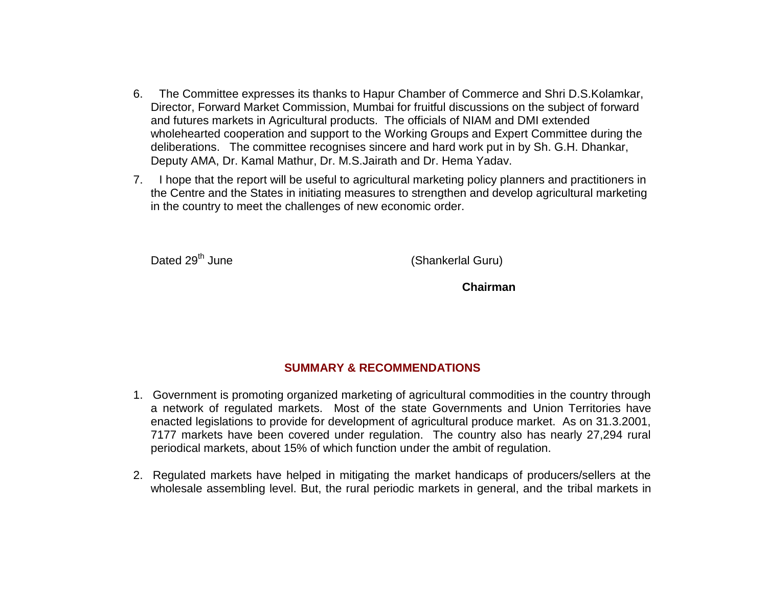- 6. The Committee expresses its thanks to Hapur Chamber of Commerce and Shri D.S.Kolamkar, Director, Forward Market Commission, Mumbai for fruitful discussions on the subject of forward and futures markets in Agricultural products. The officials of NIAM and DMI extended wholehearted cooperation and support to the Working Groups and Expert Committee during the deliberations. The committee recognises sincere and hard work put in by Sh. G.H. Dhankar, Deputy AMA, Dr. Kamal Mathur, Dr. M.S.Jairath and Dr. Hema Yadav.
- 7. I hope that the report will be useful to agricultural marketing policy planners and practitioners in the Centre and the States in initiating measures to strengthen and develop agricultural marketing in the country to meet the challenges of new economic order.

Dated 29<sup>th</sup> June (Shankerlal Guru)

 **Chairman**

# **SUMMARY & RECOMMENDATIONS**

- 1. Government is promoting organized marketing of agricultural commodities in the country through a network of regulated markets. Most of the state Governments and Union Territories have enacted legislations to provide for development of agricultural produce market. As on 31.3.2001, 7177 markets have been covered under regulation. The country also has nearly 27,294 rural periodical markets, about 15% of which function under the ambit of regulation.
- 2. Regulated markets have helped in mitigating the market handicaps of producers/sellers at the wholesale assembling level. But, the rural periodic markets in general, and the tribal markets in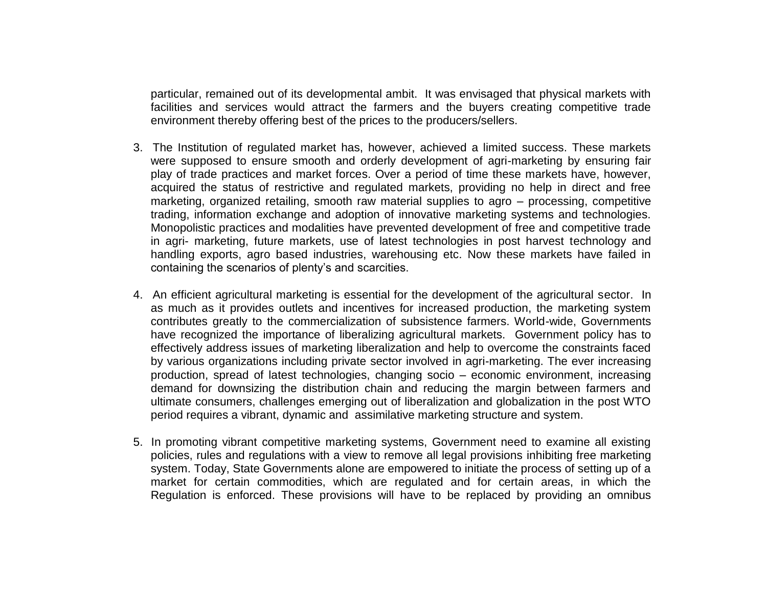particular, remained out of its developmental ambit. It was envisaged that physical markets with facilities and services would attract the farmers and the buyers creating competitive trade environment thereby offering best of the prices to the producers/sellers.

- 3. The Institution of regulated market has, however, achieved a limited success. These markets were supposed to ensure smooth and orderly development of agri-marketing by ensuring fair play of trade practices and market forces. Over a period of time these markets have, however, acquired the status of restrictive and regulated markets, providing no help in direct and free marketing, organized retailing, smooth raw material supplies to agro – processing, competitive trading, information exchange and adoption of innovative marketing systems and technologies. Monopolistic practices and modalities have prevented development of free and competitive trade in agri- marketing, future markets, use of latest technologies in post harvest technology and handling exports, agro based industries, warehousing etc. Now these markets have failed in containing the scenarios of plenty's and scarcities.
- 4. An efficient agricultural marketing is essential for the development of the agricultural sector. In as much as it provides outlets and incentives for increased production, the marketing system contributes greatly to the commercialization of subsistence farmers. World-wide, Governments have recognized the importance of liberalizing agricultural markets. Government policy has to effectively address issues of marketing liberalization and help to overcome the constraints faced by various organizations including private sector involved in agri-marketing. The ever increasing production, spread of latest technologies, changing socio – economic environment, increasing demand for downsizing the distribution chain and reducing the margin between farmers and ultimate consumers, challenges emerging out of liberalization and globalization in the post WTO period requires a vibrant, dynamic and assimilative marketing structure and system.
- 5. In promoting vibrant competitive marketing systems, Government need to examine all existing policies, rules and regulations with a view to remove all legal provisions inhibiting free marketing system. Today, State Governments alone are empowered to initiate the process of setting up of a market for certain commodities, which are regulated and for certain areas, in which the Regulation is enforced. These provisions will have to be replaced by providing an omnibus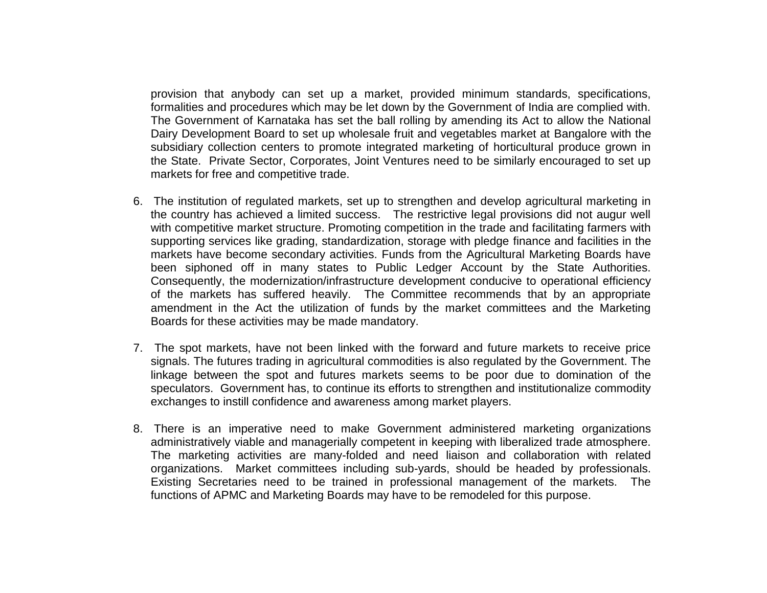provision that anybody can set up a market, provided minimum standards, specifications, formalities and procedures which may be let down by the Government of India are complied with. The Government of Karnataka has set the ball rolling by amending its Act to allow the National Dairy Development Board to set up wholesale fruit and vegetables market at Bangalore with the subsidiary collection centers to promote integrated marketing of horticultural produce grown in the State. Private Sector, Corporates, Joint Ventures need to be similarly encouraged to set up markets for free and competitive trade.

- 6. The institution of regulated markets, set up to strengthen and develop agricultural marketing in the country has achieved a limited success. The restrictive legal provisions did not augur well with competitive market structure. Promoting competition in the trade and facilitating farmers with supporting services like grading, standardization, storage with pledge finance and facilities in the markets have become secondary activities. Funds from the Agricultural Marketing Boards have been siphoned off in many states to Public Ledger Account by the State Authorities. Consequently, the modernization/infrastructure development conducive to operational efficiency of the markets has suffered heavily. The Committee recommends that by an appropriate amendment in the Act the utilization of funds by the market committees and the Marketing Boards for these activities may be made mandatory.
- 7. The spot markets, have not been linked with the forward and future markets to receive price signals. The futures trading in agricultural commodities is also regulated by the Government. The linkage between the spot and futures markets seems to be poor due to domination of the speculators. Government has, to continue its efforts to strengthen and institutionalize commodity exchanges to instill confidence and awareness among market players.
- 8. There is an imperative need to make Government administered marketing organizations administratively viable and managerially competent in keeping with liberalized trade atmosphere. The marketing activities are many-folded and need liaison and collaboration with related organizations. Market committees including sub-yards, should be headed by professionals. Existing Secretaries need to be trained in professional management of the markets. The functions of APMC and Marketing Boards may have to be remodeled for this purpose.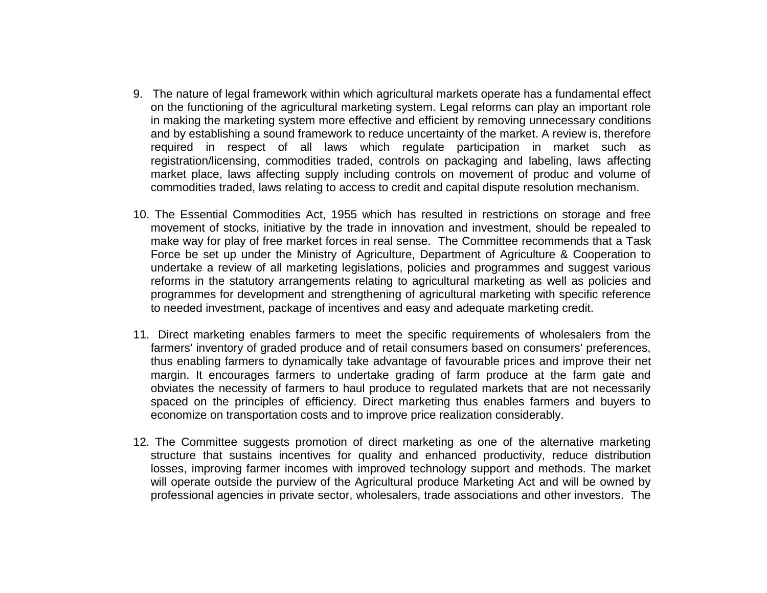- 9. The nature of legal framework within which agricultural markets operate has a fundamental effect on the functioning of the agricultural marketing system. Legal reforms can play an important role in making the marketing system more effective and efficient by removing unnecessary conditions and by establishing a sound framework to reduce uncertainty of the market. A review is, therefore required in respect of all laws which regulate participation in market such as registration/licensing, commodities traded, controls on packaging and labeling, laws affecting market place, laws affecting supply including controls on movement of produc and volume of commodities traded, laws relating to access to credit and capital dispute resolution mechanism.
- 10. The Essential Commodities Act, 1955 which has resulted in restrictions on storage and free movement of stocks, initiative by the trade in innovation and investment, should be repealed to make way for play of free market forces in real sense. The Committee recommends that a Task Force be set up under the Ministry of Agriculture, Department of Agriculture & Cooperation to undertake a review of all marketing legislations, policies and programmes and suggest various reforms in the statutory arrangements relating to agricultural marketing as well as policies and programmes for development and strengthening of agricultural marketing with specific reference to needed investment, package of incentives and easy and adequate marketing credit.
- 11. Direct marketing enables farmers to meet the specific requirements of wholesalers from the farmers' inventory of graded produce and of retail consumers based on consumers' preferences, thus enabling farmers to dynamically take advantage of favourable prices and improve their net margin. It encourages farmers to undertake grading of farm produce at the farm gate and obviates the necessity of farmers to haul produce to regulated markets that are not necessarily spaced on the principles of efficiency. Direct marketing thus enables farmers and buyers to economize on transportation costs and to improve price realization considerably.
- 12. The Committee suggests promotion of direct marketing as one of the alternative marketing structure that sustains incentives for quality and enhanced productivity, reduce distribution losses, improving farmer incomes with improved technology support and methods. The market will operate outside the purview of the Agricultural produce Marketing Act and will be owned by professional agencies in private sector, wholesalers, trade associations and other investors. The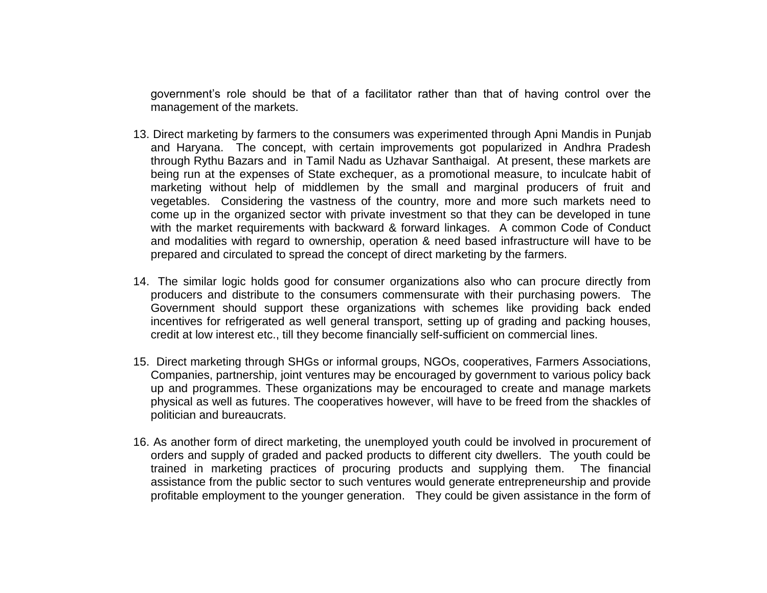government's role should be that of a facilitator rather than that of having control over the management of the markets.

- 13. Direct marketing by farmers to the consumers was experimented through Apni Mandis in Punjab and Haryana. The concept, with certain improvements got popularized in Andhra Pradesh through Rythu Bazars and in Tamil Nadu as Uzhavar Santhaigal. At present, these markets are being run at the expenses of State exchequer, as a promotional measure, to inculcate habit of marketing without help of middlemen by the small and marginal producers of fruit and vegetables. Considering the vastness of the country, more and more such markets need to come up in the organized sector with private investment so that they can be developed in tune with the market requirements with backward & forward linkages. A common Code of Conduct and modalities with regard to ownership, operation & need based infrastructure will have to be prepared and circulated to spread the concept of direct marketing by the farmers.
- 14. The similar logic holds good for consumer organizations also who can procure directly from producers and distribute to the consumers commensurate with their purchasing powers. The Government should support these organizations with schemes like providing back ended incentives for refrigerated as well general transport, setting up of grading and packing houses, credit at low interest etc., till they become financially self-sufficient on commercial lines.
- 15. Direct marketing through SHGs or informal groups, NGOs, cooperatives, Farmers Associations, Companies, partnership, joint ventures may be encouraged by government to various policy back up and programmes. These organizations may be encouraged to create and manage markets physical as well as futures. The cooperatives however, will have to be freed from the shackles of politician and bureaucrats.
- 16. As another form of direct marketing, the unemployed youth could be involved in procurement of orders and supply of graded and packed products to different city dwellers. The youth could be trained in marketing practices of procuring products and supplying them. The financial assistance from the public sector to such ventures would generate entrepreneurship and provide profitable employment to the younger generation. They could be given assistance in the form of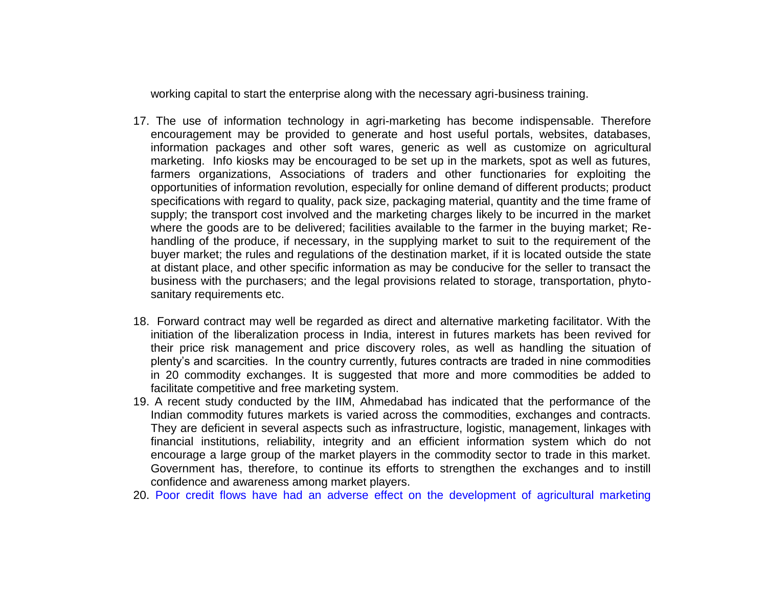working capital to start the enterprise along with the necessary agri-business training.

- 17. The use of information technology in agri-marketing has become indispensable. Therefore encouragement may be provided to generate and host useful portals, websites, databases, information packages and other soft wares, generic as well as customize on agricultural marketing. Info kiosks may be encouraged to be set up in the markets, spot as well as futures, farmers organizations, Associations of traders and other functionaries for exploiting the opportunities of information revolution, especially for online demand of different products; product specifications with regard to quality, pack size, packaging material, quantity and the time frame of supply; the transport cost involved and the marketing charges likely to be incurred in the market where the goods are to be delivered; facilities available to the farmer in the buying market; Rehandling of the produce, if necessary, in the supplying market to suit to the requirement of the buyer market; the rules and regulations of the destination market, if it is located outside the state at distant place, and other specific information as may be conducive for the seller to transact the business with the purchasers; and the legal provisions related to storage, transportation, phytosanitary requirements etc.
- 18. Forward contract may well be regarded as direct and alternative marketing facilitator. With the initiation of the liberalization process in India, interest in futures markets has been revived for their price risk management and price discovery roles, as well as handling the situation of plenty's and scarcities. In the country currently, futures contracts are traded in nine commodities in 20 commodity exchanges. It is suggested that more and more commodities be added to facilitate competitive and free marketing system.
- 19. A recent study conducted by the IIM, Ahmedabad has indicated that the performance of the Indian commodity futures markets is varied across the commodities, exchanges and contracts. They are deficient in several aspects such as infrastructure, logistic, management, linkages with financial institutions, reliability, integrity and an efficient information system which do not encourage a large group of the market players in the commodity sector to trade in this market. Government has, therefore, to continue its efforts to strengthen the exchanges and to instill confidence and awareness among market players.
- 20. Poor credit flows have had an adverse effect on the development of agricultural marketing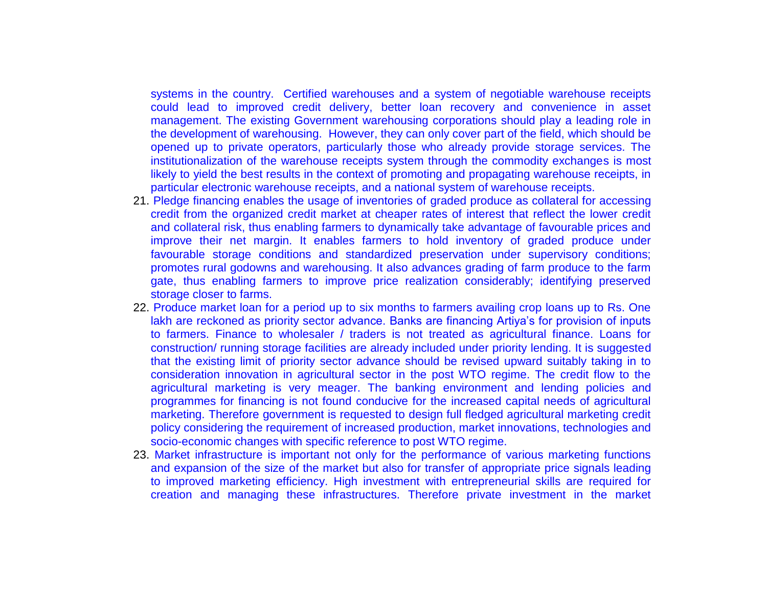systems in the country. Certified warehouses and a system of negotiable warehouse receipts could lead to improved credit delivery, better loan recovery and convenience in asset management. The existing Government warehousing corporations should play a leading role in the development of warehousing. However, they can only cover part of the field, which should be opened up to private operators, particularly those who already provide storage services. The institutionalization of the warehouse receipts system through the commodity exchanges is most likely to yield the best results in the context of promoting and propagating warehouse receipts, in particular electronic warehouse receipts, and a national system of warehouse receipts.

- 21. Pledge financing enables the usage of inventories of graded produce as collateral for accessing credit from the organized credit market at cheaper rates of interest that reflect the lower credit and collateral risk, thus enabling farmers to dynamically take advantage of favourable prices and improve their net margin. It enables farmers to hold inventory of graded produce under favourable storage conditions and standardized preservation under supervisory conditions; promotes rural godowns and warehousing. It also advances grading of farm produce to the farm gate, thus enabling farmers to improve price realization considerably; identifying preserved storage closer to farms.
- 22. Produce market loan for a period up to six months to farmers availing crop loans up to Rs. One lakh are reckoned as priority sector advance. Banks are financing Artiya's for provision of inputs to farmers. Finance to wholesaler / traders is not treated as agricultural finance. Loans for construction/ running storage facilities are already included under priority lending. It is suggested that the existing limit of priority sector advance should be revised upward suitably taking in to consideration innovation in agricultural sector in the post WTO regime. The credit flow to the agricultural marketing is very meager. The banking environment and lending policies and programmes for financing is not found conducive for the increased capital needs of agricultural marketing. Therefore government is requested to design full fledged agricultural marketing credit policy considering the requirement of increased production, market innovations, technologies and socio-economic changes with specific reference to post WTO regime.
- 23. Market infrastructure is important not only for the performance of various marketing functions and expansion of the size of the market but also for transfer of appropriate price signals leading to improved marketing efficiency. High investment with entrepreneurial skills are required for creation and managing these infrastructures. Therefore private investment in the market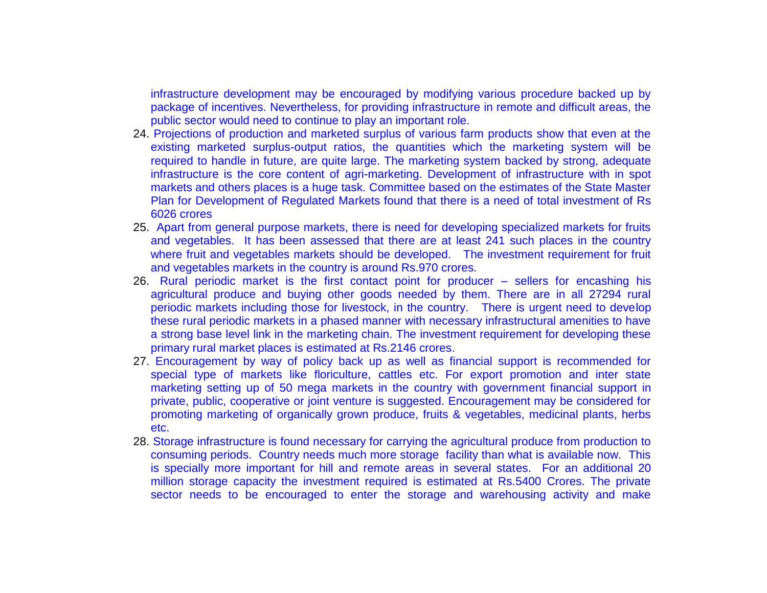infrastructure development may be encouraged by modifying various procedure backed up by package of incentives. Nevertheless, for providing infrastructure in remote and difficult areas, the public sector would need to continue to play an important role.

- 24. Projections of production and marketed surplus of various farm products show that even at the existing marketed surplus-output ratios, the quantities which the marketing system will be required to handle in future, are quite large. The marketing system backed by strong, adequate infrastructure is the core content of agri-marketing. Development of infrastructure with in spot markets and others places is a huge task. Committee based on the estimates of the State Master Plan for Development of Regulated Markets found that there is a need of total investment of Rs 6026 crores
- 25. Apart from general purpose markets, there is need for developing specialized markets for fruits and vegetables. It has been assessed that there are at least 241 such places in the country where fruit and vegetables markets should be developed. The investment requirement for fruit and vegetables markets in the country is around Rs.970 crores.
- 26. Rural periodic market is the first contact point for producer sellers for encashing his agricultural produce and buying other goods needed by them. There are in all 27294 rural periodic markets including those for livestock, in the country. There is urgent need to develop these rural periodic markets in a phased manner with necessary infrastructural amenities to have a strong base level link in the marketing chain. The investment requirement for developing these primary rural market places is estimated at Rs.2146 crores.
- 27. Encouragement by way of policy back up as well as financial support is recommended for special type of markets like floriculture, cattles etc. For export promotion and inter state marketing setting up of 50 mega markets in the country with government financial support in private, public, cooperative or joint venture is suggested. Encouragement may be considered for promoting marketing of organically grown produce, fruits & vegetables, medicinal plants, herbs etc.
- 28. Storage infrastructure is found necessary for carrying the agricultural produce from production to consuming periods. Country needs much more storage facility than what is available now. This is specially more important for hill and remote areas in several states. For an additional 20 million storage capacity the investment required is estimated at Rs.5400 Crores. The private sector needs to be encouraged to enter the storage and warehousing activity and make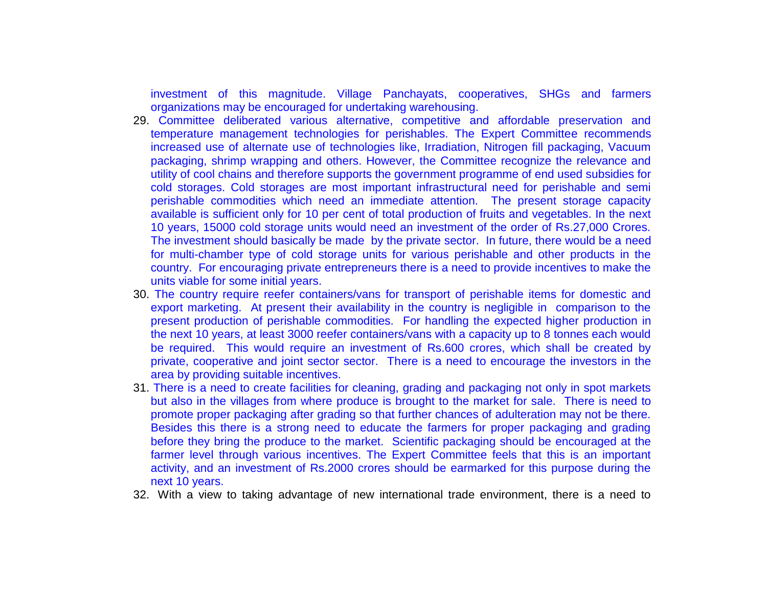investment of this magnitude. Village Panchayats, cooperatives, SHGs and farmers organizations may be encouraged for undertaking warehousing.

- 29. Committee deliberated various alternative, competitive and affordable preservation and temperature management technologies for perishables. The Expert Committee recommends increased use of alternate use of technologies like, Irradiation, Nitrogen fill packaging, Vacuum packaging, shrimp wrapping and others. However, the Committee recognize the relevance and utility of cool chains and therefore supports the government programme of end used subsidies for cold storages. Cold storages are most important infrastructural need for perishable and semi perishable commodities which need an immediate attention. The present storage capacity available is sufficient only for 10 per cent of total production of fruits and vegetables. In the next 10 years, 15000 cold storage units would need an investment of the order of Rs.27,000 Crores. The investment should basically be made by the private sector. In future, there would be a need for multi-chamber type of cold storage units for various perishable and other products in the country. For encouraging private entrepreneurs there is a need to provide incentives to make the units viable for some initial years.
- 30. The country require reefer containers/vans for transport of perishable items for domestic and export marketing. At present their availability in the country is negligible in comparison to the present production of perishable commodities. For handling the expected higher production in the next 10 years, at least 3000 reefer containers/vans with a capacity up to 8 tonnes each would be required. This would require an investment of Rs.600 crores, which shall be created by private, cooperative and joint sector sector. There is a need to encourage the investors in the area by providing suitable incentives.
- 31. There is a need to create facilities for cleaning, grading and packaging not only in spot markets but also in the villages from where produce is brought to the market for sale. There is need to promote proper packaging after grading so that further chances of adulteration may not be there. Besides this there is a strong need to educate the farmers for proper packaging and grading before they bring the produce to the market. Scientific packaging should be encouraged at the farmer level through various incentives. The Expert Committee feels that this is an important activity, and an investment of Rs.2000 crores should be earmarked for this purpose during the next 10 years.
- 32. With a view to taking advantage of new international trade environment, there is a need to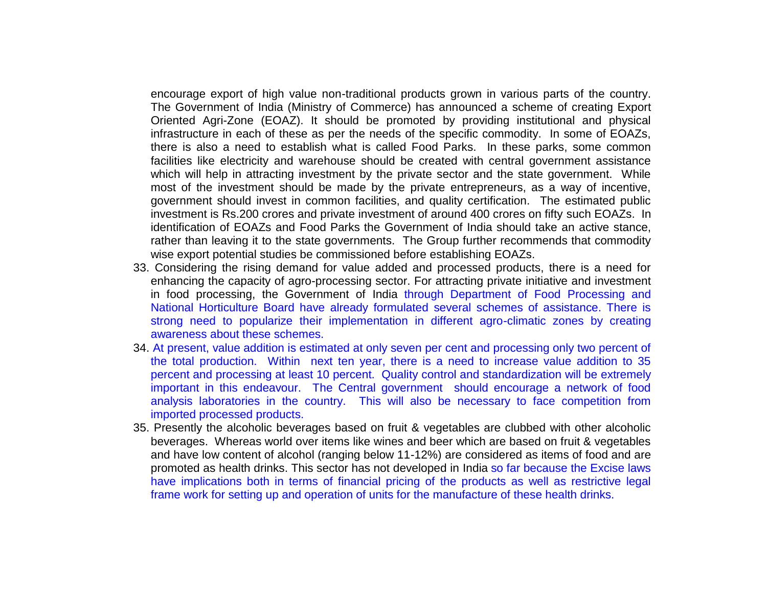encourage export of high value non-traditional products grown in various parts of the country. The Government of India (Ministry of Commerce) has announced a scheme of creating Export Oriented Agri-Zone (EOAZ). It should be promoted by providing institutional and physical infrastructure in each of these as per the needs of the specific commodity. In some of EOAZs, there is also a need to establish what is called Food Parks. In these parks, some common facilities like electricity and warehouse should be created with central government assistance which will help in attracting investment by the private sector and the state government. While most of the investment should be made by the private entrepreneurs, as a way of incentive, government should invest in common facilities, and quality certification. The estimated public investment is Rs.200 crores and private investment of around 400 crores on fifty such EOAZs. In identification of EOAZs and Food Parks the Government of India should take an active stance, rather than leaving it to the state governments. The Group further recommends that commodity wise export potential studies be commissioned before establishing EOAZs.

- 33. Considering the rising demand for value added and processed products, there is a need for enhancing the capacity of agro-processing sector. For attracting private initiative and investment in food processing, the Government of India through Department of Food Processing and National Horticulture Board have already formulated several schemes of assistance. There is strong need to popularize their implementation in different agro-climatic zones by creating awareness about these schemes.
- 34. At present, value addition is estimated at only seven per cent and processing only two percent of the total production. Within next ten year, there is a need to increase value addition to 35 percent and processing at least 10 percent. Quality control and standardization will be extremely important in this endeavour. The Central government should encourage a network of food analysis laboratories in the country. This will also be necessary to face competition from imported processed products.
- 35. Presently the alcoholic beverages based on fruit & vegetables are clubbed with other alcoholic beverages. Whereas world over items like wines and beer which are based on fruit & vegetables and have low content of alcohol (ranging below 11-12%) are considered as items of food and are promoted as health drinks. This sector has not developed in India so far because the Excise laws have implications both in terms of financial pricing of the products as well as restrictive legal frame work for setting up and operation of units for the manufacture of these health drinks.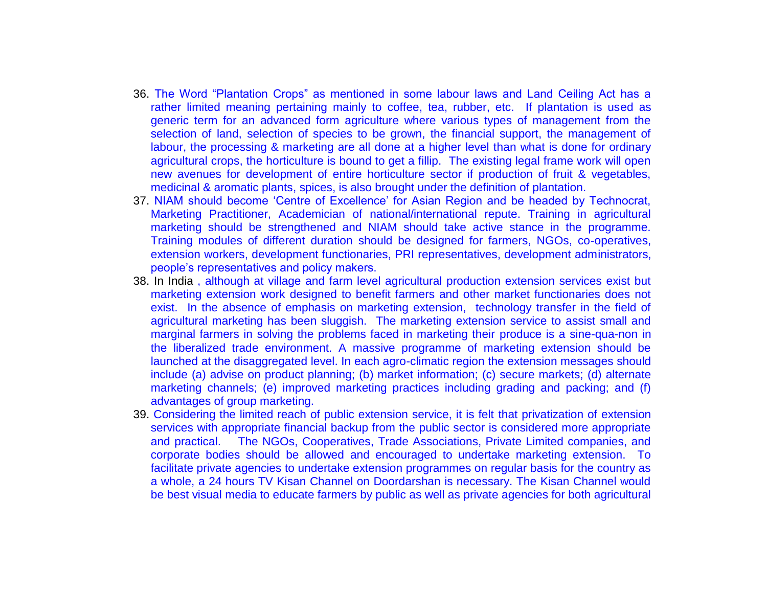- 36. The Word "Plantation Crops" as mentioned in some labour laws and Land Ceiling Act has a rather limited meaning pertaining mainly to coffee, tea, rubber, etc. If plantation is used as generic term for an advanced form agriculture where various types of management from the selection of land, selection of species to be grown, the financial support, the management of labour, the processing & marketing are all done at a higher level than what is done for ordinary agricultural crops, the horticulture is bound to get a fillip. The existing legal frame work will open new avenues for development of entire horticulture sector if production of fruit & vegetables, medicinal & aromatic plants, spices, is also brought under the definition of plantation.
- 37. NIAM should become 'Centre of Excellence' for Asian Region and be headed by Technocrat, Marketing Practitioner, Academician of national/international repute. Training in agricultural marketing should be strengthened and NIAM should take active stance in the programme. Training modules of different duration should be designed for farmers, NGOs, co-operatives, extension workers, development functionaries, PRI representatives, development administrators, people's representatives and policy makers.
- 38. In India, although at village and farm level agricultural production extension services exist but marketing extension work designed to benefit farmers and other market functionaries does not exist. In the absence of emphasis on marketing extension, technology transfer in the field of agricultural marketing has been sluggish. The marketing extension service to assist small and marginal farmers in solving the problems faced in marketing their produce is a sine-qua-non in the liberalized trade environment. A massive programme of marketing extension should be launched at the disaggregated level. In each agro-climatic region the extension messages should include (a) advise on product planning; (b) market information; (c) secure markets; (d) alternate marketing channels; (e) improved marketing practices including grading and packing; and (f) advantages of group marketing.
- 39. Considering the limited reach of public extension service, it is felt that privatization of extension services with appropriate financial backup from the public sector is considered more appropriate and practical. The NGOs, Cooperatives, Trade Associations, Private Limited companies, and corporate bodies should be allowed and encouraged to undertake marketing extension. To facilitate private agencies to undertake extension programmes on regular basis for the country as a whole, a 24 hours TV Kisan Channel on Doordarshan is necessary. The Kisan Channel would be best visual media to educate farmers by public as well as private agencies for both agricultural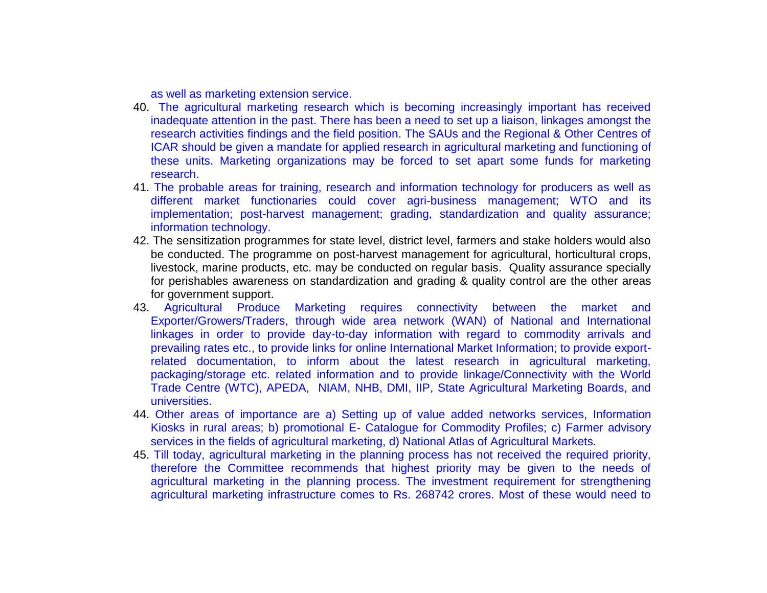as well as marketing extension service.

- 40. The agricultural marketing research which is becoming increasingly important has received inadequate attention in the past. There has been a need to set up a liaison, linkages amongst the research activities findings and the field position. The SAUs and the Regional & Other Centres of ICAR should be given a mandate for applied research in agricultural marketing and functioning of these units. Marketing organizations may be forced to set apart some funds for marketing research.
- 41. The probable areas for training, research and information technology for producers as well as different market functionaries could cover agri-business management; WTO and its implementation; post-harvest management; grading, standardization and quality assurance; information technology.
- 42. The sensitization programmes for state level, district level, farmers and stake holders would also be conducted. The programme on post-harvest management for agricultural, horticultural crops, livestock, marine products, etc. may be conducted on regular basis. Quality assurance specially for perishables awareness on standardization and grading & quality control are the other areas for government support.
- 43. Agricultural Produce Marketing requires connectivity between the market and Exporter/Growers/Traders, through wide area network (WAN) of National and International linkages in order to provide day-to-day information with regard to commodity arrivals and prevailing rates etc., to provide links for online International Market Information; to provide exportrelated documentation, to inform about the latest research in agricultural marketing, packaging/storage etc. related information and to provide linkage/Connectivity with the World Trade Centre (WTC), APEDA, NIAM, NHB, DMI, IIP, State Agricultural Marketing Boards, and universities.
- 44. Other areas of importance are a) Setting up of value added networks services, Information Kiosks in rural areas; b) promotional E- Catalogue for Commodity Profiles; c) Farmer advisory services in the fields of agricultural marketing, d) National Atlas of Agricultural Markets.
- 45. Till today, agricultural marketing in the planning process has not received the required priority, therefore the Committee recommends that highest priority may be given to the needs of agricultural marketing in the planning process. The investment requirement for strengthening agricultural marketing infrastructure comes to Rs. 268742 crores. Most of these would need to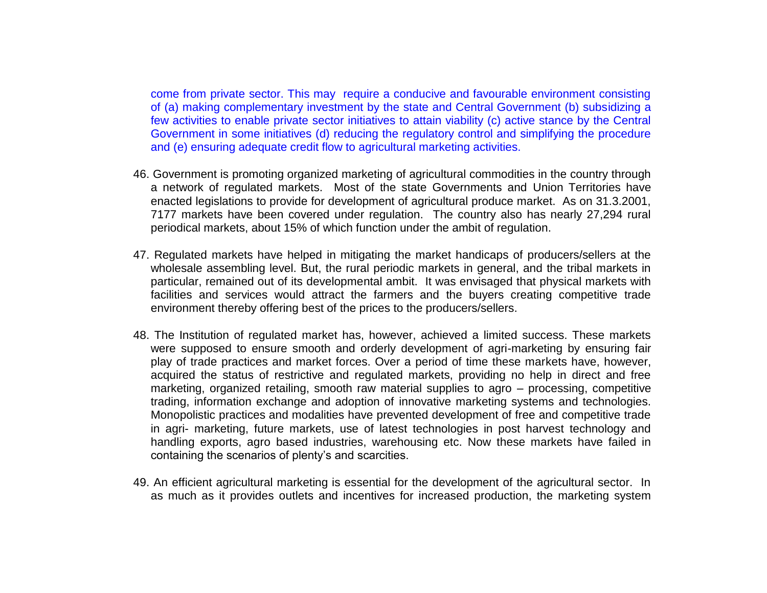come from private sector. This may require a conducive and favourable environment consisting of (a) making complementary investment by the state and Central Government (b) subsidizing a few activities to enable private sector initiatives to attain viability (c) active stance by the Central Government in some initiatives (d) reducing the regulatory control and simplifying the procedure and (e) ensuring adequate credit flow to agricultural marketing activities.

- 46. Government is promoting organized marketing of agricultural commodities in the country through a network of regulated markets. Most of the state Governments and Union Territories have enacted legislations to provide for development of agricultural produce market. As on 31.3.2001, 7177 markets have been covered under regulation. The country also has nearly 27,294 rural periodical markets, about 15% of which function under the ambit of regulation.
- 47. Regulated markets have helped in mitigating the market handicaps of producers/sellers at the wholesale assembling level. But, the rural periodic markets in general, and the tribal markets in particular, remained out of its developmental ambit. It was envisaged that physical markets with facilities and services would attract the farmers and the buyers creating competitive trade environment thereby offering best of the prices to the producers/sellers.
- 48. The Institution of regulated market has, however, achieved a limited success. These markets were supposed to ensure smooth and orderly development of agri-marketing by ensuring fair play of trade practices and market forces. Over a period of time these markets have, however, acquired the status of restrictive and regulated markets, providing no help in direct and free marketing, organized retailing, smooth raw material supplies to agro – processing, competitive trading, information exchange and adoption of innovative marketing systems and technologies. Monopolistic practices and modalities have prevented development of free and competitive trade in agri- marketing, future markets, use of latest technologies in post harvest technology and handling exports, agro based industries, warehousing etc. Now these markets have failed in containing the scenarios of plenty's and scarcities.
- 49. An efficient agricultural marketing is essential for the development of the agricultural sector. In as much as it provides outlets and incentives for increased production, the marketing system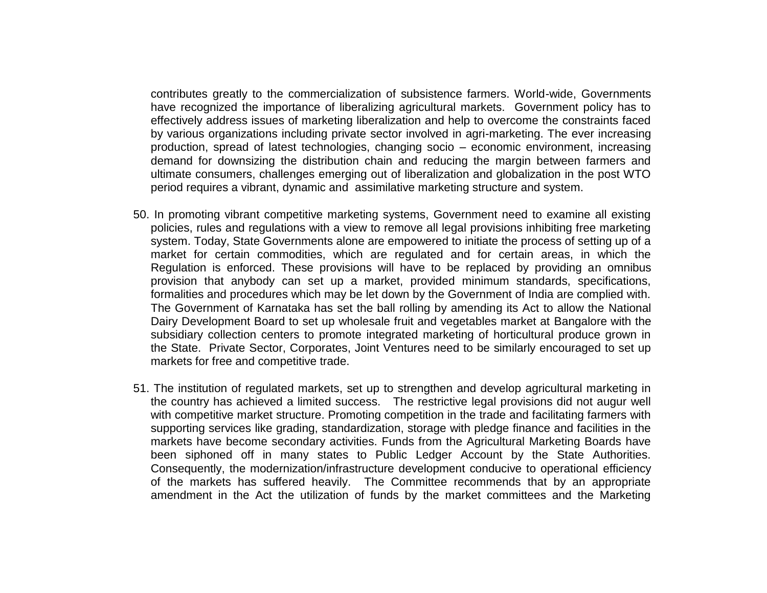contributes greatly to the commercialization of subsistence farmers. World-wide, Governments have recognized the importance of liberalizing agricultural markets. Government policy has to effectively address issues of marketing liberalization and help to overcome the constraints faced by various organizations including private sector involved in agri-marketing. The ever increasing production, spread of latest technologies, changing socio – economic environment, increasing demand for downsizing the distribution chain and reducing the margin between farmers and ultimate consumers, challenges emerging out of liberalization and globalization in the post WTO period requires a vibrant, dynamic and assimilative marketing structure and system.

- 50. In promoting vibrant competitive marketing systems, Government need to examine all existing policies, rules and regulations with a view to remove all legal provisions inhibiting free marketing system. Today, State Governments alone are empowered to initiate the process of setting up of a market for certain commodities, which are regulated and for certain areas, in which the Regulation is enforced. These provisions will have to be replaced by providing an omnibus provision that anybody can set up a market, provided minimum standards, specifications, formalities and procedures which may be let down by the Government of India are complied with. The Government of Karnataka has set the ball rolling by amending its Act to allow the National Dairy Development Board to set up wholesale fruit and vegetables market at Bangalore with the subsidiary collection centers to promote integrated marketing of horticultural produce grown in the State. Private Sector, Corporates, Joint Ventures need to be similarly encouraged to set up markets for free and competitive trade.
- 51. The institution of regulated markets, set up to strengthen and develop agricultural marketing in the country has achieved a limited success. The restrictive legal provisions did not augur well with competitive market structure. Promoting competition in the trade and facilitating farmers with supporting services like grading, standardization, storage with pledge finance and facilities in the markets have become secondary activities. Funds from the Agricultural Marketing Boards have been siphoned off in many states to Public Ledger Account by the State Authorities. Consequently, the modernization/infrastructure development conducive to operational efficiency of the markets has suffered heavily. The Committee recommends that by an appropriate amendment in the Act the utilization of funds by the market committees and the Marketing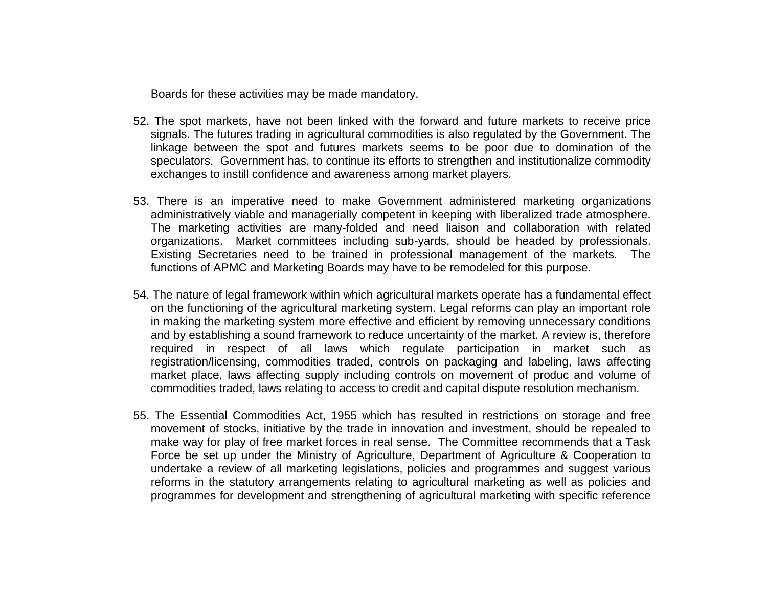Boards for these activities may be made mandatory.

- 52. The spot markets, have not been linked with the forward and future markets to receive price signals. The futures trading in agricultural commodities is also regulated by the Government. The linkage between the spot and futures markets seems to be poor due to domination of the speculators. Government has, to continue its efforts to strengthen and institutionalize commodity exchanges to instill confidence and awareness among market players.
- 53. There is an imperative need to make Government administered marketing organizations administratively viable and managerially competent in keeping with liberalized trade atmosphere. The marketing activities are many-folded and need liaison and collaboration with related organizations. Market committees including sub-yards, should be headed by professionals. Existing Secretaries need to be trained in professional management of the markets. The functions of APMC and Marketing Boards may have to be remodeled for this purpose.
- 54. The nature of legal framework within which agricultural markets operate has a fundamental effect on the functioning of the agricultural marketing system. Legal reforms can play an important role in making the marketing system more effective and efficient by removing unnecessary conditions and by establishing a sound framework to reduce uncertainty of the market. A review is, therefore required in respect of all laws which regulate participation in market such as registration/licensing, commodities traded, controls on packaging and labeling, laws affecting market place, laws affecting supply including controls on movement of produc and volume of commodities traded, laws relating to access to credit and capital dispute resolution mechanism.
- 55. The Essential Commodities Act, 1955 which has resulted in restrictions on storage and free movement of stocks, initiative by the trade in innovation and investment, should be repealed to make way for play of free market forces in real sense. The Committee recommends that a Task Force be set up under the Ministry of Agriculture, Department of Agriculture & Cooperation to undertake a review of all marketing legislations, policies and programmes and suggest various reforms in the statutory arrangements relating to agricultural marketing as well as policies and programmes for development and strengthening of agricultural marketing with specific reference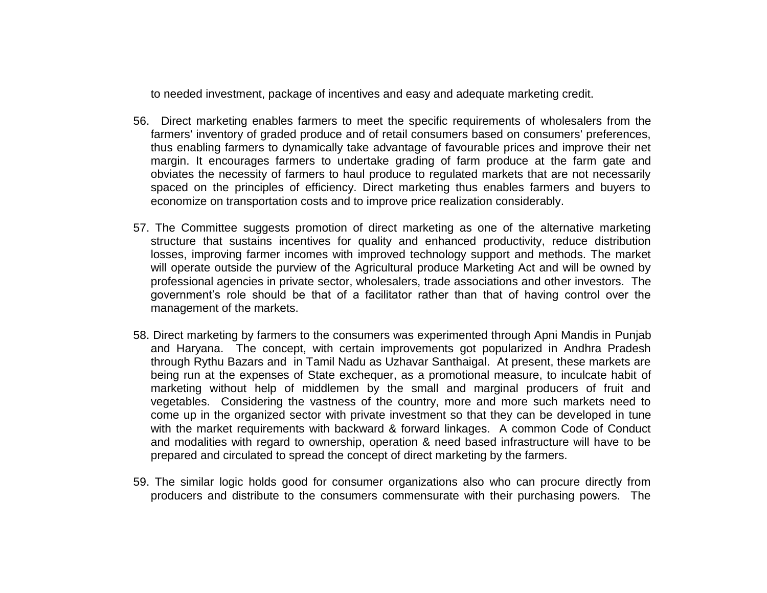to needed investment, package of incentives and easy and adequate marketing credit.

- 56. Direct marketing enables farmers to meet the specific requirements of wholesalers from the farmers' inventory of graded produce and of retail consumers based on consumers' preferences, thus enabling farmers to dynamically take advantage of favourable prices and improve their net margin. It encourages farmers to undertake grading of farm produce at the farm gate and obviates the necessity of farmers to haul produce to regulated markets that are not necessarily spaced on the principles of efficiency. Direct marketing thus enables farmers and buyers to economize on transportation costs and to improve price realization considerably.
- 57. The Committee suggests promotion of direct marketing as one of the alternative marketing structure that sustains incentives for quality and enhanced productivity, reduce distribution losses, improving farmer incomes with improved technology support and methods. The market will operate outside the purview of the Agricultural produce Marketing Act and will be owned by professional agencies in private sector, wholesalers, trade associations and other investors. The government's role should be that of a facilitator rather than that of having control over the management of the markets.
- 58. Direct marketing by farmers to the consumers was experimented through Apni Mandis in Punjab and Haryana. The concept, with certain improvements got popularized in Andhra Pradesh through Rythu Bazars and in Tamil Nadu as Uzhavar Santhaigal. At present, these markets are being run at the expenses of State exchequer, as a promotional measure, to inculcate habit of marketing without help of middlemen by the small and marginal producers of fruit and vegetables. Considering the vastness of the country, more and more such markets need to come up in the organized sector with private investment so that they can be developed in tune with the market requirements with backward & forward linkages. A common Code of Conduct and modalities with regard to ownership, operation & need based infrastructure will have to be prepared and circulated to spread the concept of direct marketing by the farmers.
- 59. The similar logic holds good for consumer organizations also who can procure directly from producers and distribute to the consumers commensurate with their purchasing powers. The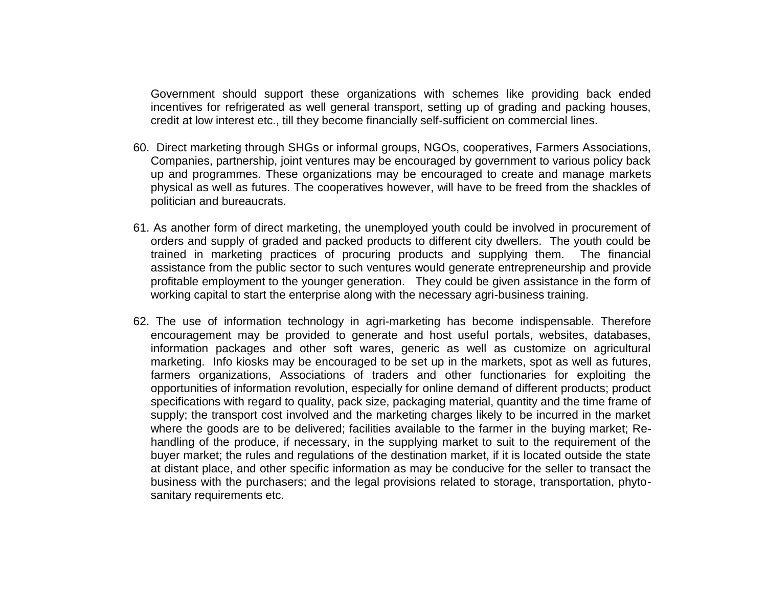Government should support these organizations with schemes like providing back ended incentives for refrigerated as well general transport, setting up of grading and packing houses, credit at low interest etc., till they become financially self-sufficient on commercial lines.

- 60. Direct marketing through SHGs or informal groups, NGOs, cooperatives, Farmers Associations, Companies, partnership, joint ventures may be encouraged by government to various policy back up and programmes. These organizations may be encouraged to create and manage markets physical as well as futures. The cooperatives however, will have to be freed from the shackles of politician and bureaucrats.
- 61. As another form of direct marketing, the unemployed youth could be involved in procurement of orders and supply of graded and packed products to different city dwellers. The youth could be trained in marketing practices of procuring products and supplying them. The financial assistance from the public sector to such ventures would generate entrepreneurship and provide profitable employment to the younger generation. They could be given assistance in the form of working capital to start the enterprise along with the necessary agri-business training.
- 62. The use of information technology in agri-marketing has become indispensable. Therefore encouragement may be provided to generate and host useful portals, websites, databases, information packages and other soft wares, generic as well as customize on agricultural marketing. Info kiosks may be encouraged to be set up in the markets, spot as well as futures, farmers organizations, Associations of traders and other functionaries for exploiting the opportunities of information revolution, especially for online demand of different products; product specifications with regard to quality, pack size, packaging material, quantity and the time frame of supply; the transport cost involved and the marketing charges likely to be incurred in the market where the goods are to be delivered; facilities available to the farmer in the buying market; Rehandling of the produce, if necessary, in the supplying market to suit to the requirement of the buyer market; the rules and regulations of the destination market, if it is located outside the state at distant place, and other specific information as may be conducive for the seller to transact the business with the purchasers; and the legal provisions related to storage, transportation, phytosanitary requirements etc.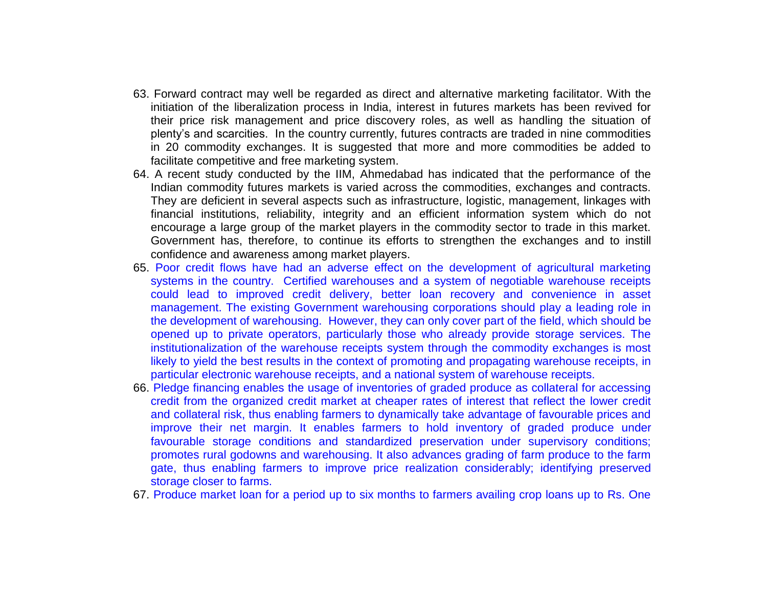- 63. Forward contract may well be regarded as direct and alternative marketing facilitator. With the initiation of the liberalization process in India, interest in futures markets has been revived for their price risk management and price discovery roles, as well as handling the situation of plenty's and scarcities. In the country currently, futures contracts are traded in nine commodities in 20 commodity exchanges. It is suggested that more and more commodities be added to facilitate competitive and free marketing system.
- 64. A recent study conducted by the IIM, Ahmedabad has indicated that the performance of the Indian commodity futures markets is varied across the commodities, exchanges and contracts. They are deficient in several aspects such as infrastructure, logistic, management, linkages with financial institutions, reliability, integrity and an efficient information system which do not encourage a large group of the market players in the commodity sector to trade in this market. Government has, therefore, to continue its efforts to strengthen the exchanges and to instill confidence and awareness among market players.
- 65. Poor credit flows have had an adverse effect on the development of agricultural marketing systems in the country. Certified warehouses and a system of negotiable warehouse receipts could lead to improved credit delivery, better loan recovery and convenience in asset management. The existing Government warehousing corporations should play a leading role in the development of warehousing. However, they can only cover part of the field, which should be opened up to private operators, particularly those who already provide storage services. The institutionalization of the warehouse receipts system through the commodity exchanges is most likely to yield the best results in the context of promoting and propagating warehouse receipts, in particular electronic warehouse receipts, and a national system of warehouse receipts.
- 66. Pledge financing enables the usage of inventories of graded produce as collateral for accessing credit from the organized credit market at cheaper rates of interest that reflect the lower credit and collateral risk, thus enabling farmers to dynamically take advantage of favourable prices and improve their net margin. It enables farmers to hold inventory of graded produce under favourable storage conditions and standardized preservation under supervisory conditions; promotes rural godowns and warehousing. It also advances grading of farm produce to the farm gate, thus enabling farmers to improve price realization considerably; identifying preserved storage closer to farms.
- 67. Produce market loan for a period up to six months to farmers availing crop loans up to Rs. One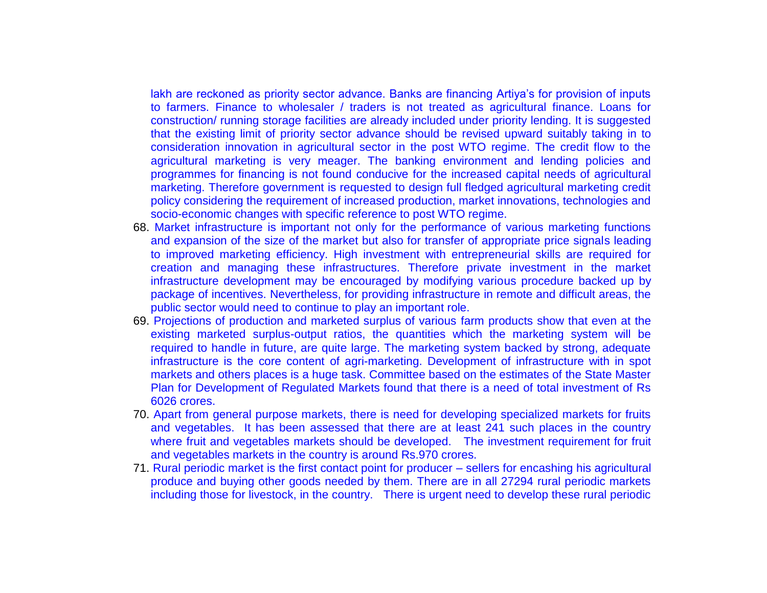lakh are reckoned as priority sector advance. Banks are financing Artiya's for provision of inputs to farmers. Finance to wholesaler / traders is not treated as agricultural finance. Loans for construction/ running storage facilities are already included under priority lending. It is suggested that the existing limit of priority sector advance should be revised upward suitably taking in to consideration innovation in agricultural sector in the post WTO regime. The credit flow to the agricultural marketing is very meager. The banking environment and lending policies and programmes for financing is not found conducive for the increased capital needs of agricultural marketing. Therefore government is requested to design full fledged agricultural marketing credit policy considering the requirement of increased production, market innovations, technologies and socio-economic changes with specific reference to post WTO regime.

- 68. Market infrastructure is important not only for the performance of various marketing functions and expansion of the size of the market but also for transfer of appropriate price signals leading to improved marketing efficiency. High investment with entrepreneurial skills are required for creation and managing these infrastructures. Therefore private investment in the market infrastructure development may be encouraged by modifying various procedure backed up by package of incentives. Nevertheless, for providing infrastructure in remote and difficult areas, the public sector would need to continue to play an important role.
- 69. Projections of production and marketed surplus of various farm products show that even at the existing marketed surplus-output ratios, the quantities which the marketing system will be required to handle in future, are quite large. The marketing system backed by strong, adequate infrastructure is the core content of agri-marketing. Development of infrastructure with in spot markets and others places is a huge task. Committee based on the estimates of the State Master Plan for Development of Regulated Markets found that there is a need of total investment of Rs 6026 crores.
- 70. Apart from general purpose markets, there is need for developing specialized markets for fruits and vegetables. It has been assessed that there are at least 241 such places in the country where fruit and vegetables markets should be developed. The investment requirement for fruit and vegetables markets in the country is around Rs.970 crores.
- 71. Rural periodic market is the first contact point for producer sellers for encashing his agricultural produce and buying other goods needed by them. There are in all 27294 rural periodic markets including those for livestock, in the country. There is urgent need to develop these rural periodic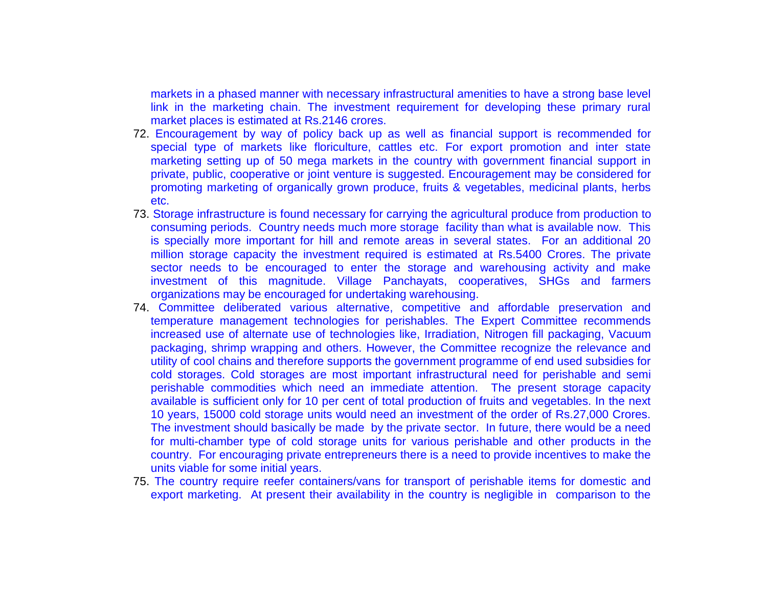markets in a phased manner with necessary infrastructural amenities to have a strong base level link in the marketing chain. The investment requirement for developing these primary rural market places is estimated at Rs.2146 crores.

- 72. Encouragement by way of policy back up as well as financial support is recommended for special type of markets like floriculture, cattles etc. For export promotion and inter state marketing setting up of 50 mega markets in the country with government financial support in private, public, cooperative or joint venture is suggested. Encouragement may be considered for promoting marketing of organically grown produce, fruits & vegetables, medicinal plants, herbs etc.
- 73. Storage infrastructure is found necessary for carrying the agricultural produce from production to consuming periods. Country needs much more storage facility than what is available now. This is specially more important for hill and remote areas in several states. For an additional 20 million storage capacity the investment required is estimated at Rs.5400 Crores. The private sector needs to be encouraged to enter the storage and warehousing activity and make investment of this magnitude. Village Panchayats, cooperatives, SHGs and farmers organizations may be encouraged for undertaking warehousing.
- 74. Committee deliberated various alternative, competitive and affordable preservation and temperature management technologies for perishables. The Expert Committee recommends increased use of alternate use of technologies like, Irradiation, Nitrogen fill packaging, Vacuum packaging, shrimp wrapping and others. However, the Committee recognize the relevance and utility of cool chains and therefore supports the government programme of end used subsidies for cold storages. Cold storages are most important infrastructural need for perishable and semi perishable commodities which need an immediate attention. The present storage capacity available is sufficient only for 10 per cent of total production of fruits and vegetables. In the next 10 years, 15000 cold storage units would need an investment of the order of Rs.27,000 Crores. The investment should basically be made by the private sector. In future, there would be a need for multi-chamber type of cold storage units for various perishable and other products in the country. For encouraging private entrepreneurs there is a need to provide incentives to make the units viable for some initial years.
- 75. The country require reefer containers/vans for transport of perishable items for domestic and export marketing. At present their availability in the country is negligible in comparison to the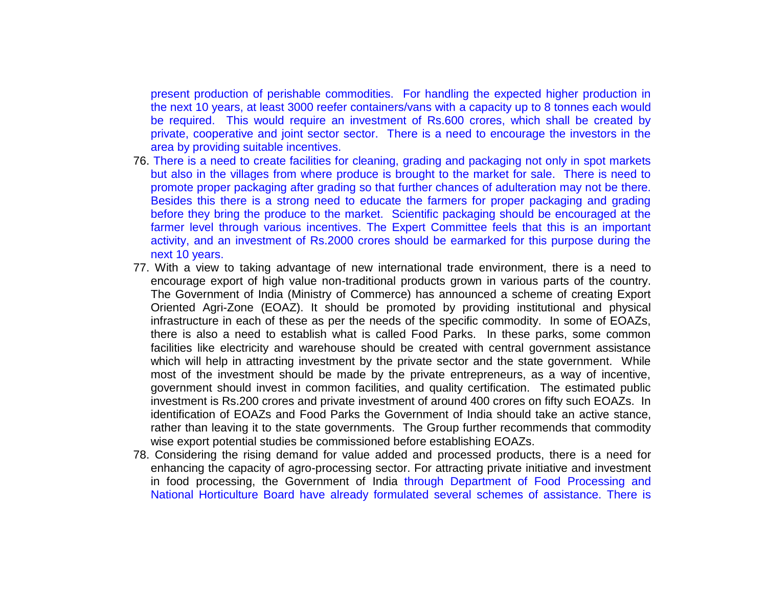present production of perishable commodities. For handling the expected higher production in the next 10 years, at least 3000 reefer containers/vans with a capacity up to 8 tonnes each would be required. This would require an investment of Rs.600 crores, which shall be created by private, cooperative and joint sector sector. There is a need to encourage the investors in the area by providing suitable incentives.

- 76. There is a need to create facilities for cleaning, grading and packaging not only in spot markets but also in the villages from where produce is brought to the market for sale. There is need to promote proper packaging after grading so that further chances of adulteration may not be there. Besides this there is a strong need to educate the farmers for proper packaging and grading before they bring the produce to the market. Scientific packaging should be encouraged at the farmer level through various incentives. The Expert Committee feels that this is an important activity, and an investment of Rs.2000 crores should be earmarked for this purpose during the next 10 years.
- 77. With a view to taking advantage of new international trade environment, there is a need to encourage export of high value non-traditional products grown in various parts of the country. The Government of India (Ministry of Commerce) has announced a scheme of creating Export Oriented Agri-Zone (EOAZ). It should be promoted by providing institutional and physical infrastructure in each of these as per the needs of the specific commodity. In some of EOAZs, there is also a need to establish what is called Food Parks. In these parks, some common facilities like electricity and warehouse should be created with central government assistance which will help in attracting investment by the private sector and the state government. While most of the investment should be made by the private entrepreneurs, as a way of incentive, government should invest in common facilities, and quality certification. The estimated public investment is Rs.200 crores and private investment of around 400 crores on fifty such EOAZs. In identification of EOAZs and Food Parks the Government of India should take an active stance, rather than leaving it to the state governments. The Group further recommends that commodity wise export potential studies be commissioned before establishing EOAZs.
- 78. Considering the rising demand for value added and processed products, there is a need for enhancing the capacity of agro-processing sector. For attracting private initiative and investment in food processing, the Government of India through Department of Food Processing and National Horticulture Board have already formulated several schemes of assistance. There is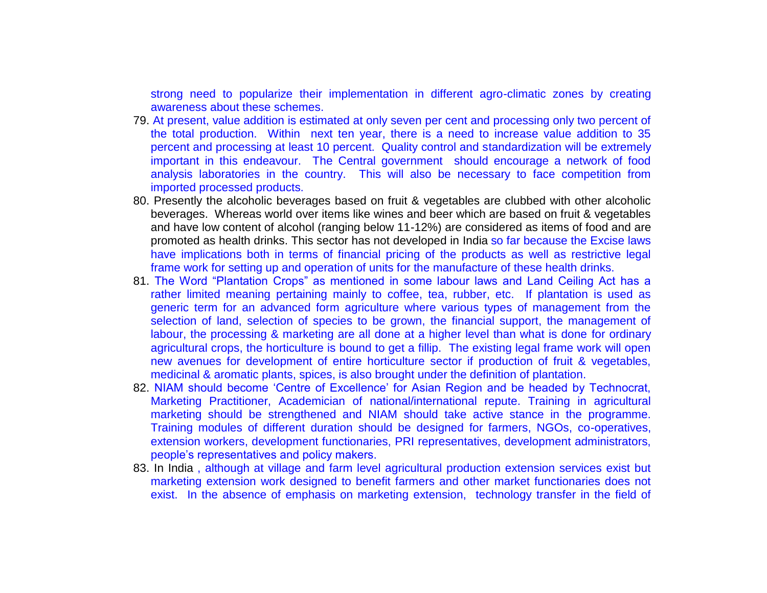strong need to popularize their implementation in different agro-climatic zones by creating awareness about these schemes.

- 79. At present, value addition is estimated at only seven per cent and processing only two percent of the total production. Within next ten year, there is a need to increase value addition to 35 percent and processing at least 10 percent. Quality control and standardization will be extremely important in this endeavour. The Central government should encourage a network of food analysis laboratories in the country. This will also be necessary to face competition from imported processed products.
- 80. Presently the alcoholic beverages based on fruit & vegetables are clubbed with other alcoholic beverages. Whereas world over items like wines and beer which are based on fruit & vegetables and have low content of alcohol (ranging below 11-12%) are considered as items of food and are promoted as health drinks. This sector has not developed in India so far because the Excise laws have implications both in terms of financial pricing of the products as well as restrictive legal frame work for setting up and operation of units for the manufacture of these health drinks.
- 81. The Word "Plantation Crops" as mentioned in some labour laws and Land Ceiling Act has a rather limited meaning pertaining mainly to coffee, tea, rubber, etc. If plantation is used as generic term for an advanced form agriculture where various types of management from the selection of land, selection of species to be grown, the financial support, the management of labour, the processing & marketing are all done at a higher level than what is done for ordinary agricultural crops, the horticulture is bound to get a fillip. The existing legal frame work will open new avenues for development of entire horticulture sector if production of fruit & vegetables, medicinal & aromatic plants, spices, is also brought under the definition of plantation.
- 82. NIAM should become 'Centre of Excellence' for Asian Region and be headed by Technocrat, Marketing Practitioner, Academician of national/international repute. Training in agricultural marketing should be strengthened and NIAM should take active stance in the programme. Training modules of different duration should be designed for farmers, NGOs, co-operatives, extension workers, development functionaries, PRI representatives, development administrators, people's representatives and policy makers.
- 83. In India, although at village and farm level agricultural production extension services exist but marketing extension work designed to benefit farmers and other market functionaries does not exist. In the absence of emphasis on marketing extension, technology transfer in the field of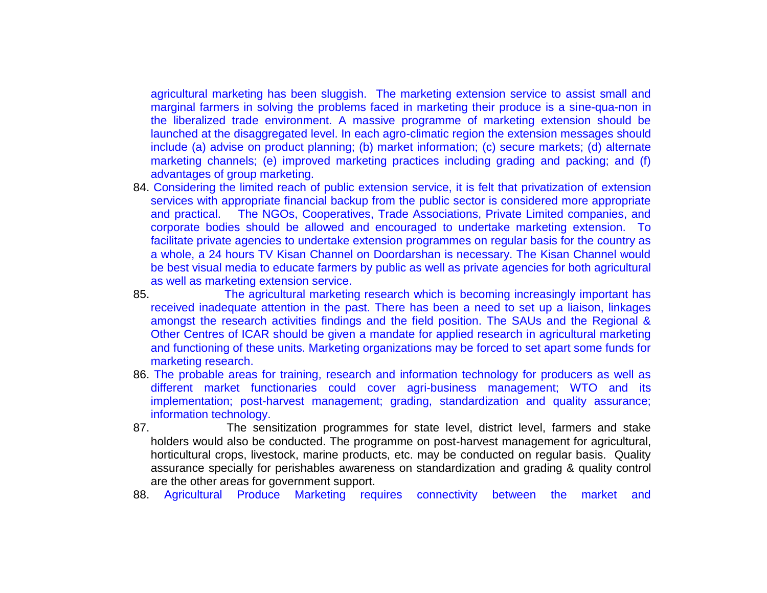agricultural marketing has been sluggish. The marketing extension service to assist small and marginal farmers in solving the problems faced in marketing their produce is a sine-qua-non in the liberalized trade environment. A massive programme of marketing extension should be launched at the disaggregated level. In each agro-climatic region the extension messages should include (a) advise on product planning; (b) market information; (c) secure markets; (d) alternate marketing channels; (e) improved marketing practices including grading and packing; and (f) advantages of group marketing.

- 84. Considering the limited reach of public extension service, it is felt that privatization of extension services with appropriate financial backup from the public sector is considered more appropriate and practical. The NGOs, Cooperatives, Trade Associations, Private Limited companies, and corporate bodies should be allowed and encouraged to undertake marketing extension. To facilitate private agencies to undertake extension programmes on regular basis for the country as a whole, a 24 hours TV Kisan Channel on Doordarshan is necessary. The Kisan Channel would be best visual media to educate farmers by public as well as private agencies for both agricultural as well as marketing extension service.
- 85. The agricultural marketing research which is becoming increasingly important has received inadequate attention in the past. There has been a need to set up a liaison, linkages amongst the research activities findings and the field position. The SAUs and the Regional & Other Centres of ICAR should be given a mandate for applied research in agricultural marketing and functioning of these units. Marketing organizations may be forced to set apart some funds for marketing research.
- 86. The probable areas for training, research and information technology for producers as well as different market functionaries could cover agri-business management; WTO and its implementation; post-harvest management; grading, standardization and quality assurance; information technology.
- 87. The sensitization programmes for state level, district level, farmers and stake holders would also be conducted. The programme on post-harvest management for agricultural, horticultural crops, livestock, marine products, etc. may be conducted on regular basis. Quality assurance specially for perishables awareness on standardization and grading & quality control are the other areas for government support.
- 88. Agricultural Produce Marketing requires connectivity between the market and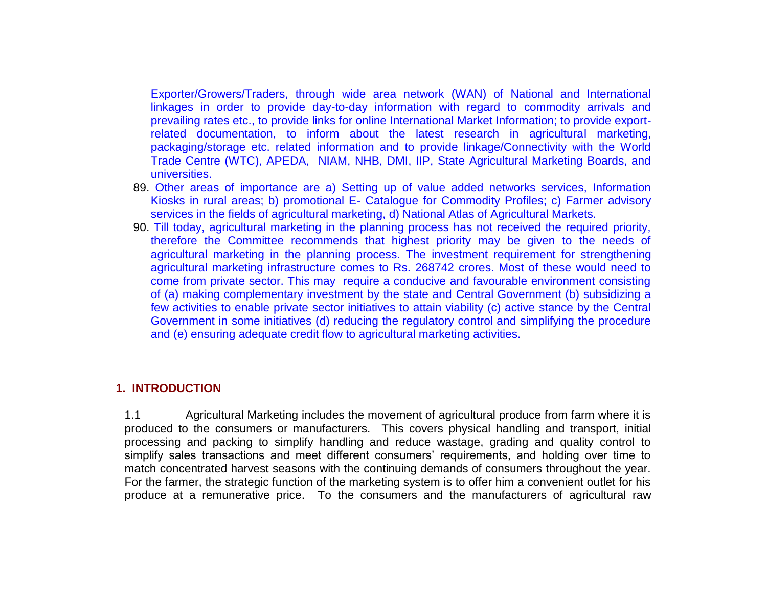Exporter/Growers/Traders, through wide area network (WAN) of National and International linkages in order to provide day-to-day information with regard to commodity arrivals and prevailing rates etc., to provide links for online International Market Information; to provide exportrelated documentation, to inform about the latest research in agricultural marketing, packaging/storage etc. related information and to provide linkage/Connectivity with the World Trade Centre (WTC), APEDA, NIAM, NHB, DMI, IIP, State Agricultural Marketing Boards, and universities.

- 89. Other areas of importance are a) Setting up of value added networks services, Information Kiosks in rural areas; b) promotional E- Catalogue for Commodity Profiles; c) Farmer advisory services in the fields of agricultural marketing, d) National Atlas of Agricultural Markets.
- 90. Till today, agricultural marketing in the planning process has not received the required priority, therefore the Committee recommends that highest priority may be given to the needs of agricultural marketing in the planning process. The investment requirement for strengthening agricultural marketing infrastructure comes to Rs. 268742 crores. Most of these would need to come from private sector. This may require a conducive and favourable environment consisting of (a) making complementary investment by the state and Central Government (b) subsidizing a few activities to enable private sector initiatives to attain viability (c) active stance by the Central Government in some initiatives (d) reducing the regulatory control and simplifying the procedure and (e) ensuring adequate credit flow to agricultural marketing activities.

### **1. INTRODUCTION**

1.1 Agricultural Marketing includes the movement of agricultural produce from farm where it is produced to the consumers or manufacturers. This covers physical handling and transport, initial processing and packing to simplify handling and reduce wastage, grading and quality control to simplify sales transactions and meet different consumers' requirements, and holding over time to match concentrated harvest seasons with the continuing demands of consumers throughout the year. For the farmer, the strategic function of the marketing system is to offer him a convenient outlet for his produce at a remunerative price. To the consumers and the manufacturers of agricultural raw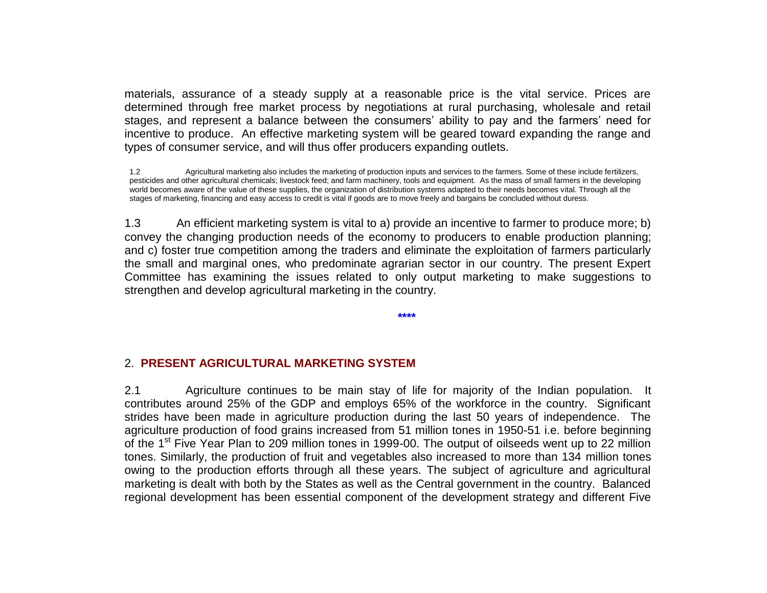materials, assurance of a steady supply at a reasonable price is the vital service. Prices are determined through free market process by negotiations at rural purchasing, wholesale and retail stages, and represent a balance between the consumers' ability to pay and the farmers' need for incentive to produce. An effective marketing system will be geared toward expanding the range and types of consumer service, and will thus offer producers expanding outlets.

1.2 Agricultural marketing also includes the marketing of production inputs and services to the farmers. Some of these include fertilizers, pesticides and other agricultural chemicals; livestock feed; and farm machinery, tools and equipment. As the mass of small farmers in the developing world becomes aware of the value of these supplies, the organization of distribution systems adapted to their needs becomes vital. Through all the stages of marketing, financing and easy access to credit is vital if goods are to move freely and bargains be concluded without duress.

1.3 An efficient marketing system is vital to a) provide an incentive to farmer to produce more; b) convey the changing production needs of the economy to producers to enable production planning; and c) foster true competition among the traders and eliminate the exploitation of farmers particularly the small and marginal ones, who predominate agrarian sector in our country. The present Expert Committee has examining the issues related to only output marketing to make suggestions to strengthen and develop agricultural marketing in the country.

**\*\*\*\***

### 2. **PRESENT AGRICULTURAL MARKETING SYSTEM**

2.1 Agriculture continues to be main stay of life for majority of the Indian population. It contributes around 25% of the GDP and employs 65% of the workforce in the country. Significant strides have been made in agriculture production during the last 50 years of independence. The agriculture production of food grains increased from 51 million tones in 1950-51 i.e. before beginning of the 1<sup>st</sup> Five Year Plan to 209 million tones in 1999-00. The output of oilseeds went up to 22 million tones. Similarly, the production of fruit and vegetables also increased to more than 134 million tones owing to the production efforts through all these years. The subject of agriculture and agricultural marketing is dealt with both by the States as well as the Central government in the country. Balanced regional development has been essential component of the development strategy and different Five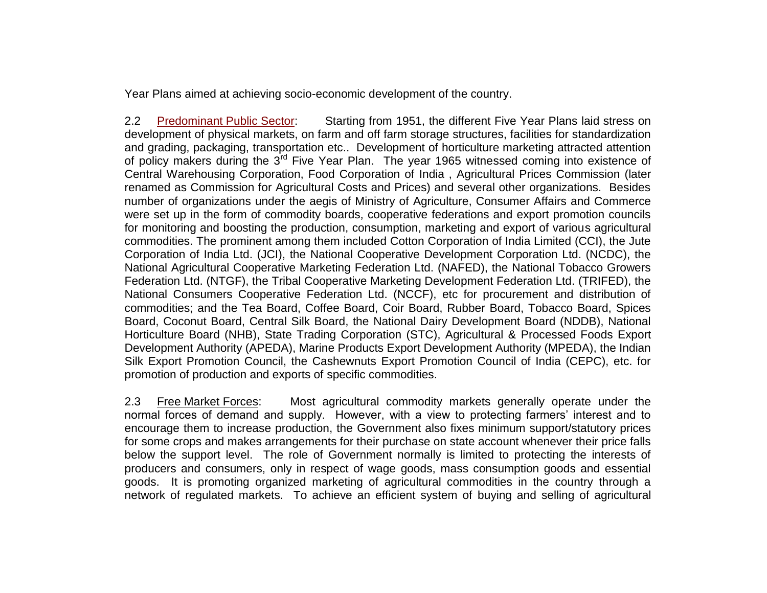Year Plans aimed at achieving socio-economic development of the country.

2.2 Predominant Public Sector: Starting from 1951, the different Five Year Plans laid stress on development of physical markets, on farm and off farm storage structures, facilities for standardization and grading, packaging, transportation etc.. Development of horticulture marketing attracted attention of policy makers during the 3<sup>rd</sup> Five Year Plan. The year 1965 witnessed coming into existence of Central Warehousing Corporation, Food Corporation of India , Agricultural Prices Commission (later renamed as Commission for Agricultural Costs and Prices) and several other organizations. Besides number of organizations under the aegis of Ministry of Agriculture, Consumer Affairs and Commerce were set up in the form of commodity boards, cooperative federations and export promotion councils for monitoring and boosting the production, consumption, marketing and export of various agricultural commodities. The prominent among them included Cotton Corporation of India Limited (CCI), the Jute Corporation of India Ltd. (JCI), the National Cooperative Development Corporation Ltd. (NCDC), the National Agricultural Cooperative Marketing Federation Ltd. (NAFED), the National Tobacco Growers Federation Ltd. (NTGF), the Tribal Cooperative Marketing Development Federation Ltd. (TRIFED), the National Consumers Cooperative Federation Ltd. (NCCF), etc for procurement and distribution of commodities; and the Tea Board, Coffee Board, Coir Board, Rubber Board, Tobacco Board, Spices Board, Coconut Board, Central Silk Board, the National Dairy Development Board (NDDB), National Horticulture Board (NHB), State Trading Corporation (STC), Agricultural & Processed Foods Export Development Authority (APEDA), Marine Products Export Development Authority (MPEDA), the Indian Silk Export Promotion Council, the Cashewnuts Export Promotion Council of India (CEPC), etc. for promotion of production and exports of specific commodities.

2.3 Free Market Forces: Most agricultural commodity markets generally operate under the normal forces of demand and supply. However, with a view to protecting farmers' interest and to encourage them to increase production, the Government also fixes minimum support/statutory prices for some crops and makes arrangements for their purchase on state account whenever their price falls below the support level. The role of Government normally is limited to protecting the interests of producers and consumers, only in respect of wage goods, mass consumption goods and essential goods. It is promoting organized marketing of agricultural commodities in the country through a network of regulated markets. To achieve an efficient system of buying and selling of agricultural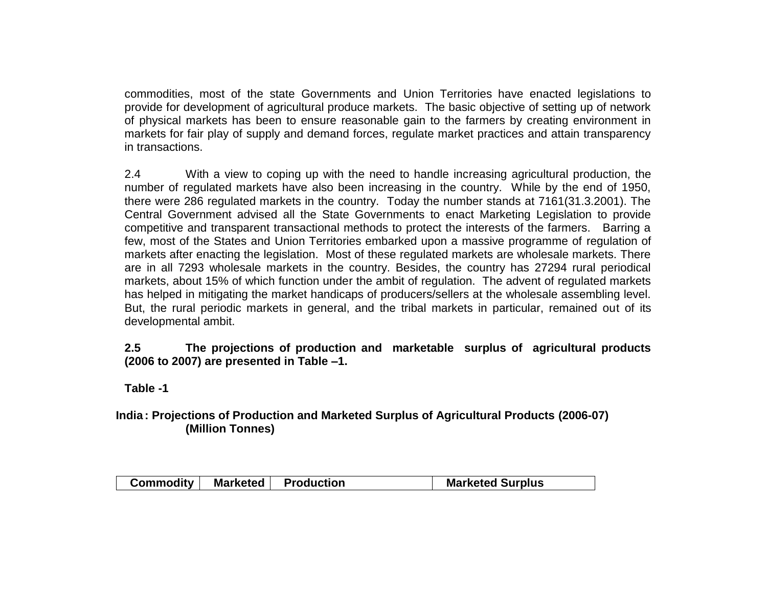commodities, most of the state Governments and Union Territories have enacted legislations to provide for development of agricultural produce markets. The basic objective of setting up of network of physical markets has been to ensure reasonable gain to the farmers by creating environment in markets for fair play of supply and demand forces, regulate market practices and attain transparency in transactions.

2.4 With a view to coping up with the need to handle increasing agricultural production, the number of regulated markets have also been increasing in the country. While by the end of 1950, there were 286 regulated markets in the country. Today the number stands at 7161(31.3.2001). The Central Government advised all the State Governments to enact Marketing Legislation to provide competitive and transparent transactional methods to protect the interests of the farmers. Barring a few, most of the States and Union Territories embarked upon a massive programme of regulation of markets after enacting the legislation. Most of these regulated markets are wholesale markets. There are in all 7293 wholesale markets in the country. Besides, the country has 27294 rural periodical markets, about 15% of which function under the ambit of regulation. The advent of regulated markets has helped in mitigating the market handicaps of producers/sellers at the wholesale assembling level. But, the rural periodic markets in general, and the tribal markets in particular, remained out of its developmental ambit.

### **2.5 The projections of production and marketable surplus of agricultural products (2006 to 2007) are presented in Table –1.**

**Table -1**

## **India : Projections of Production and Marketed Surplus of Agricultural Products (2006-07) (Million Tonnes)**

| Commodity   Marketed   Production<br><b>Marketed Surplus</b> |
|--------------------------------------------------------------|
|--------------------------------------------------------------|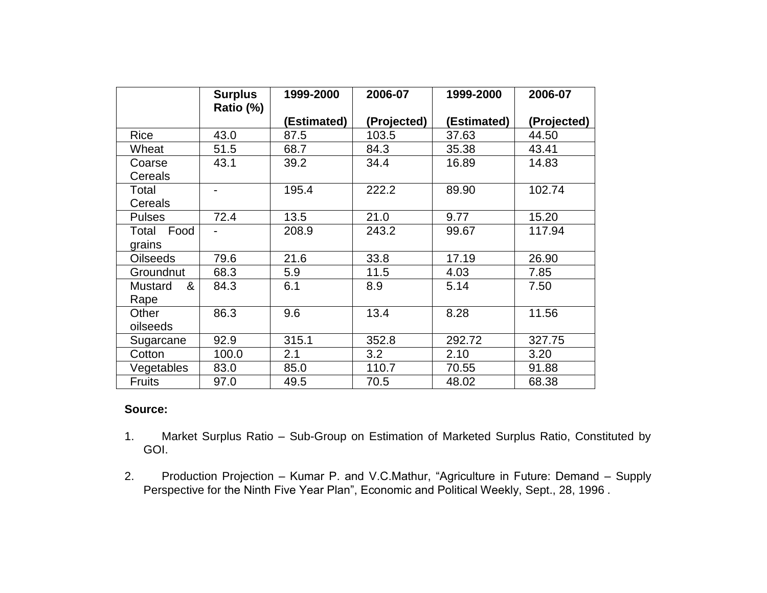|                 | <b>Surplus</b><br>Ratio (%) | 1999-2000   | 2006-07     | 1999-2000   | 2006-07     |
|-----------------|-----------------------------|-------------|-------------|-------------|-------------|
|                 |                             | (Estimated) | (Projected) | (Estimated) | (Projected) |
| <b>Rice</b>     | 43.0                        | 87.5        | 103.5       | 37.63       | 44.50       |
| Wheat           | 51.5                        | 68.7        | 84.3        | 35.38       | 43.41       |
| Coarse          | 43.1                        | 39.2        | 34.4        | 16.89       | 14.83       |
| Cereals         |                             |             |             |             |             |
| Total           |                             | 195.4       | 222.2       | 89.90       | 102.74      |
| Cereals         |                             |             |             |             |             |
| <b>Pulses</b>   | 72.4                        | 13.5        | 21.0        | 9.77        | 15.20       |
| Food<br>Total   |                             | 208.9       | 243.2       | 99.67       | 117.94      |
| grains          |                             |             |             |             |             |
| <b>Oilseeds</b> | 79.6                        | 21.6        | 33.8        | 17.19       | 26.90       |
| Groundnut       | 68.3                        | 5.9         | 11.5        | 4.03        | 7.85        |
| Mustard<br>&    | 84.3                        | 6.1         | 8.9         | 5.14        | 7.50        |
| Rape            |                             |             |             |             |             |
| Other           | 86.3                        | 9.6         | 13.4        | 8.28        | 11.56       |
| oilseeds        |                             |             |             |             |             |
| Sugarcane       | 92.9                        | 315.1       | 352.8       | 292.72      | 327.75      |
| Cotton          | 100.0                       | 2.1         | 3.2         | 2.10        | 3.20        |
| Vegetables      | 83.0                        | 85.0        | 110.7       | 70.55       | 91.88       |
| <b>Fruits</b>   | 97.0                        | 49.5        | 70.5        | 48.02       | 68.38       |

### **Source:**

- 1. Market Surplus Ratio Sub-Group on Estimation of Marketed Surplus Ratio, Constituted by GOI.
- 2. Production Projection Kumar P. and V.C.Mathur, "Agriculture in Future: Demand Supply Perspective for the Ninth Five Year Plan", Economic and Political Weekly, Sept., 28, 1996 .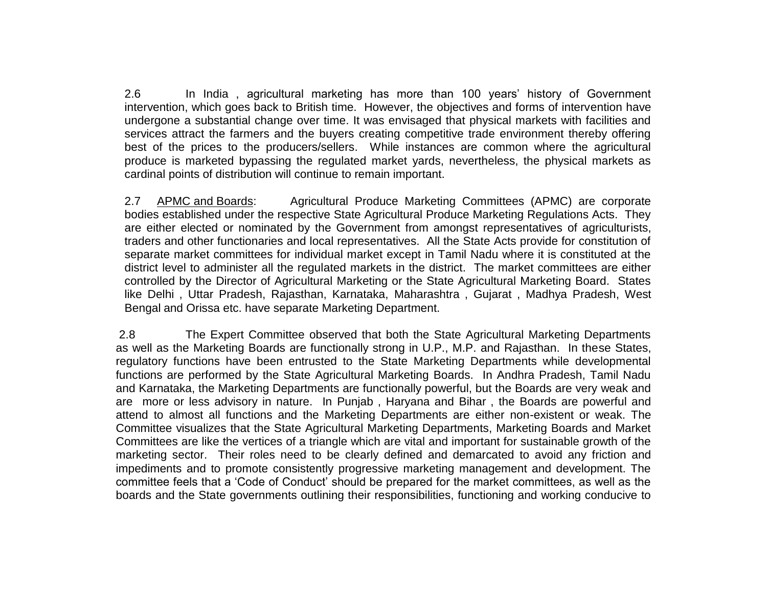2.6 In India , agricultural marketing has more than 100 years' history of Government intervention, which goes back to British time. However, the objectives and forms of intervention have undergone a substantial change over time. It was envisaged that physical markets with facilities and services attract the farmers and the buyers creating competitive trade environment thereby offering best of the prices to the producers/sellers. While instances are common where the agricultural produce is marketed bypassing the regulated market yards, nevertheless, the physical markets as cardinal points of distribution will continue to remain important.

2.7 APMC and Boards: Agricultural Produce Marketing Committees (APMC) are corporate bodies established under the respective State Agricultural Produce Marketing Regulations Acts. They are either elected or nominated by the Government from amongst representatives of agriculturists, traders and other functionaries and local representatives. All the State Acts provide for constitution of separate market committees for individual market except in Tamil Nadu where it is constituted at the district level to administer all the regulated markets in the district. The market committees are either controlled by the Director of Agricultural Marketing or the State Agricultural Marketing Board. States like Delhi , Uttar Pradesh, Rajasthan, Karnataka, Maharashtra , Gujarat , Madhya Pradesh, West Bengal and Orissa etc. have separate Marketing Department.

2.8 The Expert Committee observed that both the State Agricultural Marketing Departments as well as the Marketing Boards are functionally strong in U.P., M.P. and Rajasthan. In these States, regulatory functions have been entrusted to the State Marketing Departments while developmental functions are performed by the State Agricultural Marketing Boards. In Andhra Pradesh, Tamil Nadu and Karnataka, the Marketing Departments are functionally powerful, but the Boards are very weak and are more or less advisory in nature. In Punjab , Haryana and Bihar , the Boards are powerful and attend to almost all functions and the Marketing Departments are either non-existent or weak. The Committee visualizes that the State Agricultural Marketing Departments, Marketing Boards and Market Committees are like the vertices of a triangle which are vital and important for sustainable growth of the marketing sector. Their roles need to be clearly defined and demarcated to avoid any friction and impediments and to promote consistently progressive marketing management and development. The committee feels that a 'Code of Conduct' should be prepared for the market committees, as well as the boards and the State governments outlining their responsibilities, functioning and working conducive to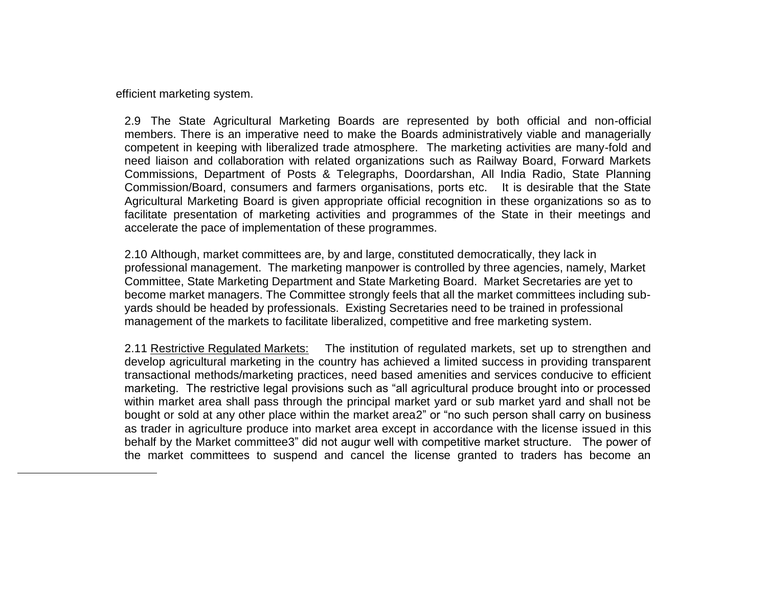efficient marketing system.

 $\overline{a}$ 

2.9 The State Agricultural Marketing Boards are represented by both official and non-official members. There is an imperative need to make the Boards administratively viable and managerially competent in keeping with liberalized trade atmosphere. The marketing activities are many-fold and need liaison and collaboration with related organizations such as Railway Board, Forward Markets Commissions, Department of Posts & Telegraphs, Doordarshan, All India Radio, State Planning Commission/Board, consumers and farmers organisations, ports etc. It is desirable that the State Agricultural Marketing Board is given appropriate official recognition in these organizations so as to facilitate presentation of marketing activities and programmes of the State in their meetings and accelerate the pace of implementation of these programmes.

2.10 Although, market committees are, by and large, constituted democratically, they lack in professional management. The marketing manpower is controlled by three agencies, namely, Market Committee, State Marketing Department and State Marketing Board. Market Secretaries are yet to become market managers. The Committee strongly feels that all the market committees including subyards should be headed by professionals. Existing Secretaries need to be trained in professional management of the markets to facilitate liberalized, competitive and free marketing system.

2.11 Restrictive Regulated Markets: The institution of regulated markets, set up to strengthen and develop agricultural marketing in the country has achieved a limited success in providing transparent transactional methods/marketing practices, need based amenities and services conducive to efficient marketing. The restrictive legal provisions such as "all agricultural produce brought into or processed within market area shall pass through the principal market yard or sub market yard and shall not be bought or sold at any other place within the market area2" or "no such person shall carry on business as trader in agriculture produce into market area except in accordance with the license issued in this behalf by the Market committee3" did not augur well with competitive market structure. The power of the market committees to suspend and cancel the license granted to traders has become an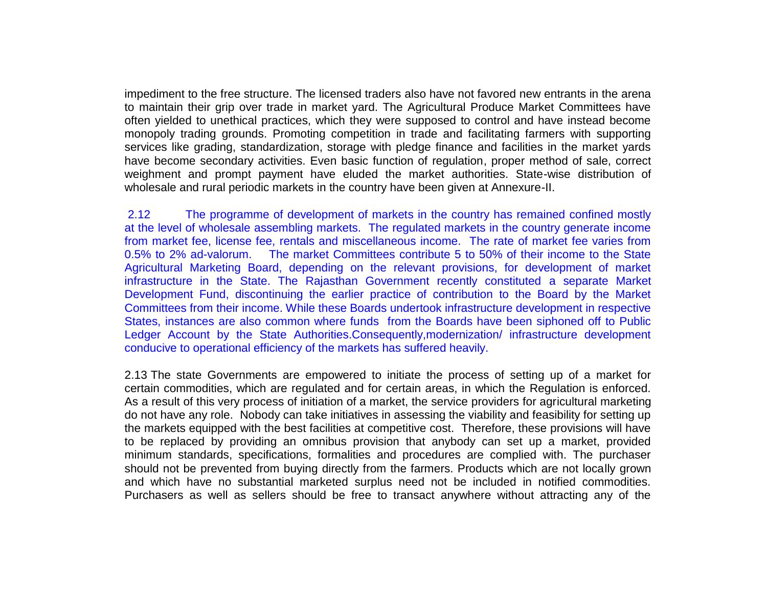impediment to the free structure. The licensed traders also have not favored new entrants in the arena to maintain their grip over trade in market yard. The Agricultural Produce Market Committees have often yielded to unethical practices, which they were supposed to control and have instead become monopoly trading grounds. Promoting competition in trade and facilitating farmers with supporting services like grading, standardization, storage with pledge finance and facilities in the market yards have become secondary activities. Even basic function of regulation, proper method of sale, correct weighment and prompt payment have eluded the market authorities. State-wise distribution of wholesale and rural periodic markets in the country have been given at Annexure-II.

2.12 The programme of development of markets in the country has remained confined mostly at the level of wholesale assembling markets. The regulated markets in the country generate income from market fee, license fee, rentals and miscellaneous income. The rate of market fee varies from 0.5% to 2% ad-valorum. The market Committees contribute 5 to 50% of their income to the State Agricultural Marketing Board, depending on the relevant provisions, for development of market infrastructure in the State. The Rajasthan Government recently constituted a separate Market Development Fund, discontinuing the earlier practice of contribution to the Board by the Market Committees from their income. While these Boards undertook infrastructure development in respective States, instances are also common where funds from the Boards have been siphoned off to Public Ledger Account by the State Authorities.Consequently,modernization/ infrastructure development conducive to operational efficiency of the markets has suffered heavily.

2.13 The state Governments are empowered to initiate the process of setting up of a market for certain commodities, which are regulated and for certain areas, in which the Regulation is enforced. As a result of this very process of initiation of a market, the service providers for agricultural marketing do not have any role. Nobody can take initiatives in assessing the viability and feasibility for setting up the markets equipped with the best facilities at competitive cost. Therefore, these provisions will have to be replaced by providing an omnibus provision that anybody can set up a market, provided minimum standards, specifications, formalities and procedures are complied with. The purchaser should not be prevented from buying directly from the farmers. Products which are not locally grown and which have no substantial marketed surplus need not be included in notified commodities. Purchasers as well as sellers should be free to transact anywhere without attracting any of the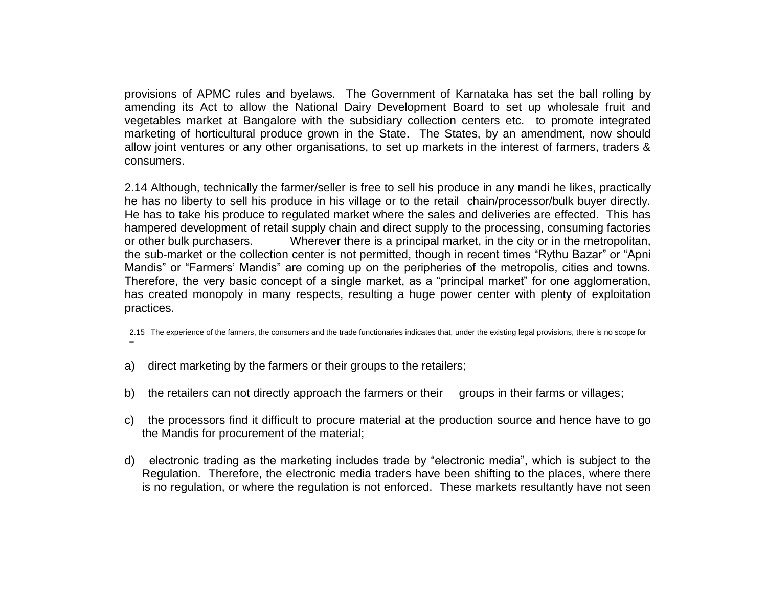provisions of APMC rules and byelaws. The Government of Karnataka has set the ball rolling by amending its Act to allow the National Dairy Development Board to set up wholesale fruit and vegetables market at Bangalore with the subsidiary collection centers etc. to promote integrated marketing of horticultural produce grown in the State. The States, by an amendment, now should allow joint ventures or any other organisations, to set up markets in the interest of farmers, traders & consumers.

2.14 Although, technically the farmer/seller is free to sell his produce in any mandi he likes, practically he has no liberty to sell his produce in his village or to the retail chain/processor/bulk buyer directly. He has to take his produce to regulated market where the sales and deliveries are effected. This has hampered development of retail supply chain and direct supply to the processing, consuming factories or other bulk purchasers. Wherever there is a principal market, in the city or in the metropolitan, the sub-market or the collection center is not permitted, though in recent times "Rythu Bazar" or "Apni Mandis" or "Farmers' Mandis" are coming up on the peripheries of the metropolis, cities and towns. Therefore, the very basic concept of a single market, as a "principal market" for one agglomeration, has created monopoly in many respects, resulting a huge power center with plenty of exploitation practices.

2.15 The experience of the farmers, the consumers and the trade functionaries indicates that, under the existing legal provisions, there is no scope for –

- a) direct marketing by the farmers or their groups to the retailers;
- b) the retailers can not directly approach the farmers or their groups in their farms or villages;
- c) the processors find it difficult to procure material at the production source and hence have to go the Mandis for procurement of the material;
- d) electronic trading as the marketing includes trade by "electronic media", which is subject to the Regulation. Therefore, the electronic media traders have been shifting to the places, where there is no regulation, or where the regulation is not enforced. These markets resultantly have not seen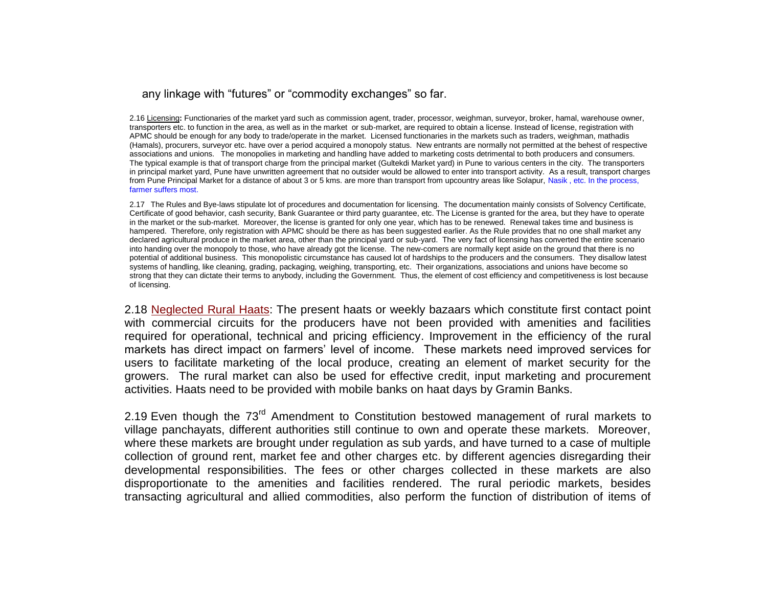#### any linkage with "futures" or "commodity exchanges" so far.

2.16 Licensing**:** Functionaries of the market yard such as commission agent, trader, processor, weighman, surveyor, broker, hamal, warehouse owner, transporters etc. to function in the area, as well as in the market or sub-market, are required to obtain a license. Instead of license, registration with APMC should be enough for any body to trade/operate in the market. Licensed functionaries in the markets such as traders, weighman, mathadis (Hamals), procurers, surveyor etc. have over a period acquired a monopoly status. New entrants are normally not permitted at the behest of respective associations and unions. The monopolies in marketing and handling have added to marketing costs detrimental to both producers and consumers. The typical example is that of transport charge from the principal market (Gultekdi Market yard) in Pune to various centers in the city. The transporters in principal market yard, Pune have unwritten agreement that no outsider would be allowed to enter into transport activity. As a result, transport charges from Pune Principal Market for a distance of about 3 or 5 kms. are more than transport from upcountry areas like Solapur, Nasik, etc. In the process, farmer suffers most.

2.17 The Rules and Bye-laws stipulate lot of procedures and documentation for licensing. The documentation mainly consists of Solvency Certificate, Certificate of good behavior, cash security, Bank Guarantee or third party guarantee, etc. The License is granted for the area, but they have to operate in the market or the sub-market. Moreover, the license is granted for only one year, which has to be renewed. Renewal takes time and business is hampered. Therefore, only registration with APMC should be there as has been suggested earlier. As the Rule provides that no one shall market any declared agricultural produce in the market area, other than the principal yard or sub-yard. The very fact of licensing has converted the entire scenario into handing over the monopoly to those, who have already got the license. The new-comers are normally kept aside on the ground that there is no potential of additional business. This monopolistic circumstance has caused lot of hardships to the producers and the consumers. They disallow latest systems of handling, like cleaning, grading, packaging, weighing, transporting, etc. Their organizations, associations and unions have become so strong that they can dictate their terms to anybody, including the Government. Thus, the element of cost efficiency and competitiveness is lost because of licensing.

2.18 Neglected Rural Haats: The present haats or weekly bazaars which constitute first contact point with commercial circuits for the producers have not been provided with amenities and facilities required for operational, technical and pricing efficiency. Improvement in the efficiency of the rural markets has direct impact on farmers' level of income. These markets need improved services for users to facilitate marketing of the local produce, creating an element of market security for the growers. The rural market can also be used for effective credit, input marketing and procurement activities. Haats need to be provided with mobile banks on haat days by Gramin Banks.

2.19 Even though the 73<sup>rd</sup> Amendment to Constitution bestowed management of rural markets to village panchayats, different authorities still continue to own and operate these markets. Moreover, where these markets are brought under regulation as sub yards, and have turned to a case of multiple collection of ground rent, market fee and other charges etc. by different agencies disregarding their developmental responsibilities. The fees or other charges collected in these markets are also disproportionate to the amenities and facilities rendered. The rural periodic markets, besides transacting agricultural and allied commodities, also perform the function of distribution of items of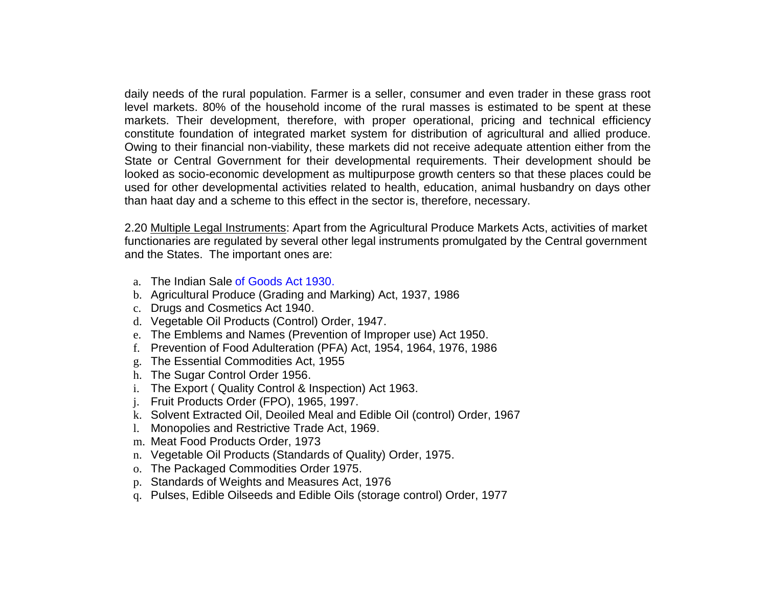daily needs of the rural population. Farmer is a seller, consumer and even trader in these grass root level markets. 80% of the household income of the rural masses is estimated to be spent at these markets. Their development, therefore, with proper operational, pricing and technical efficiency constitute foundation of integrated market system for distribution of agricultural and allied produce. Owing to their financial non-viability, these markets did not receive adequate attention either from the State or Central Government for their developmental requirements. Their development should be looked as socio-economic development as multipurpose growth centers so that these places could be used for other developmental activities related to health, education, animal husbandry on days other than haat day and a scheme to this effect in the sector is, therefore, necessary.

2.20 Multiple Legal Instruments: Apart from the Agricultural Produce Markets Acts, activities of market functionaries are regulated by several other legal instruments promulgated by the Central government and the States. The important ones are:

- a. The Indian Sale of Goods Act 1930.
- b. Agricultural Produce (Grading and Marking) Act, 1937, 1986
- c. Drugs and Cosmetics Act 1940.
- d. Vegetable Oil Products (Control) Order, 1947.
- e. The Emblems and Names (Prevention of Improper use) Act 1950.
- f. Prevention of Food Adulteration (PFA) Act, 1954, 1964, 1976, 1986
- g. The Essential Commodities Act, 1955
- h. The Sugar Control Order 1956.
- i. The Export ( Quality Control & Inspection) Act 1963.
- j. Fruit Products Order (FPO), 1965, 1997.
- k. Solvent Extracted Oil, Deoiled Meal and Edible Oil (control) Order, 1967
- l. Monopolies and Restrictive Trade Act, 1969.
- m. Meat Food Products Order, 1973
- n. Vegetable Oil Products (Standards of Quality) Order, 1975.
- o. The Packaged Commodities Order 1975.
- p. Standards of Weights and Measures Act, 1976
- q. Pulses, Edible Oilseeds and Edible Oils (storage control) Order, 1977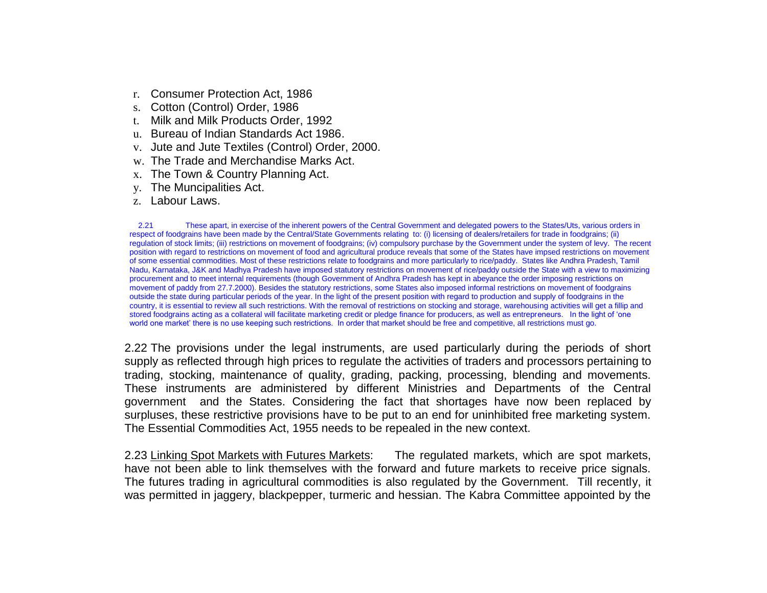- r. Consumer Protection Act, 1986
- s. Cotton (Control) Order, 1986
- t. Milk and Milk Products Order, 1992
- u. Bureau of Indian Standards Act 1986.
- v. Jute and Jute Textiles (Control) Order, 2000.
- w. The Trade and Merchandise Marks Act.
- x. The Town & Country Planning Act.
- y. The Muncipalities Act.
- z. Labour Laws.

2.21 These apart, in exercise of the inherent powers of the Central Government and delegated powers to the States/Uts, various orders in respect of foodgrains have been made by the Central/State Governments relating to: (i) licensing of dealers/retailers for trade in foodgrains; (ii) regulation of stock limits; (iii) restrictions on movement of foodgrains; (iv) compulsory purchase by the Government under the system of levy. The recent position with regard to restrictions on movement of food and agricultural produce reveals that some of the States have impsed restrictions on movement of some essential commodities. Most of these restrictions relate to foodgrains and more particularly to rice/paddy. States like Andhra Pradesh, Tamil Nadu, Karnataka, J&K and Madhya Pradesh have imposed statutory restrictions on movement of rice/paddy outside the State with a view to maximizing procurement and to meet internal requirements (though Government of Andhra Pradesh has kept in abeyance the order imposing restrictions on movement of paddy from 27.7.2000). Besides the statutory restrictions, some States also imposed informal restrictions on movement of foodgrains outside the state during particular periods of the year. In the light of the present position with regard to production and supply of foodgrains in the country, it is essential to review all such restrictions. With the removal of restrictions on stocking and storage, warehousing activities will get a fillip and stored foodgrains acting as a collateral will facilitate marketing credit or pledge finance for producers, as well as entrepreneurs. In the light of 'one world one market' there is no use keeping such restrictions. In order that market should be free and competitive, all restrictions must go.

2.22 The provisions under the legal instruments, are used particularly during the periods of short supply as reflected through high prices to regulate the activities of traders and processors pertaining to trading, stocking, maintenance of quality, grading, packing, processing, blending and movements. These instruments are administered by different Ministries and Departments of the Central government and the States. Considering the fact that shortages have now been replaced by surpluses, these restrictive provisions have to be put to an end for uninhibited free marketing system. The Essential Commodities Act, 1955 needs to be repealed in the new context.

2.23 Linking Spot Markets with Futures Markets: The regulated markets, which are spot markets, have not been able to link themselves with the forward and future markets to receive price signals. The futures trading in agricultural commodities is also regulated by the Government. Till recently, it was permitted in jaggery, blackpepper, turmeric and hessian. The Kabra Committee appointed by the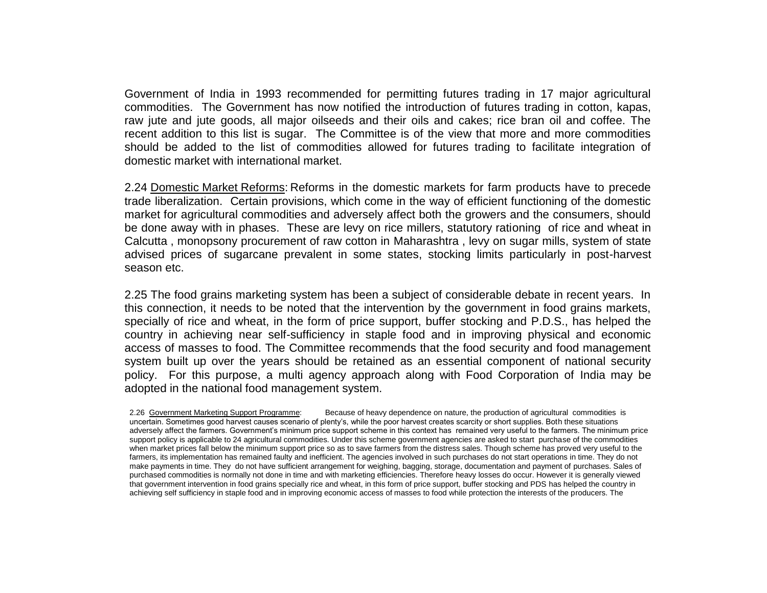Government of India in 1993 recommended for permitting futures trading in 17 major agricultural commodities. The Government has now notified the introduction of futures trading in cotton, kapas, raw jute and jute goods, all major oilseeds and their oils and cakes; rice bran oil and coffee. The recent addition to this list is sugar. The Committee is of the view that more and more commodities should be added to the list of commodities allowed for futures trading to facilitate integration of domestic market with international market.

2.24 Domestic Market Reforms: Reforms in the domestic markets for farm products have to precede trade liberalization. Certain provisions, which come in the way of efficient functioning of the domestic market for agricultural commodities and adversely affect both the growers and the consumers, should be done away with in phases. These are levy on rice millers, statutory rationing of rice and wheat in Calcutta , monopsony procurement of raw cotton in Maharashtra , levy on sugar mills, system of state advised prices of sugarcane prevalent in some states, stocking limits particularly in post-harvest season etc.

2.25 The food grains marketing system has been a subject of considerable debate in recent years. In this connection, it needs to be noted that the intervention by the government in food grains markets, specially of rice and wheat, in the form of price support, buffer stocking and P.D.S., has helped the country in achieving near self-sufficiency in staple food and in improving physical and economic access of masses to food. The Committee recommends that the food security and food management system built up over the years should be retained as an essential component of national security policy. For this purpose, a multi agency approach along with Food Corporation of India may be adopted in the national food management system.

2.26 Government Marketing Support Programme: Because of heavy dependence on nature, the production of agricultural commodities is uncertain. Sometimes good harvest causes scenario of plenty's, while the poor harvest creates scarcity or short supplies. Both these situations adversely affect the farmers. Government's minimum price support scheme in this context has remained very useful to the farmers. The minimum price support policy is applicable to 24 agricultural commodities. Under this scheme government agencies are asked to start purchase of the commodities when market prices fall below the minimum support price so as to save farmers from the distress sales. Though scheme has proved very useful to the farmers, its implementation has remained faulty and inefficient. The agencies involved in such purchases do not start operations in time. They do not make payments in time. They do not have sufficient arrangement for weighing, bagging, storage, documentation and payment of purchases. Sales of purchased commodities is normally not done in time and with marketing efficiencies. Therefore heavy losses do occur. However it is generally viewed that government intervention in food grains specially rice and wheat, in this form of price support, buffer stocking and PDS has helped the country in achieving self sufficiency in staple food and in improving economic access of masses to food while protection the interests of the producers. The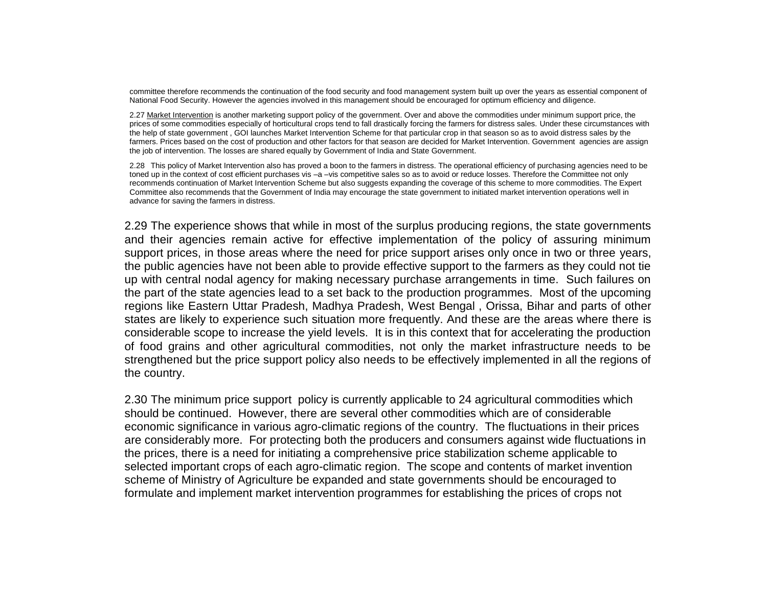committee therefore recommends the continuation of the food security and food management system built up over the years as essential component of National Food Security. However the agencies involved in this management should be encouraged for optimum efficiency and diligence.

2.27 Market Intervention is another marketing support policy of the government. Over and above the commodities under minimum support price, the prices of some commodities especially of horticultural crops tend to fall drastically forcing the farmers for distress sales. Under these circumstances with the help of state government , GOI launches Market Intervention Scheme for that particular crop in that season so as to avoid distress sales by the farmers. Prices based on the cost of production and other factors for that season are decided for Market Intervention. Government agencies are assign the job of intervention. The losses are shared equally by Government of India and State Government.

2.28 This policy of Market Intervention also has proved a boon to the farmers in distress. The operational efficiency of purchasing agencies need to be toned up in the context of cost efficient purchases vis -a -vis competitive sales so as to avoid or reduce losses. Therefore the Committee not only recommends continuation of Market Intervention Scheme but also suggests expanding the coverage of this scheme to more commodities. The Expert Committee also recommends that the Government of India may encourage the state government to initiated market intervention operations well in advance for saving the farmers in distress.

2.29 The experience shows that while in most of the surplus producing regions, the state governments and their agencies remain active for effective implementation of the policy of assuring minimum support prices, in those areas where the need for price support arises only once in two or three years, the public agencies have not been able to provide effective support to the farmers as they could not tie up with central nodal agency for making necessary purchase arrangements in time. Such failures on the part of the state agencies lead to a set back to the production programmes. Most of the upcoming regions like Eastern Uttar Pradesh, Madhya Pradesh, West Bengal , Orissa, Bihar and parts of other states are likely to experience such situation more frequently. And these are the areas where there is considerable scope to increase the yield levels. It is in this context that for accelerating the production of food grains and other agricultural commodities, not only the market infrastructure needs to be strengthened but the price support policy also needs to be effectively implemented in all the regions of the country.

2.30 The minimum price support policy is currently applicable to 24 agricultural commodities which should be continued. However, there are several other commodities which are of considerable economic significance in various agro-climatic regions of the country. The fluctuations in their prices are considerably more. For protecting both the producers and consumers against wide fluctuations in the prices, there is a need for initiating a comprehensive price stabilization scheme applicable to selected important crops of each agro-climatic region. The scope and contents of market invention scheme of Ministry of Agriculture be expanded and state governments should be encouraged to formulate and implement market intervention programmes for establishing the prices of crops not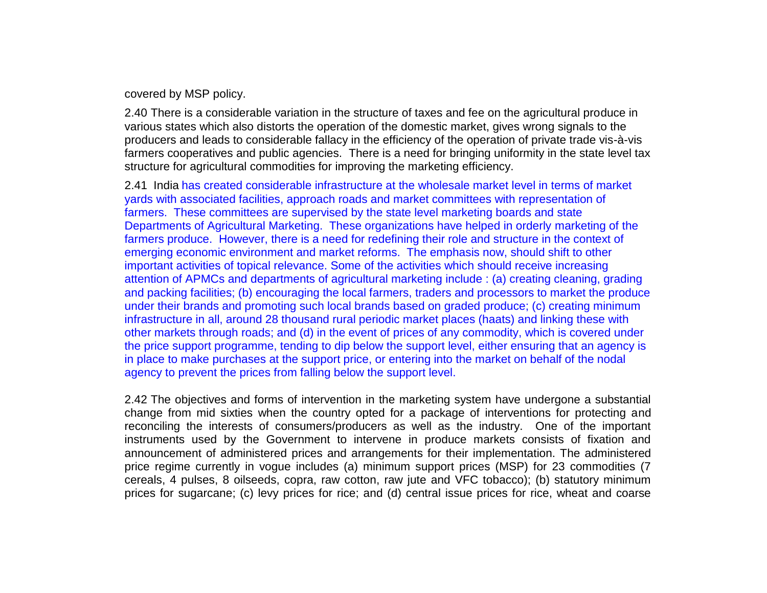covered by MSP policy.

2.40 There is a considerable variation in the structure of taxes and fee on the agricultural produce in various states which also distorts the operation of the domestic market, gives wrong signals to the producers and leads to considerable fallacy in the efficiency of the operation of private trade vis-à-vis farmers cooperatives and public agencies. There is a need for bringing uniformity in the state level tax structure for agricultural commodities for improving the marketing efficiency.

2.41 India has created considerable infrastructure at the wholesale market level in terms of market yards with associated facilities, approach roads and market committees with representation of farmers. These committees are supervised by the state level marketing boards and state Departments of Agricultural Marketing. These organizations have helped in orderly marketing of the farmers produce. However, there is a need for redefining their role and structure in the context of emerging economic environment and market reforms. The emphasis now, should shift to other important activities of topical relevance. Some of the activities which should receive increasing attention of APMCs and departments of agricultural marketing include : (a) creating cleaning, grading and packing facilities; (b) encouraging the local farmers, traders and processors to market the produce under their brands and promoting such local brands based on graded produce; (c) creating minimum infrastructure in all, around 28 thousand rural periodic market places (haats) and linking these with other markets through roads; and (d) in the event of prices of any commodity, which is covered under the price support programme, tending to dip below the support level, either ensuring that an agency is in place to make purchases at the support price, or entering into the market on behalf of the nodal agency to prevent the prices from falling below the support level.

2.42 The objectives and forms of intervention in the marketing system have undergone a substantial change from mid sixties when the country opted for a package of interventions for protecting and reconciling the interests of consumers/producers as well as the industry. One of the important instruments used by the Government to intervene in produce markets consists of fixation and announcement of administered prices and arrangements for their implementation. The administered price regime currently in vogue includes (a) minimum support prices (MSP) for 23 commodities (7 cereals, 4 pulses, 8 oilseeds, copra, raw cotton, raw jute and VFC tobacco); (b) statutory minimum prices for sugarcane; (c) levy prices for rice; and (d) central issue prices for rice, wheat and coarse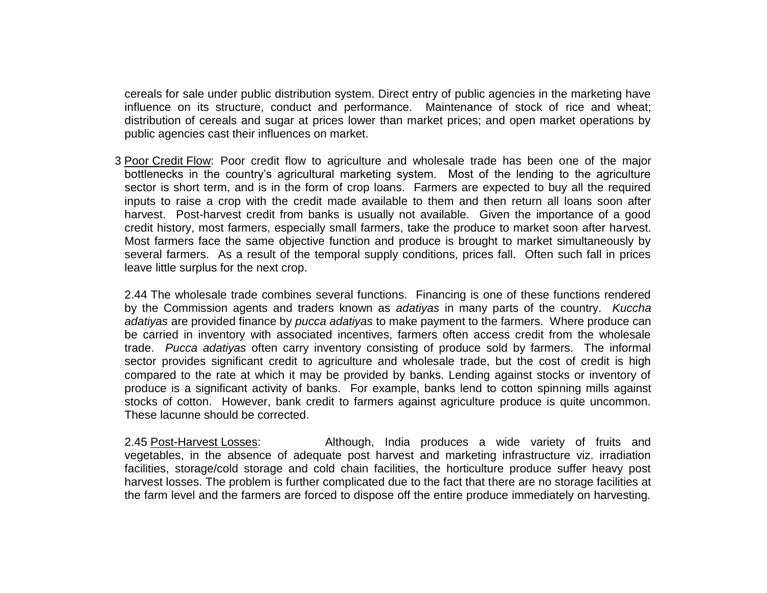cereals for sale under public distribution system. Direct entry of public agencies in the marketing have influence on its structure, conduct and performance. Maintenance of stock of rice and wheat; distribution of cereals and sugar at prices lower than market prices; and open market operations by public agencies cast their influences on market.

2.43 Poor Credit Flow: Poor credit flow to agriculture and wholesale trade has been one of the major bottlenecks in the country's agricultural marketing system. Most of the lending to the agriculture sector is short term, and is in the form of crop loans. Farmers are expected to buy all the required inputs to raise a crop with the credit made available to them and then return all loans soon after harvest. Post-harvest credit from banks is usually not available. Given the importance of a good credit history, most farmers, especially small farmers, take the produce to market soon after harvest. Most farmers face the same objective function and produce is brought to market simultaneously by several farmers. As a result of the temporal supply conditions, prices fall. Often such fall in prices leave little surplus for the next crop.

2.44 The wholesale trade combines several functions. Financing is one of these functions rendered by the Commission agents and traders known as *adatiyas* in many parts of the country. *Kuccha adatiyas* are provided finance by *pucca adatiyas* to make payment to the farmers. Where produce can be carried in inventory with associated incentives, farmers often access credit from the wholesale trade. *Pucca adatiyas* often carry inventory consisting of produce sold by farmers. The informal sector provides significant credit to agriculture and wholesale trade, but the cost of credit is high compared to the rate at which it may be provided by banks. Lending against stocks or inventory of produce is a significant activity of banks. For example, banks lend to cotton spinning mills against stocks of cotton. However, bank credit to farmers against agriculture produce is quite uncommon. These lacunne should be corrected.

2.45 Post-Harvest Losses: Although, India produces a wide variety of fruits and vegetables, in the absence of adequate post harvest and marketing infrastructure viz. irradiation facilities, storage/cold storage and cold chain facilities, the horticulture produce suffer heavy post harvest losses. The problem is further complicated due to the fact that there are no storage facilities at the farm level and the farmers are forced to dispose off the entire produce immediately on harvesting.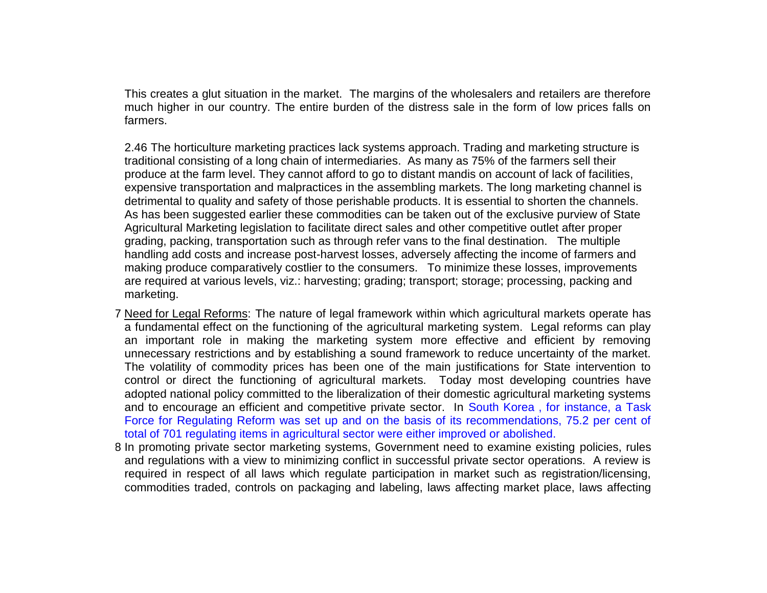This creates a glut situation in the market. The margins of the wholesalers and retailers are therefore much higher in our country. The entire burden of the distress sale in the form of low prices falls on farmers.

2.46 The horticulture marketing practices lack systems approach. Trading and marketing structure is traditional consisting of a long chain of intermediaries. As many as 75% of the farmers sell their produce at the farm level. They cannot afford to go to distant mandis on account of lack of facilities, expensive transportation and malpractices in the assembling markets. The long marketing channel is detrimental to quality and safety of those perishable products. It is essential to shorten the channels. As has been suggested earlier these commodities can be taken out of the exclusive purview of State Agricultural Marketing legislation to facilitate direct sales and other competitive outlet after proper grading, packing, transportation such as through refer vans to the final destination. The multiple handling add costs and increase post-harvest losses, adversely affecting the income of farmers and making produce comparatively costlier to the consumers. To minimize these losses, improvements are required at various levels, viz.: harvesting; grading; transport; storage; processing, packing and marketing.

- 2.47 Need for Legal Reforms: The nature of legal framework within which agricultural markets operate has a fundamental effect on the functioning of the agricultural marketing system. Legal reforms can play an important role in making the marketing system more effective and efficient by removing unnecessary restrictions and by establishing a sound framework to reduce uncertainty of the market. The volatility of commodity prices has been one of the main justifications for State intervention to control or direct the functioning of agricultural markets. Today most developing countries have adopted national policy committed to the liberalization of their domestic agricultural marketing systems and to encourage an efficient and competitive private sector. In South Korea , for instance, a Task Force for Regulating Reform was set up and on the basis of its recommendations, 75.2 per cent of total of 701 regulating items in agricultural sector were either improved or abolished.
- 2.48 In promoting private sector marketing systems, Government need to examine existing policies, rules and regulations with a view to minimizing conflict in successful private sector operations. A review is required in respect of all laws which regulate participation in market such as registration/licensing, commodities traded, controls on packaging and labeling, laws affecting market place, laws affecting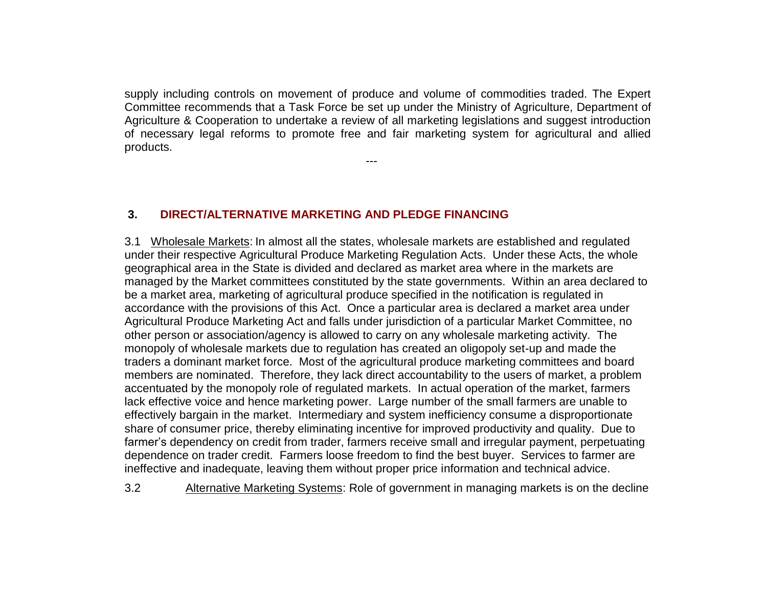supply including controls on movement of produce and volume of commodities traded. The Expert Committee recommends that a Task Force be set up under the Ministry of Agriculture, Department of Agriculture & Cooperation to undertake a review of all marketing legislations and suggest introduction of necessary legal reforms to promote free and fair marketing system for agricultural and allied products.

---

#### **3. DIRECT/ALTERNATIVE MARKETING AND PLEDGE FINANCING**

3.1 Wholesale Markets: In almost all the states, wholesale markets are established and regulated under their respective Agricultural Produce Marketing Regulation Acts. Under these Acts, the whole geographical area in the State is divided and declared as market area where in the markets are managed by the Market committees constituted by the state governments. Within an area declared to be a market area, marketing of agricultural produce specified in the notification is regulated in accordance with the provisions of this Act. Once a particular area is declared a market area under Agricultural Produce Marketing Act and falls under jurisdiction of a particular Market Committee, no other person or association/agency is allowed to carry on any wholesale marketing activity. The monopoly of wholesale markets due to regulation has created an oligopoly set-up and made the traders a dominant market force. Most of the agricultural produce marketing committees and board members are nominated. Therefore, they lack direct accountability to the users of market, a problem accentuated by the monopoly role of regulated markets. In actual operation of the market, farmers lack effective voice and hence marketing power. Large number of the small farmers are unable to effectively bargain in the market. Intermediary and system inefficiency consume a disproportionate share of consumer price, thereby eliminating incentive for improved productivity and quality. Due to farmer's dependency on credit from trader, farmers receive small and irregular payment, perpetuating dependence on trader credit. Farmers loose freedom to find the best buyer. Services to farmer are ineffective and inadequate, leaving them without proper price information and technical advice.

3.2 Alternative Marketing Systems: Role of government in managing markets is on the decline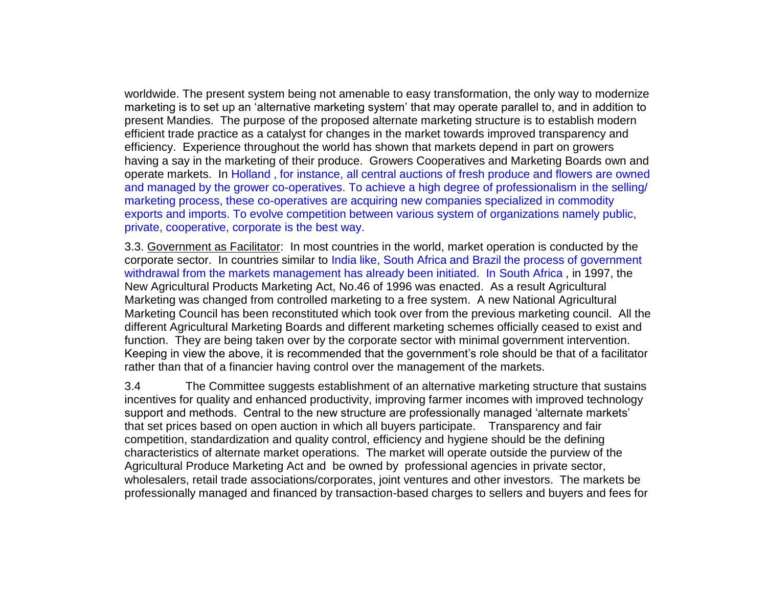worldwide. The present system being not amenable to easy transformation, the only way to modernize marketing is to set up an 'alternative marketing system' that may operate parallel to, and in addition to present Mandies. The purpose of the proposed alternate marketing structure is to establish modern efficient trade practice as a catalyst for changes in the market towards improved transparency and efficiency. Experience throughout the world has shown that markets depend in part on growers having a say in the marketing of their produce. Growers Cooperatives and Marketing Boards own and operate markets. In Holland , for instance, all central auctions of fresh produce and flowers are owned and managed by the grower co-operatives. To achieve a high degree of professionalism in the selling/ marketing process, these co-operatives are acquiring new companies specialized in commodity exports and imports. To evolve competition between various system of organizations namely public, private, cooperative, corporate is the best way.

3.3. Government as Facilitator: In most countries in the world, market operation is conducted by the corporate sector. In countries similar to India like, South Africa and Brazil the process of government withdrawal from the markets management has already been initiated. In South Africa , in 1997, the New Agricultural Products Marketing Act, No.46 of 1996 was enacted. As a result Agricultural Marketing was changed from controlled marketing to a free system. A new National Agricultural Marketing Council has been reconstituted which took over from the previous marketing council. All the different Agricultural Marketing Boards and different marketing schemes officially ceased to exist and function. They are being taken over by the corporate sector with minimal government intervention. Keeping in view the above, it is recommended that the government's role should be that of a facilitator rather than that of a financier having control over the management of the markets.

3.4 The Committee suggests establishment of an alternative marketing structure that sustains incentives for quality and enhanced productivity, improving farmer incomes with improved technology support and methods. Central to the new structure are professionally managed 'alternate markets' that set prices based on open auction in which all buyers participate. Transparency and fair competition, standardization and quality control, efficiency and hygiene should be the defining characteristics of alternate market operations. The market will operate outside the purview of the Agricultural Produce Marketing Act and be owned by professional agencies in private sector, wholesalers, retail trade associations/corporates, joint ventures and other investors. The markets be professionally managed and financed by transaction-based charges to sellers and buyers and fees for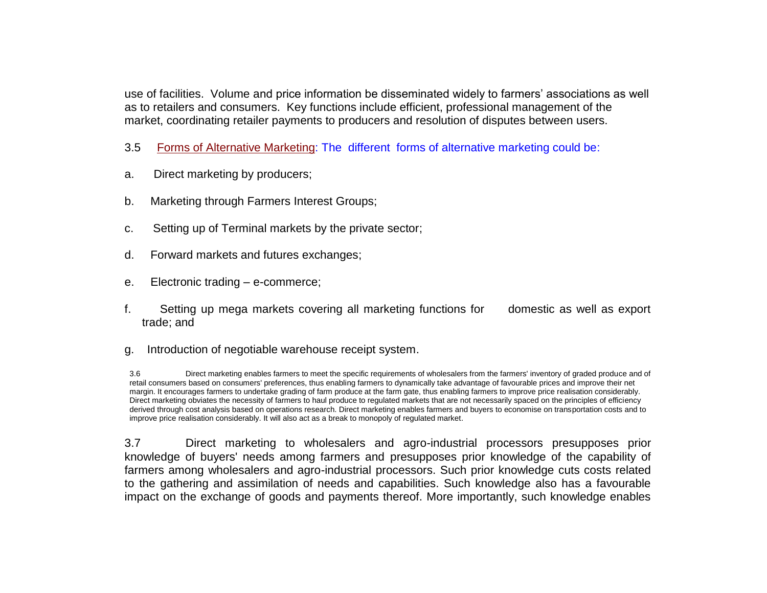use of facilities. Volume and price information be disseminated widely to farmers' associations as well as to retailers and consumers. Key functions include efficient, professional management of the market, coordinating retailer payments to producers and resolution of disputes between users.

- 3.5 Forms of Alternative Marketing: The different forms of alternative marketing could be:
- a. Direct marketing by producers;
- b. Marketing through Farmers Interest Groups;
- c. Setting up of Terminal markets by the private sector;
- d. Forward markets and futures exchanges;
- e. Electronic trading e-commerce;
- f. Setting up mega markets covering all marketing functions for domestic as well as export trade; and
- g. Introduction of negotiable warehouse receipt system.

3.6 Direct marketing enables farmers to meet the specific requirements of wholesalers from the farmers' inventory of graded produce and of retail consumers based on consumers' preferences, thus enabling farmers to dynamically take advantage of favourable prices and improve their net margin. It encourages farmers to undertake grading of farm produce at the farm gate, thus enabling farmers to improve price realisation considerably. Direct marketing obviates the necessity of farmers to haul produce to regulated markets that are not necessarily spaced on the principles of efficiency derived through cost analysis based on operations research. Direct marketing enables farmers and buyers to economise on transportation costs and to improve price realisation considerably. It will also act as a break to monopoly of regulated market.

3.7 Direct marketing to wholesalers and agro-industrial processors presupposes prior knowledge of buyers' needs among farmers and presupposes prior knowledge of the capability of farmers among wholesalers and agro-industrial processors. Such prior knowledge cuts costs related to the gathering and assimilation of needs and capabilities. Such knowledge also has a favourable impact on the exchange of goods and payments thereof. More importantly, such knowledge enables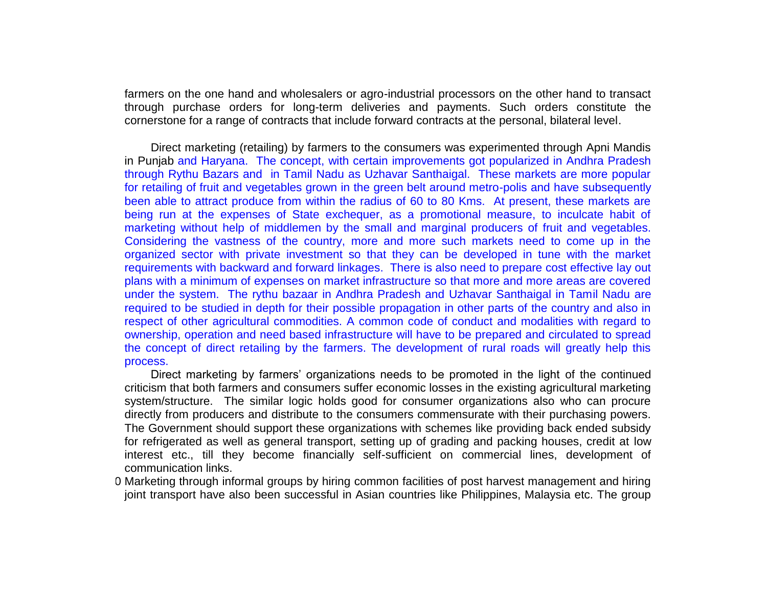farmers on the one hand and wholesalers or agro-industrial processors on the other hand to transact through purchase orders for long-term deliveries and payments. Such orders constitute the cornerstone for a range of contracts that include forward contracts at the personal, bilateral level.

Direct marketing (retailing) by farmers to the consumers was experimented through Apni Mandis in Punjab and Haryana. The concept, with certain improvements got popularized in Andhra Pradesh through Rythu Bazars and in Tamil Nadu as Uzhavar Santhaigal. These markets are more popular for retailing of fruit and vegetables grown in the green belt around metro-polis and have subsequently been able to attract produce from within the radius of 60 to 80 Kms. At present, these markets are being run at the expenses of State exchequer, as a promotional measure, to inculcate habit of marketing without help of middlemen by the small and marginal producers of fruit and vegetables. Considering the vastness of the country, more and more such markets need to come up in the organized sector with private investment so that they can be developed in tune with the market requirements with backward and forward linkages. There is also need to prepare cost effective lay out plans with a minimum of expenses on market infrastructure so that more and more areas are covered under the system. The rythu bazaar in Andhra Pradesh and Uzhavar Santhaigal in Tamil Nadu are required to be studied in depth for their possible propagation in other parts of the country and also in respect of other agricultural commodities. A common code of conduct and modalities with regard to ownership, operation and need based infrastructure will have to be prepared and circulated to spread the concept of direct retailing by the farmers. The development of rural roads will greatly help this process.

Direct marketing by farmers' organizations needs to be promoted in the light of the continued criticism that both farmers and consumers suffer economic losses in the existing agricultural marketing system/structure. The similar logic holds good for consumer organizations also who can procure directly from producers and distribute to the consumers commensurate with their purchasing powers. The Government should support these organizations with schemes like providing back ended subsidy for refrigerated as well as general transport, setting up of grading and packing houses, credit at low interest etc., till they become financially self-sufficient on commercial lines, development of communication links.

0 Marketing through informal groups by hiring common facilities of post harvest management and hiring joint transport have also been successful in Asian countries like Philippines, Malaysia etc. The group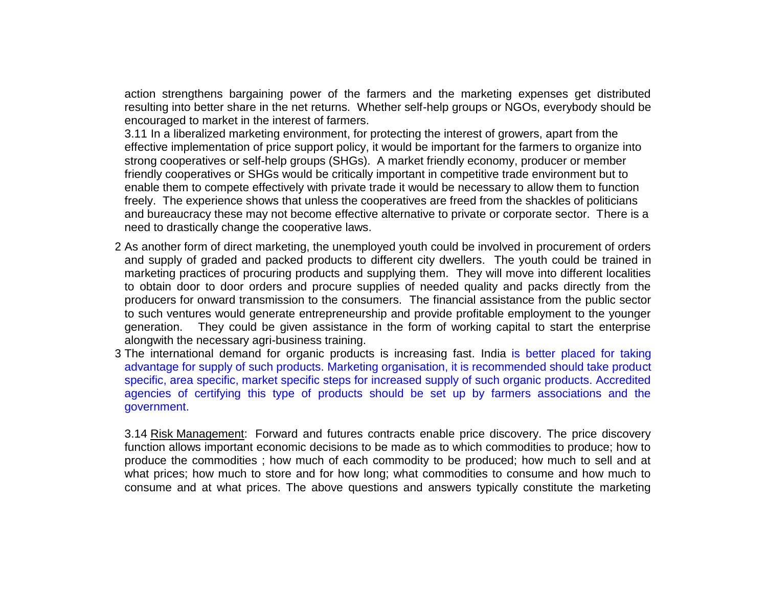action strengthens bargaining power of the farmers and the marketing expenses get distributed resulting into better share in the net returns. Whether self-help groups or NGOs, everybody should be encouraged to market in the interest of farmers.

3.11 In a liberalized marketing environment, for protecting the interest of growers, apart from the effective implementation of price support policy, it would be important for the farmers to organize into strong cooperatives or self-help groups (SHGs). A market friendly economy, producer or member friendly cooperatives or SHGs would be critically important in competitive trade environment but to enable them to compete effectively with private trade it would be necessary to allow them to function freely. The experience shows that unless the cooperatives are freed from the shackles of politicians and bureaucracy these may not become effective alternative to private or corporate sector. There is a need to drastically change the cooperative laws.

- 3.12 As another form of direct marketing, the unemployed youth could be involved in procurement of orders and supply of graded and packed products to different city dwellers. The youth could be trained in marketing practices of procuring products and supplying them. They will move into different localities to obtain door to door orders and procure supplies of needed quality and packs directly from the producers for onward transmission to the consumers. The financial assistance from the public sector to such ventures would generate entrepreneurship and provide profitable employment to the younger generation. They could be given assistance in the form of working capital to start the enterprise alongwith the necessary agri-business training.
- 3. The international demand for organic products is increasing fast. India is better placed for taking advantage for supply of such products. Marketing organisation, it is recommended should take product specific, area specific, market specific steps for increased supply of such organic products. Accredited agencies of certifying this type of products should be set up by farmers associations and the government.

3.14 Risk Management: Forward and futures contracts enable price discovery. The price discovery function allows important economic decisions to be made as to which commodities to produce; how to produce the commodities ; how much of each commodity to be produced; how much to sell and at what prices; how much to store and for how long; what commodities to consume and how much to consume and at what prices. The above questions and answers typically constitute the marketing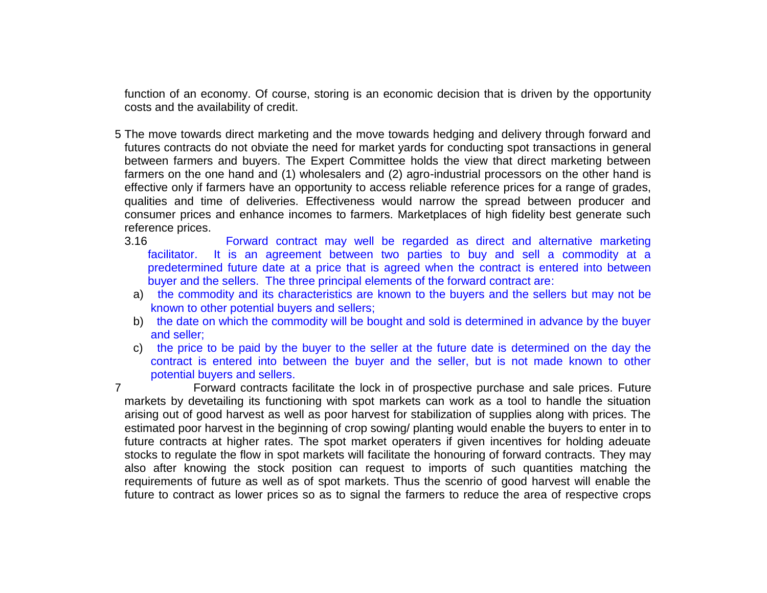function of an economy. Of course, storing is an economic decision that is driven by the opportunity costs and the availability of credit.

- 3.15 The move towards direct marketing and the move towards hedging and delivery through forward and futures contracts do not obviate the need for market yards for conducting spot transactions in general between farmers and buyers. The Expert Committee holds the view that direct marketing between farmers on the one hand and (1) wholesalers and (2) agro-industrial processors on the other hand is effective only if farmers have an opportunity to access reliable reference prices for a range of grades, qualities and time of deliveries. Effectiveness would narrow the spread between producer and consumer prices and enhance incomes to farmers. Marketplaces of high fidelity best generate such reference prices.
	- 3.16 Forward contract may well be regarded as direct and alternative marketing facilitator. It is an agreement between two parties to buy and sell a commodity at a predetermined future date at a price that is agreed when the contract is entered into between buyer and the sellers. The three principal elements of the forward contract are:
		- a) the commodity and its characteristics are known to the buyers and the sellers but may not be known to other potential buyers and sellers;
		- b) the date on which the commodity will be bought and sold is determined in advance by the buyer and seller;
		- c) the price to be paid by the buyer to the seller at the future date is determined on the day the contract is entered into between the buyer and the seller, but is not made known to other potential buyers and sellers.

3.17 Forward contracts facilitate the lock in of prospective purchase and sale prices. Future markets by devetailing its functioning with spot markets can work as a tool to handle the situation arising out of good harvest as well as poor harvest for stabilization of supplies along with prices. The estimated poor harvest in the beginning of crop sowing/ planting would enable the buyers to enter in to future contracts at higher rates. The spot market operaters if given incentives for holding adeuate stocks to regulate the flow in spot markets will facilitate the honouring of forward contracts. They may also after knowing the stock position can request to imports of such quantities matching the requirements of future as well as of spot markets. Thus the scenrio of good harvest will enable the future to contract as lower prices so as to signal the farmers to reduce the area of respective crops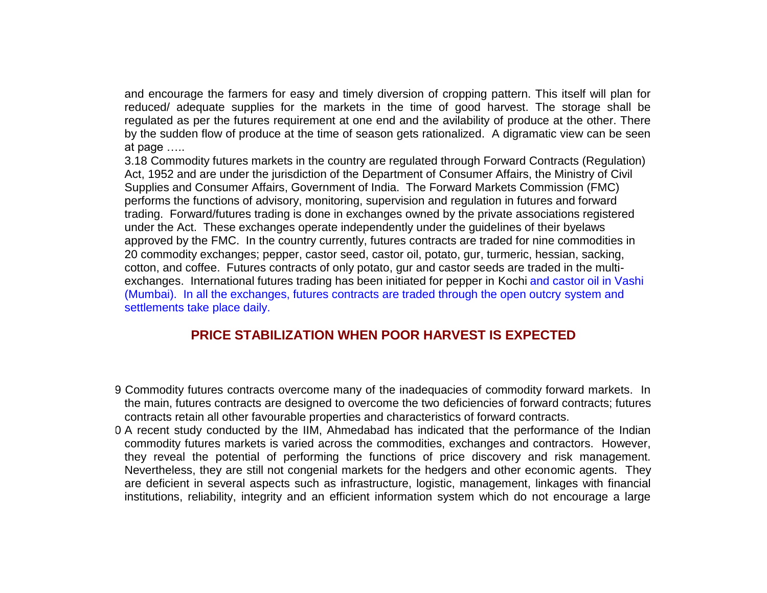and encourage the farmers for easy and timely diversion of cropping pattern. This itself will plan for reduced/ adequate supplies for the markets in the time of good harvest. The storage shall be regulated as per the futures requirement at one end and the avilability of produce at the other. There by the sudden flow of produce at the time of season gets rationalized. A digramatic view can be seen at page …..

3.18 Commodity futures markets in the country are regulated through Forward Contracts (Regulation) Act, 1952 and are under the jurisdiction of the Department of Consumer Affairs, the Ministry of Civil Supplies and Consumer Affairs, Government of India. The Forward Markets Commission (FMC) performs the functions of advisory, monitoring, supervision and regulation in futures and forward trading. Forward/futures trading is done in exchanges owned by the private associations registered under the Act. These exchanges operate independently under the guidelines of their byelaws approved by the FMC. In the country currently, futures contracts are traded for nine commodities in 20 commodity exchanges; pepper, castor seed, castor oil, potato, gur, turmeric, hessian, sacking, cotton, and coffee. Futures contracts of only potato, gur and castor seeds are traded in the multiexchanges. International futures trading has been initiated for pepper in Kochi and castor oil in Vashi (Mumbai). In all the exchanges, futures contracts are traded through the open outcry system and settlements take place daily.

# **PRICE STABILIZATION WHEN POOR HARVEST IS EXPECTED**

- 3.19 Commodity futures contracts overcome many of the inadequacies of commodity forward markets. In the main, futures contracts are designed to overcome the two deficiencies of forward contracts; futures contracts retain all other favourable properties and characteristics of forward contracts.
- 0 A recent study conducted by the IIM, Ahmedabad has indicated that the performance of the Indian commodity futures markets is varied across the commodities, exchanges and contractors. However, they reveal the potential of performing the functions of price discovery and risk management. Nevertheless, they are still not congenial markets for the hedgers and other economic agents. They are deficient in several aspects such as infrastructure, logistic, management, linkages with financial institutions, reliability, integrity and an efficient information system which do not encourage a large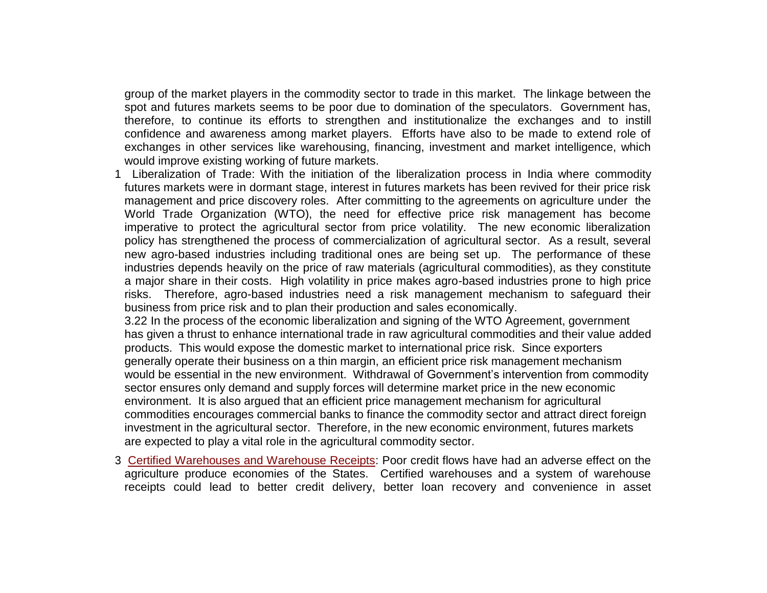group of the market players in the commodity sector to trade in this market. The linkage between the spot and futures markets seems to be poor due to domination of the speculators. Government has, therefore, to continue its efforts to strengthen and institutionalize the exchanges and to instill confidence and awareness among market players. Efforts have also to be made to extend role of exchanges in other services like warehousing, financing, investment and market intelligence, which would improve existing working of future markets.

3.21 Liberalization of Trade: With the initiation of the liberalization process in India where commodity futures markets were in dormant stage, interest in futures markets has been revived for their price risk management and price discovery roles. After committing to the agreements on agriculture under the World Trade Organization (WTO), the need for effective price risk management has become imperative to protect the agricultural sector from price volatility. The new economic liberalization policy has strengthened the process of commercialization of agricultural sector. As a result, several new agro-based industries including traditional ones are being set up. The performance of these industries depends heavily on the price of raw materials (agricultural commodities), as they constitute a major share in their costs. High volatility in price makes agro-based industries prone to high price risks. Therefore, agro-based industries need a risk management mechanism to safeguard their business from price risk and to plan their production and sales economically.

3.22 In the process of the economic liberalization and signing of the WTO Agreement, government has given a thrust to enhance international trade in raw agricultural commodities and their value added products. This would expose the domestic market to international price risk. Since exporters generally operate their business on a thin margin, an efficient price risk management mechanism would be essential in the new environment. Withdrawal of Government's intervention from commodity sector ensures only demand and supply forces will determine market price in the new economic environment. It is also argued that an efficient price management mechanism for agricultural commodities encourages commercial banks to finance the commodity sector and attract direct foreign investment in the agricultural sector. Therefore, in the new economic environment, futures markets are expected to play a vital role in the agricultural commodity sector.

3.23 Certified Warehouses and Warehouse Receipts: Poor credit flows have had an adverse effect on the agriculture produce economies of the States. Certified warehouses and a system of warehouse receipts could lead to better credit delivery, better loan recovery and convenience in asset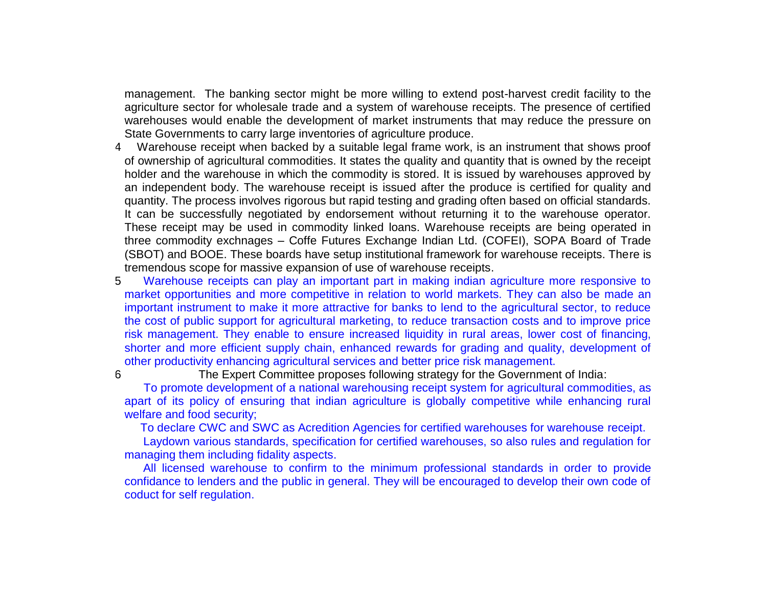management. The banking sector might be more willing to extend post-harvest credit facility to the agriculture sector for wholesale trade and a system of warehouse receipts. The presence of certified warehouses would enable the development of market instruments that may reduce the pressure on State Governments to carry large inventories of agriculture produce.

- 3.24 Warehouse receipt when backed by a suitable legal frame work, is an instrument that shows proof of ownership of agricultural commodities. It states the quality and quantity that is owned by the receipt holder and the warehouse in which the commodity is stored. It is issued by warehouses approved by an independent body. The warehouse receipt is issued after the produce is certified for quality and quantity. The process involves rigorous but rapid testing and grading often based on official standards. It can be successfully negotiated by endorsement without returning it to the warehouse operator. These receipt may be used in commodity linked loans. Warehouse receipts are being operated in three commodity exchnages – Coffe Futures Exchange Indian Ltd. (COFEI), SOPA Board of Trade (SBOT) and BOOE. These boards have setup institutional framework for warehouse receipts. There is tremendous scope for massive expansion of use of warehouse receipts.
- 5. Warehouse receipts can play an important part in making indian agriculture more responsive to market opportunities and more competitive in relation to world markets. They can also be made an important instrument to make it more attractive for banks to lend to the agricultural sector, to reduce the cost of public support for agricultural marketing, to reduce transaction costs and to improve price risk management. They enable to ensure increased liquidity in rural areas, lower cost of financing, shorter and more efficient supply chain, enhanced rewards for grading and quality, development of other productivity enhancing agricultural services and better price risk management.

3.26 The Expert Committee proposes following strategy for the Government of India:

To promote development of a national warehousing receipt system for agricultural commodities, as apart of its policy of ensuring that indian agriculture is globally competitive while enhancing rural welfare and food security;

To declare CWC and SWC as Acredition Agencies for certified warehouses for warehouse receipt.

Laydown various standards, specification for certified warehouses, so also rules and regulation for managing them including fidality aspects.

All licensed warehouse to confirm to the minimum professional standards in order to provide confidance to lenders and the public in general. They will be encouraged to develop their own code of coduct for self regulation.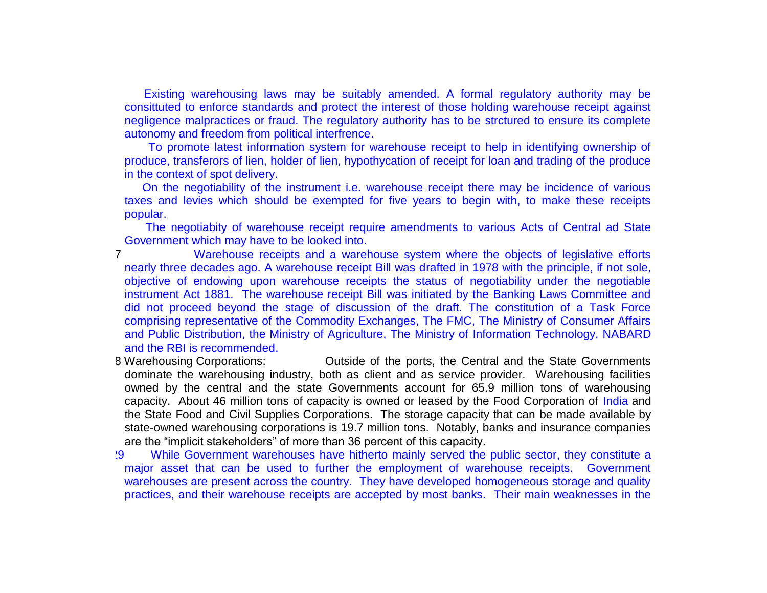Existing warehousing laws may be suitably amended. A formal regulatory authority may be consittuted to enforce standards and protect the interest of those holding warehouse receipt against negligence malpractices or fraud. The regulatory authority has to be strctured to ensure its complete autonomy and freedom from political interfrence.

To promote latest information system for warehouse receipt to help in identifying ownership of produce, transferors of lien, holder of lien, hypothycation of receipt for loan and trading of the produce in the context of spot delivery.

g. On the negotiability of the instrument i.e. warehouse receipt there may be incidence of various taxes and levies which should be exempted for five years to begin with, to make these receipts popular.

The negotiabity of warehouse receipt require amendments to various Acts of Central ad State Government which may have to be looked into.

- 3.27 Warehouse receipts and a warehouse system where the objects of legislative efforts nearly three decades ago. A warehouse receipt Bill was drafted in 1978 with the principle, if not sole, objective of endowing upon warehouse receipts the status of negotiability under the negotiable instrument Act 1881. The warehouse receipt Bill was initiated by the Banking Laws Committee and did not proceed beyond the stage of discussion of the draft. The constitution of a Task Force comprising representative of the Commodity Exchanges, The FMC, The Ministry of Consumer Affairs and Public Distribution, the Ministry of Agriculture, The Ministry of Information Technology, NABARD and the RBI is recommended.
- 3.28 Warehousing Corporations: Outside of the ports, the Central and the State Governments dominate the warehousing industry, both as client and as service provider. Warehousing facilities owned by the central and the state Governments account for 65.9 million tons of warehousing capacity. About 46 million tons of capacity is owned or leased by the Food Corporation of India and the State Food and Civil Supplies Corporations. The storage capacity that can be made available by state-owned warehousing corporations is 19.7 million tons. Notably, banks and insurance companies are the "implicit stakeholders" of more than 36 percent of this capacity.
- 3.29 While Government warehouses have hitherto mainly served the public sector, they constitute a major asset that can be used to further the employment of warehouse receipts. Government warehouses are present across the country. They have developed homogeneous storage and quality practices, and their warehouse receipts are accepted by most banks. Their main weaknesses in the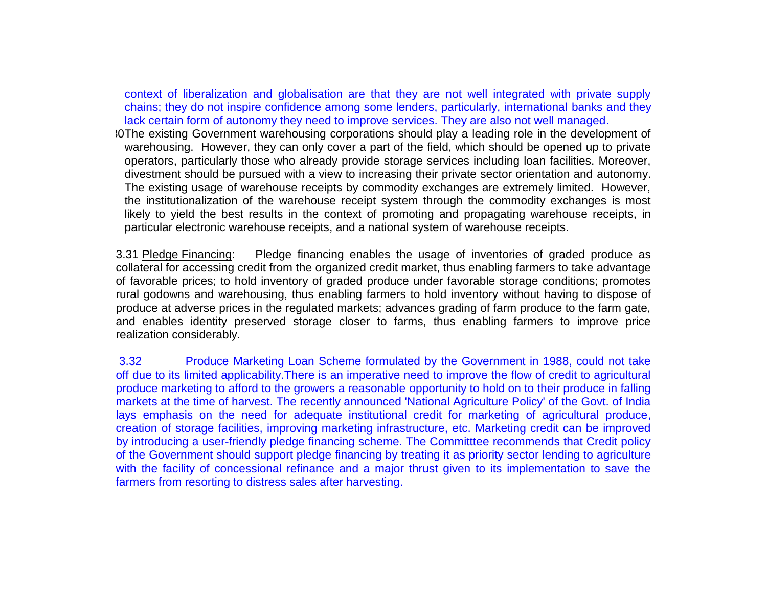context of liberalization and globalisation are that they are not well integrated with private supply chains; they do not inspire confidence among some lenders, particularly, international banks and they lack certain form of autonomy they need to improve services. They are also not well managed.

3.30The existing Government warehousing corporations should play a leading role in the development of warehousing. However, they can only cover a part of the field, which should be opened up to private operators, particularly those who already provide storage services including loan facilities. Moreover, divestment should be pursued with a view to increasing their private sector orientation and autonomy. The existing usage of warehouse receipts by commodity exchanges are extremely limited. However, the institutionalization of the warehouse receipt system through the commodity exchanges is most likely to yield the best results in the context of promoting and propagating warehouse receipts, in particular electronic warehouse receipts, and a national system of warehouse receipts.

3.31 Pledge Financing: Pledge financing enables the usage of inventories of graded produce as collateral for accessing credit from the organized credit market, thus enabling farmers to take advantage of favorable prices; to hold inventory of graded produce under favorable storage conditions; promotes rural godowns and warehousing, thus enabling farmers to hold inventory without having to dispose of produce at adverse prices in the regulated markets; advances grading of farm produce to the farm gate, and enables identity preserved storage closer to farms, thus enabling farmers to improve price realization considerably.

3.32 Produce Marketing Loan Scheme formulated by the Government in 1988, could not take off due to its limited applicability.There is an imperative need to improve the flow of credit to agricultural produce marketing to afford to the growers a reasonable opportunity to hold on to their produce in falling markets at the time of harvest. The recently announced 'National Agriculture Policy' of the Govt. of India lays emphasis on the need for adequate institutional credit for marketing of agricultural produce, creation of storage facilities, improving marketing infrastructure, etc. Marketing credit can be improved by introducing a user-friendly pledge financing scheme. The Committtee recommends that Credit policy of the Government should support pledge financing by treating it as priority sector lending to agriculture with the facility of concessional refinance and a major thrust given to its implementation to save the farmers from resorting to distress sales after harvesting.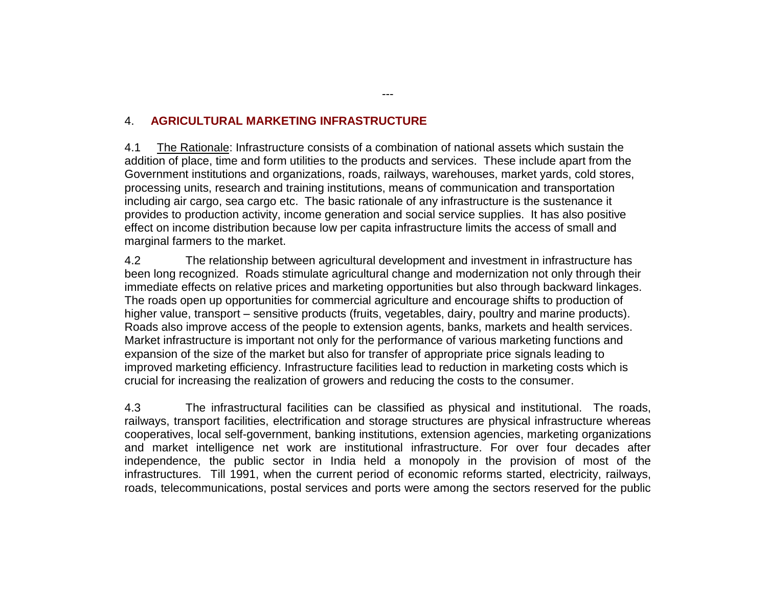## 4. **AGRICULTURAL MARKETING INFRASTRUCTURE**

4.1 The Rationale: Infrastructure consists of a combination of national assets which sustain the addition of place, time and form utilities to the products and services. These include apart from the Government institutions and organizations, roads, railways, warehouses, market yards, cold stores, processing units, research and training institutions, means of communication and transportation including air cargo, sea cargo etc. The basic rationale of any infrastructure is the sustenance it provides to production activity, income generation and social service supplies. It has also positive effect on income distribution because low per capita infrastructure limits the access of small and marginal farmers to the market.

4.2 The relationship between agricultural development and investment in infrastructure has been long recognized. Roads stimulate agricultural change and modernization not only through their immediate effects on relative prices and marketing opportunities but also through backward linkages. The roads open up opportunities for commercial agriculture and encourage shifts to production of higher value, transport – sensitive products (fruits, vegetables, dairy, poultry and marine products). Roads also improve access of the people to extension agents, banks, markets and health services. Market infrastructure is important not only for the performance of various marketing functions and expansion of the size of the market but also for transfer of appropriate price signals leading to improved marketing efficiency. Infrastructure facilities lead to reduction in marketing costs which is crucial for increasing the realization of growers and reducing the costs to the consumer.

4.3 The infrastructural facilities can be classified as physical and institutional. The roads, railways, transport facilities, electrification and storage structures are physical infrastructure whereas cooperatives, local self-government, banking institutions, extension agencies, marketing organizations and market intelligence net work are institutional infrastructure. For over four decades after independence, the public sector in India held a monopoly in the provision of most of the infrastructures. Till 1991, when the current period of economic reforms started, electricity, railways, roads, telecommunications, postal services and ports were among the sectors reserved for the public

---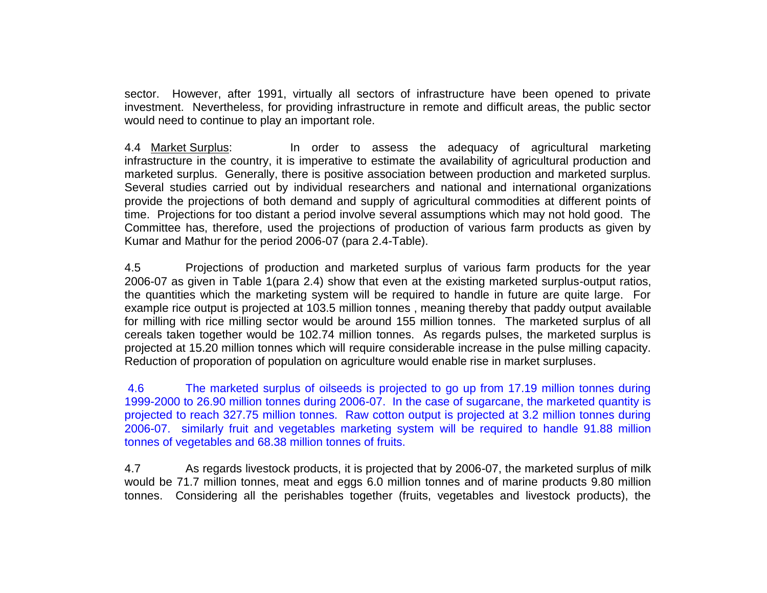sector. However, after 1991, virtually all sectors of infrastructure have been opened to private investment. Nevertheless, for providing infrastructure in remote and difficult areas, the public sector would need to continue to play an important role.

4.4 Market Surplus: In order to assess the adequacy of agricultural marketing infrastructure in the country, it is imperative to estimate the availability of agricultural production and marketed surplus. Generally, there is positive association between production and marketed surplus. Several studies carried out by individual researchers and national and international organizations provide the projections of both demand and supply of agricultural commodities at different points of time. Projections for too distant a period involve several assumptions which may not hold good. The Committee has, therefore, used the projections of production of various farm products as given by Kumar and Mathur for the period 2006-07 (para 2.4-Table).

4.5 Projections of production and marketed surplus of various farm products for the year 2006-07 as given in Table 1(para 2.4) show that even at the existing marketed surplus-output ratios, the quantities which the marketing system will be required to handle in future are quite large. For example rice output is projected at 103.5 million tonnes , meaning thereby that paddy output available for milling with rice milling sector would be around 155 million tonnes. The marketed surplus of all cereals taken together would be 102.74 million tonnes. As regards pulses, the marketed surplus is projected at 15.20 million tonnes which will require considerable increase in the pulse milling capacity. Reduction of proporation of population on agriculture would enable rise in market surpluses.

4.6 The marketed surplus of oilseeds is projected to go up from 17.19 million tonnes during 1999-2000 to 26.90 million tonnes during 2006-07. In the case of sugarcane, the marketed quantity is projected to reach 327.75 million tonnes. Raw cotton output is projected at 3.2 million tonnes during 2006-07. similarly fruit and vegetables marketing system will be required to handle 91.88 million tonnes of vegetables and 68.38 million tonnes of fruits.

4.7 As regards livestock products, it is projected that by 2006-07, the marketed surplus of milk would be 71.7 million tonnes, meat and eggs 6.0 million tonnes and of marine products 9.80 million tonnes. Considering all the perishables together (fruits, vegetables and livestock products), the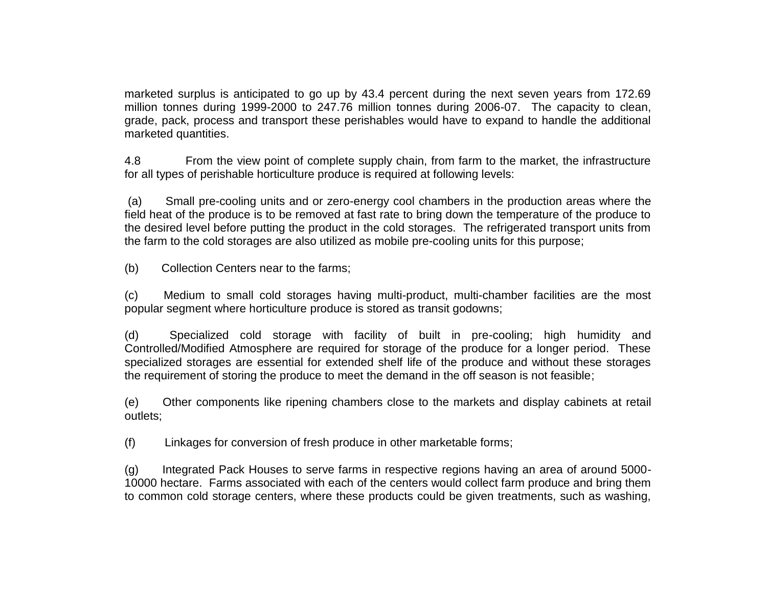marketed surplus is anticipated to go up by 43.4 percent during the next seven years from 172.69 million tonnes during 1999-2000 to 247.76 million tonnes during 2006-07. The capacity to clean, grade, pack, process and transport these perishables would have to expand to handle the additional marketed quantities.

4.8 From the view point of complete supply chain, from farm to the market, the infrastructure for all types of perishable horticulture produce is required at following levels:

(a) Small pre-cooling units and or zero-energy cool chambers in the production areas where the field heat of the produce is to be removed at fast rate to bring down the temperature of the produce to the desired level before putting the product in the cold storages. The refrigerated transport units from the farm to the cold storages are also utilized as mobile pre-cooling units for this purpose;

(b) Collection Centers near to the farms;

(c) Medium to small cold storages having multi-product, multi-chamber facilities are the most popular segment where horticulture produce is stored as transit godowns;

(d) Specialized cold storage with facility of built in pre-cooling; high humidity and Controlled/Modified Atmosphere are required for storage of the produce for a longer period. These specialized storages are essential for extended shelf life of the produce and without these storages the requirement of storing the produce to meet the demand in the off season is not feasible;

(e) Other components like ripening chambers close to the markets and display cabinets at retail outlets;

(f) Linkages for conversion of fresh produce in other marketable forms;

(g) Integrated Pack Houses to serve farms in respective regions having an area of around 5000- 10000 hectare. Farms associated with each of the centers would collect farm produce and bring them to common cold storage centers, where these products could be given treatments, such as washing,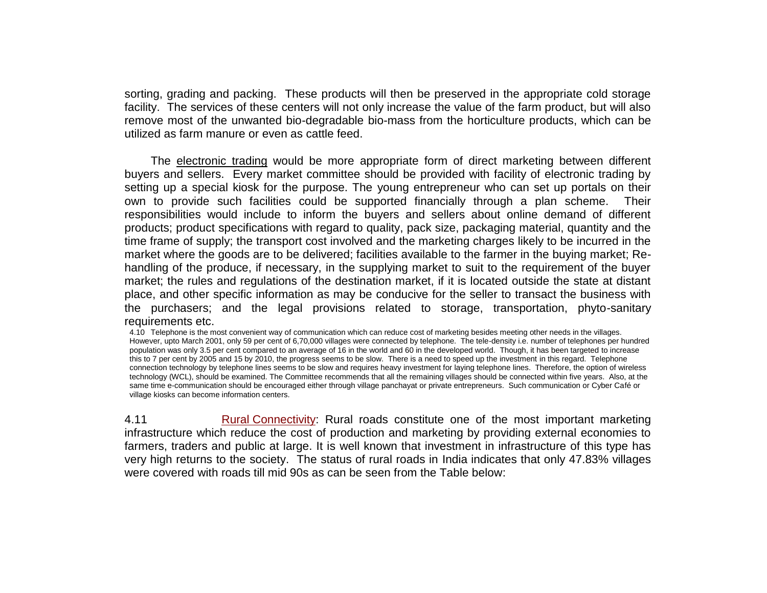sorting, grading and packing. These products will then be preserved in the appropriate cold storage facility. The services of these centers will not only increase the value of the farm product, but will also remove most of the unwanted bio-degradable bio-mass from the horticulture products, which can be utilized as farm manure or even as cattle feed.

The electronic trading would be more appropriate form of direct marketing between different buyers and sellers. Every market committee should be provided with facility of electronic trading by setting up a special kiosk for the purpose. The young entrepreneur who can set up portals on their own to provide such facilities could be supported financially through a plan scheme. Their responsibilities would include to inform the buyers and sellers about online demand of different products; product specifications with regard to quality, pack size, packaging material, quantity and the time frame of supply; the transport cost involved and the marketing charges likely to be incurred in the market where the goods are to be delivered; facilities available to the farmer in the buying market; Rehandling of the produce, if necessary, in the supplying market to suit to the requirement of the buyer market; the rules and regulations of the destination market, if it is located outside the state at distant place, and other specific information as may be conducive for the seller to transact the business with the purchasers; and the legal provisions related to storage, transportation, phyto-sanitary requirements etc.

4.10 Telephone is the most convenient way of communication which can reduce cost of marketing besides meeting other needs in the villages. However, upto March 2001, only 59 per cent of 6,70,000 villages were connected by telephone. The tele-density i.e. number of telephones per hundred population was only 3.5 per cent compared to an average of 16 in the world and 60 in the developed world. Though, it has been targeted to increase this to 7 per cent by 2005 and 15 by 2010, the progress seems to be slow. There is a need to speed up the investment in this regard. Telephone connection technology by telephone lines seems to be slow and requires heavy investment for laying telephone lines. Therefore, the option of wireless technology (WCL), should be examined. The Committee recommends that all the remaining villages should be connected within five years. Also, at the same time e-communication should be encouraged either through village panchayat or private entrepreneurs. Such communication or Cyber Café or village kiosks can become information centers.

4.11 Rural Connectivity: Rural roads constitute one of the most important marketing infrastructure which reduce the cost of production and marketing by providing external economies to farmers, traders and public at large. It is well known that investment in infrastructure of this type has very high returns to the society. The status of rural roads in India indicates that only 47.83% villages were covered with roads till mid 90s as can be seen from the Table below: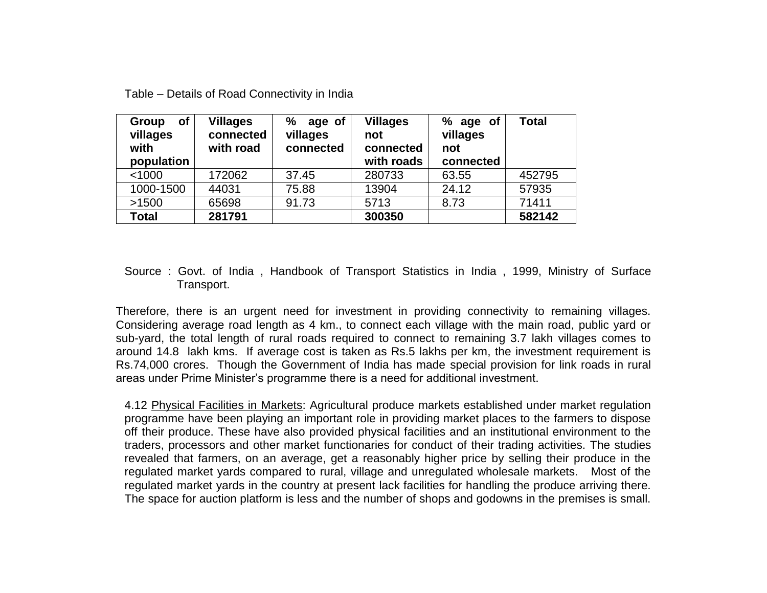| <b>of</b><br>Group<br>villages<br>with<br>population | <b>Villages</b><br>connected<br>with road | ℅<br>age of<br>villages<br>connected | <b>Villages</b><br>not<br>connected<br>with roads | % age of<br>villages<br>not<br>connected | <b>Total</b> |
|------------------------------------------------------|-------------------------------------------|--------------------------------------|---------------------------------------------------|------------------------------------------|--------------|
| < 1000                                               | 172062                                    | 37.45                                | 280733                                            | 63.55                                    | 452795       |
| 1000-1500                                            | 44031                                     | 75.88                                | 13904                                             | 24.12                                    | 57935        |
| >1500                                                | 65698                                     | 91.73                                | 5713                                              | 8.73                                     | 71411        |
| <b>Total</b>                                         | 281791                                    |                                      | 300350                                            |                                          | 582142       |

### Source : Govt. of India , Handbook of Transport Statistics in India , 1999, Ministry of Surface Transport.

Therefore, there is an urgent need for investment in providing connectivity to remaining villages. Considering average road length as 4 km., to connect each village with the main road, public yard or sub-yard, the total length of rural roads required to connect to remaining 3.7 lakh villages comes to around 14.8 lakh kms. If average cost is taken as Rs.5 lakhs per km, the investment requirement is Rs.74,000 crores. Though the Government of India has made special provision for link roads in rural areas under Prime Minister's programme there is a need for additional investment.

4.12 Physical Facilities in Markets: Agricultural produce markets established under market regulation programme have been playing an important role in providing market places to the farmers to dispose off their produce. These have also provided physical facilities and an institutional environment to the traders, processors and other market functionaries for conduct of their trading activities. The studies revealed that farmers, on an average, get a reasonably higher price by selling their produce in the regulated market yards compared to rural, village and unregulated wholesale markets. Most of the regulated market yards in the country at present lack facilities for handling the produce arriving there. The space for auction platform is less and the number of shops and godowns in the premises is small.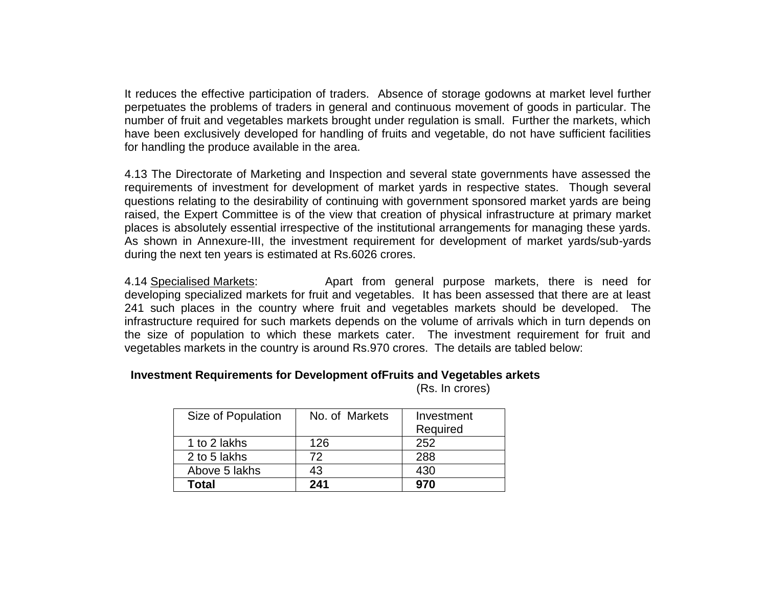It reduces the effective participation of traders. Absence of storage godowns at market level further perpetuates the problems of traders in general and continuous movement of goods in particular. The number of fruit and vegetables markets brought under regulation is small. Further the markets, which have been exclusively developed for handling of fruits and vegetable, do not have sufficient facilities for handling the produce available in the area.

4.13 The Directorate of Marketing and Inspection and several state governments have assessed the requirements of investment for development of market yards in respective states. Though several questions relating to the desirability of continuing with government sponsored market yards are being raised, the Expert Committee is of the view that creation of physical infrastructure at primary market places is absolutely essential irrespective of the institutional arrangements for managing these yards. As shown in Annexure-III, the investment requirement for development of market yards/sub-yards during the next ten years is estimated at Rs.6026 crores.

4.14 Specialised Markets: Apart from general purpose markets, there is need for developing specialized markets for fruit and vegetables. It has been assessed that there are at least 241 such places in the country where fruit and vegetables markets should be developed. The infrastructure required for such markets depends on the volume of arrivals which in turn depends on the size of population to which these markets cater. The investment requirement for fruit and vegetables markets in the country is around Rs.970 crores. The details are tabled below:

## **Investment Requirements for Development ofFruits and Vegetables arkets**

(Rs. In crores)

| Size of Population | No. of Markets | Investment<br>Required |
|--------------------|----------------|------------------------|
| 1 to 2 lakhs       | 126            | 252                    |
| 2 to 5 lakhs       | 72             | 288                    |
| Above 5 lakhs      | 43             | 430                    |
| Total              | 241            | 970                    |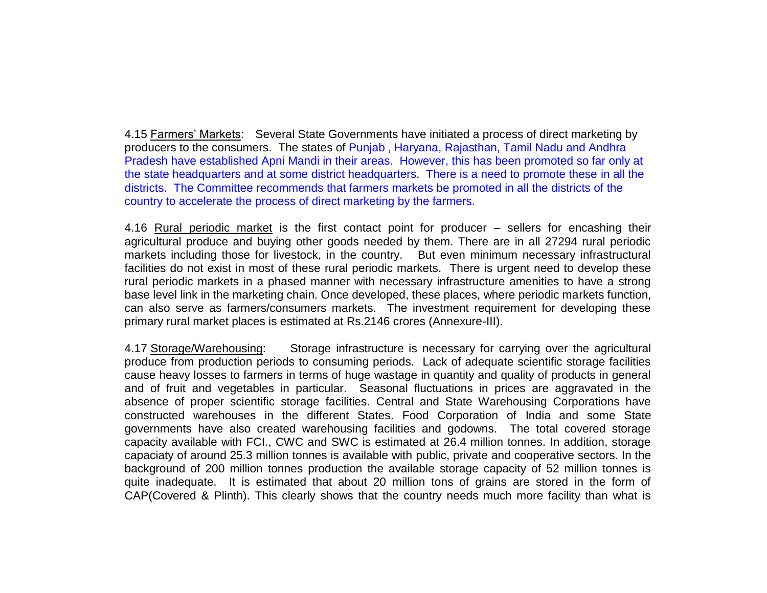4.15 Farmers' Markets: Several State Governments have initiated a process of direct marketing by producers to the consumers. The states of Punjab , Haryana, Rajasthan, Tamil Nadu and Andhra Pradesh have established Apni Mandi in their areas. However, this has been promoted so far only at the state headquarters and at some district headquarters. There is a need to promote these in all the districts. The Committee recommends that farmers markets be promoted in all the districts of the country to accelerate the process of direct marketing by the farmers.

4.16 Rural periodic market is the first contact point for producer – sellers for encashing their agricultural produce and buying other goods needed by them. There are in all 27294 rural periodic markets including those for livestock, in the country. But even minimum necessary infrastructural facilities do not exist in most of these rural periodic markets. There is urgent need to develop these rural periodic markets in a phased manner with necessary infrastructure amenities to have a strong base level link in the marketing chain. Once developed, these places, where periodic markets function, can also serve as farmers/consumers markets. The investment requirement for developing these primary rural market places is estimated at Rs.2146 crores (Annexure-III).

4.17 Storage/Warehousing: Storage infrastructure is necessary for carrying over the agricultural produce from production periods to consuming periods. Lack of adequate scientific storage facilities cause heavy losses to farmers in terms of huge wastage in quantity and quality of products in general and of fruit and vegetables in particular. Seasonal fluctuations in prices are aggravated in the absence of proper scientific storage facilities. Central and State Warehousing Corporations have constructed warehouses in the different States. Food Corporation of India and some State governments have also created warehousing facilities and godowns. The total covered storage capacity available with FCI., CWC and SWC is estimated at 26.4 million tonnes. In addition, storage capaciaty of around 25.3 million tonnes is available with public, private and cooperative sectors. In the background of 200 million tonnes production the available storage capacity of 52 million tonnes is quite inadequate. It is estimated that about 20 million tons of grains are stored in the form of CAP(Covered & Plinth). This clearly shows that the country needs much more facility than what is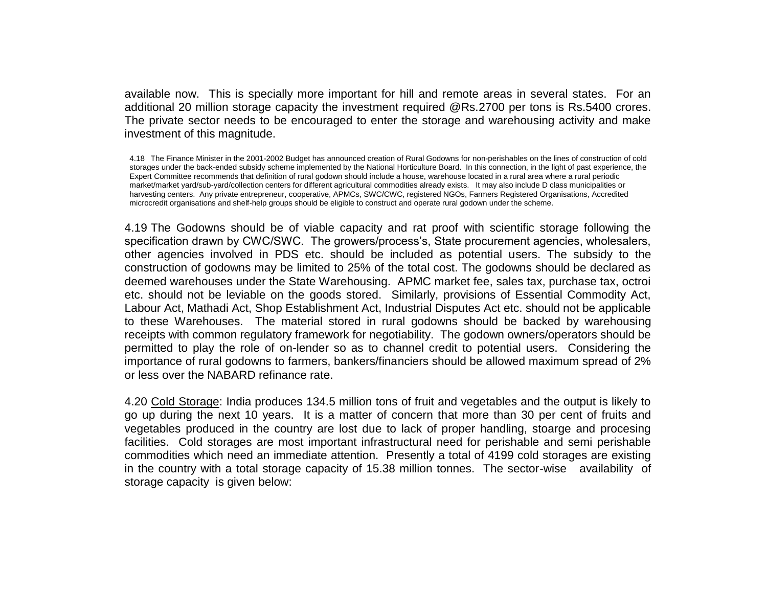available now. This is specially more important for hill and remote areas in several states. For an additional 20 million storage capacity the investment required @Rs.2700 per tons is Rs.5400 crores. The private sector needs to be encouraged to enter the storage and warehousing activity and make investment of this magnitude.

4.18 The Finance Minister in the 2001-2002 Budget has announced creation of Rural Godowns for non-perishables on the lines of construction of cold storages under the back-ended subsidy scheme implemented by the National Horticulture Board. In this connection, in the light of past experience, the Expert Committee recommends that definition of rural godown should include a house, warehouse located in a rural area where a rural periodic market/market yard/sub-yard/collection centers for different agricultural commodities already exists. It may also include D class municipalities or harvesting centers. Any private entrepreneur, cooperative, APMCs, SWC/CWC, registered NGOs, Farmers Registered Organisations, Accredited microcredit organisations and shelf-help groups should be eligible to construct and operate rural godown under the scheme.

4.19 The Godowns should be of viable capacity and rat proof with scientific storage following the specification drawn by CWC/SWC. The growers/process's, State procurement agencies, wholesalers, other agencies involved in PDS etc. should be included as potential users. The subsidy to the construction of godowns may be limited to 25% of the total cost. The godowns should be declared as deemed warehouses under the State Warehousing. APMC market fee, sales tax, purchase tax, octroi etc. should not be leviable on the goods stored. Similarly, provisions of Essential Commodity Act, Labour Act, Mathadi Act, Shop Establishment Act, Industrial Disputes Act etc. should not be applicable to these Warehouses. The material stored in rural godowns should be backed by warehousing receipts with common regulatory framework for negotiability. The godown owners/operators should be permitted to play the role of on-lender so as to channel credit to potential users. Considering the importance of rural godowns to farmers, bankers/financiers should be allowed maximum spread of 2% or less over the NABARD refinance rate.

4.20 Cold Storage: India produces 134.5 million tons of fruit and vegetables and the output is likely to go up during the next 10 years. It is a matter of concern that more than 30 per cent of fruits and vegetables produced in the country are lost due to lack of proper handling, stoarge and procesing facilities. Cold storages are most important infrastructural need for perishable and semi perishable commodities which need an immediate attention. Presently a total of 4199 cold storages are existing in the country with a total storage capacity of 15.38 million tonnes. The sector-wise availability of storage capacity is given below: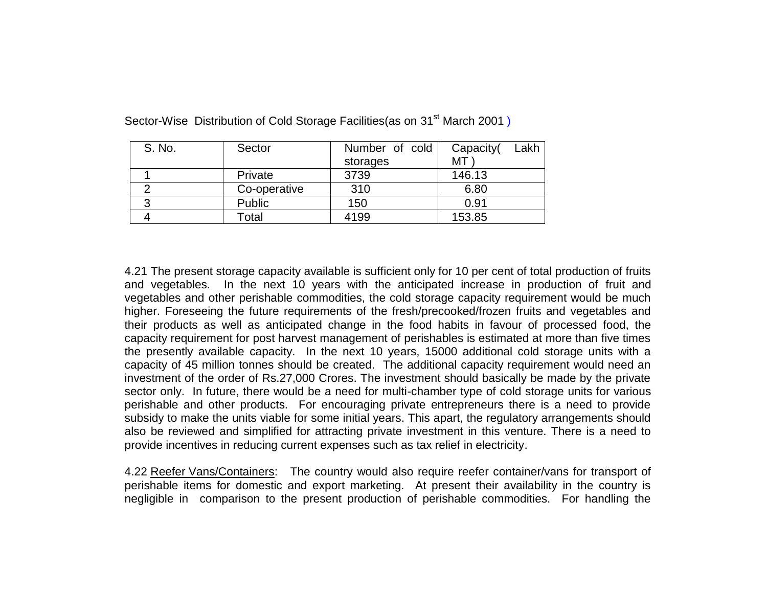| S. No. | Sector       | Number of cold | Lakh<br>Capacity( |
|--------|--------------|----------------|-------------------|
|        |              | storages       | МT                |
|        | Private      | 3739           | 146.13            |
|        | Co-operative | 310            | 6.80              |
| າ      | Public       | 150            | 0.91              |
|        | Total        | 4199           | 153.85            |

Sector-Wise Distribution of Cold Storage Facilities(as on 31<sup>st</sup> March 2001)

4.21 The present storage capacity available is sufficient only for 10 per cent of total production of fruits and vegetables. In the next 10 years with the anticipated increase in production of fruit and vegetables and other perishable commodities, the cold storage capacity requirement would be much higher. Foreseeing the future requirements of the fresh/precooked/frozen fruits and vegetables and their products as well as anticipated change in the food habits in favour of processed food, the capacity requirement for post harvest management of perishables is estimated at more than five times the presently available capacity. In the next 10 years, 15000 additional cold storage units with a capacity of 45 million tonnes should be created. The additional capacity requirement would need an investment of the order of Rs.27,000 Crores. The investment should basically be made by the private sector only. In future, there would be a need for multi-chamber type of cold storage units for various perishable and other products. For encouraging private entrepreneurs there is a need to provide subsidy to make the units viable for some initial years. This apart, the regulatory arrangements should also be reviewed and simplified for attracting private investment in this venture. There is a need to provide incentives in reducing current expenses such as tax relief in electricity.

4.22 Reefer Vans/Containers: The country would also require reefer container/vans for transport of perishable items for domestic and export marketing. At present their availability in the country is negligible in comparison to the present production of perishable commodities. For handling the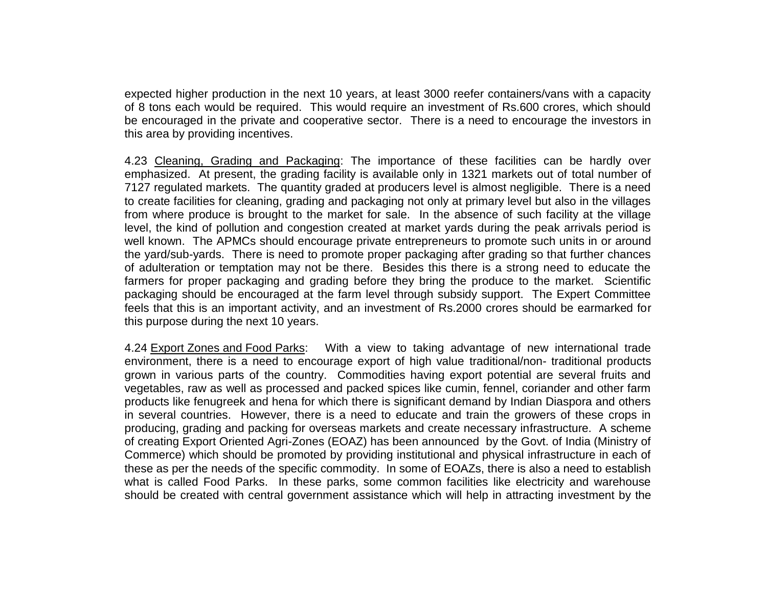expected higher production in the next 10 years, at least 3000 reefer containers/vans with a capacity of 8 tons each would be required. This would require an investment of Rs.600 crores, which should be encouraged in the private and cooperative sector. There is a need to encourage the investors in this area by providing incentives.

4.23 Cleaning, Grading and Packaging: The importance of these facilities can be hardly over emphasized. At present, the grading facility is available only in 1321 markets out of total number of 7127 regulated markets. The quantity graded at producers level is almost negligible. There is a need to create facilities for cleaning, grading and packaging not only at primary level but also in the villages from where produce is brought to the market for sale. In the absence of such facility at the village level, the kind of pollution and congestion created at market yards during the peak arrivals period is well known. The APMCs should encourage private entrepreneurs to promote such units in or around the yard/sub-yards. There is need to promote proper packaging after grading so that further chances of adulteration or temptation may not be there. Besides this there is a strong need to educate the farmers for proper packaging and grading before they bring the produce to the market. Scientific packaging should be encouraged at the farm level through subsidy support. The Expert Committee feels that this is an important activity, and an investment of Rs.2000 crores should be earmarked for this purpose during the next 10 years.

4.24 Export Zones and Food Parks: With a view to taking advantage of new international trade environment, there is a need to encourage export of high value traditional/non- traditional products grown in various parts of the country. Commodities having export potential are several fruits and vegetables, raw as well as processed and packed spices like cumin, fennel, coriander and other farm products like fenugreek and hena for which there is significant demand by Indian Diaspora and others in several countries. However, there is a need to educate and train the growers of these crops in producing, grading and packing for overseas markets and create necessary infrastructure. A scheme of creating Export Oriented Agri-Zones (EOAZ) has been announced by the Govt. of India (Ministry of Commerce) which should be promoted by providing institutional and physical infrastructure in each of these as per the needs of the specific commodity. In some of EOAZs, there is also a need to establish what is called Food Parks. In these parks, some common facilities like electricity and warehouse should be created with central government assistance which will help in attracting investment by the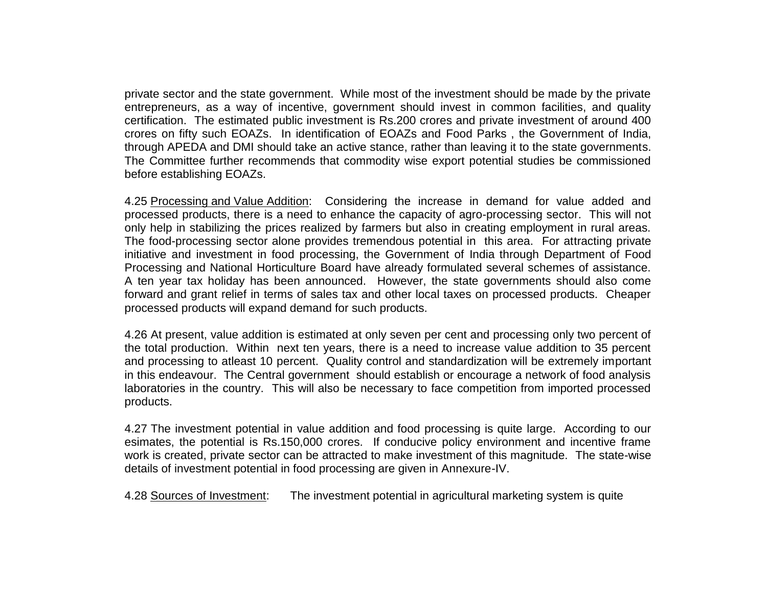private sector and the state government. While most of the investment should be made by the private entrepreneurs, as a way of incentive, government should invest in common facilities, and quality certification. The estimated public investment is Rs.200 crores and private investment of around 400 crores on fifty such EOAZs. In identification of EOAZs and Food Parks , the Government of India, through APEDA and DMI should take an active stance, rather than leaving it to the state governments. The Committee further recommends that commodity wise export potential studies be commissioned before establishing EOAZs.

4.25 Processing and Value Addition: Considering the increase in demand for value added and processed products, there is a need to enhance the capacity of agro-processing sector. This will not only help in stabilizing the prices realized by farmers but also in creating employment in rural areas. The food-processing sector alone provides tremendous potential in this area. For attracting private initiative and investment in food processing, the Government of India through Department of Food Processing and National Horticulture Board have already formulated several schemes of assistance. A ten year tax holiday has been announced. However, the state governments should also come forward and grant relief in terms of sales tax and other local taxes on processed products. Cheaper processed products will expand demand for such products.

4.26 At present, value addition is estimated at only seven per cent and processing only two percent of the total production. Within next ten years, there is a need to increase value addition to 35 percent and processing to atleast 10 percent. Quality control and standardization will be extremely important in this endeavour. The Central government should establish or encourage a network of food analysis laboratories in the country. This will also be necessary to face competition from imported processed products.

4.27 The investment potential in value addition and food processing is quite large. According to our esimates, the potential is Rs.150,000 crores. If conducive policy environment and incentive frame work is created, private sector can be attracted to make investment of this magnitude. The state-wise details of investment potential in food processing are given in Annexure-IV.

4.28 Sources of Investment: The investment potential in agricultural marketing system is quite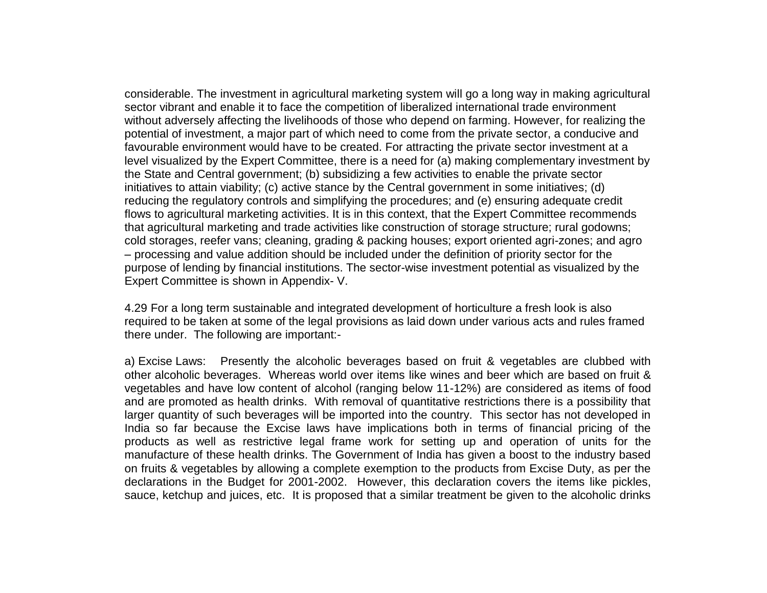considerable. The investment in agricultural marketing system will go a long way in making agricultural sector vibrant and enable it to face the competition of liberalized international trade environment without adversely affecting the livelihoods of those who depend on farming. However, for realizing the potential of investment, a major part of which need to come from the private sector, a conducive and favourable environment would have to be created. For attracting the private sector investment at a level visualized by the Expert Committee, there is a need for (a) making complementary investment by the State and Central government; (b) subsidizing a few activities to enable the private sector initiatives to attain viability; (c) active stance by the Central government in some initiatives; (d) reducing the regulatory controls and simplifying the procedures; and (e) ensuring adequate credit flows to agricultural marketing activities. It is in this context, that the Expert Committee recommends that agricultural marketing and trade activities like construction of storage structure; rural godowns; cold storages, reefer vans; cleaning, grading & packing houses; export oriented agri-zones; and agro – processing and value addition should be included under the definition of priority sector for the purpose of lending by financial institutions. The sector-wise investment potential as visualized by the Expert Committee is shown in Appendix- V.

4.29 For a long term sustainable and integrated development of horticulture a fresh look is also required to be taken at some of the legal provisions as laid down under various acts and rules framed there under. The following are important:-

a) Excise Laws: Presently the alcoholic beverages based on fruit & vegetables are clubbed with other alcoholic beverages. Whereas world over items like wines and beer which are based on fruit & vegetables and have low content of alcohol (ranging below 11-12%) are considered as items of food and are promoted as health drinks. With removal of quantitative restrictions there is a possibility that larger quantity of such beverages will be imported into the country. This sector has not developed in India so far because the Excise laws have implications both in terms of financial pricing of the products as well as restrictive legal frame work for setting up and operation of units for the manufacture of these health drinks. The Government of India has given a boost to the industry based on fruits & vegetables by allowing a complete exemption to the products from Excise Duty, as per the declarations in the Budget for 2001-2002. However, this declaration covers the items like pickles, sauce, ketchup and juices, etc. It is proposed that a similar treatment be given to the alcoholic drinks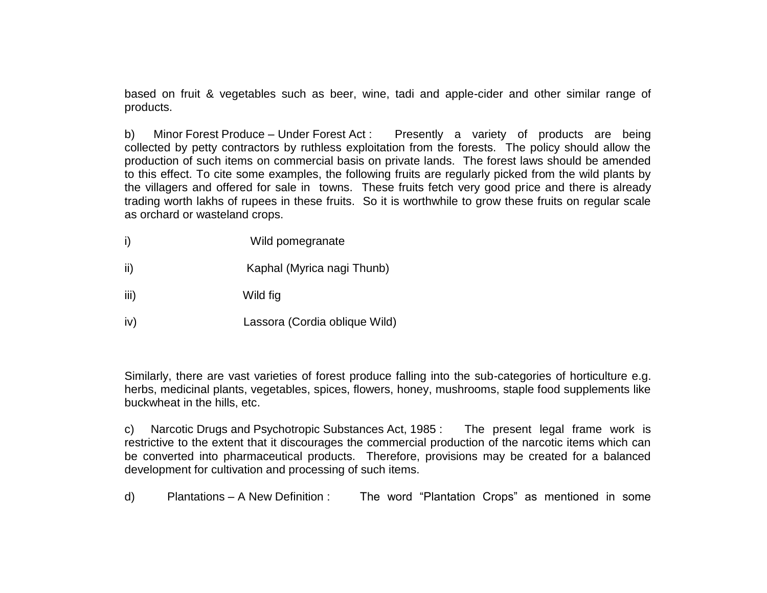based on fruit & vegetables such as beer, wine, tadi and apple-cider and other similar range of products.

b) Minor Forest Produce – Under Forest Act : Presently a variety of products are being collected by petty contractors by ruthless exploitation from the forests. The policy should allow the production of such items on commercial basis on private lands. The forest laws should be amended to this effect. To cite some examples, the following fruits are regularly picked from the wild plants by the villagers and offered for sale in towns. These fruits fetch very good price and there is already trading worth lakhs of rupees in these fruits. So it is worthwhile to grow these fruits on regular scale as orchard or wasteland crops.

- i) Wild pomegranate
- ii) Kaphal (Myrica nagi Thunb)
- iii) Wild fig
- iv) Lassora (Cordia oblique Wild)

Similarly, there are vast varieties of forest produce falling into the sub-categories of horticulture e.g. herbs, medicinal plants, vegetables, spices, flowers, honey, mushrooms, staple food supplements like buckwheat in the hills, etc.

c) Narcotic Drugs and Psychotropic Substances Act, 1985 : The present legal frame work is restrictive to the extent that it discourages the commercial production of the narcotic items which can be converted into pharmaceutical products. Therefore, provisions may be created for a balanced development for cultivation and processing of such items.

d) Plantations – A New Definition : The word "Plantation Crops" as mentioned in some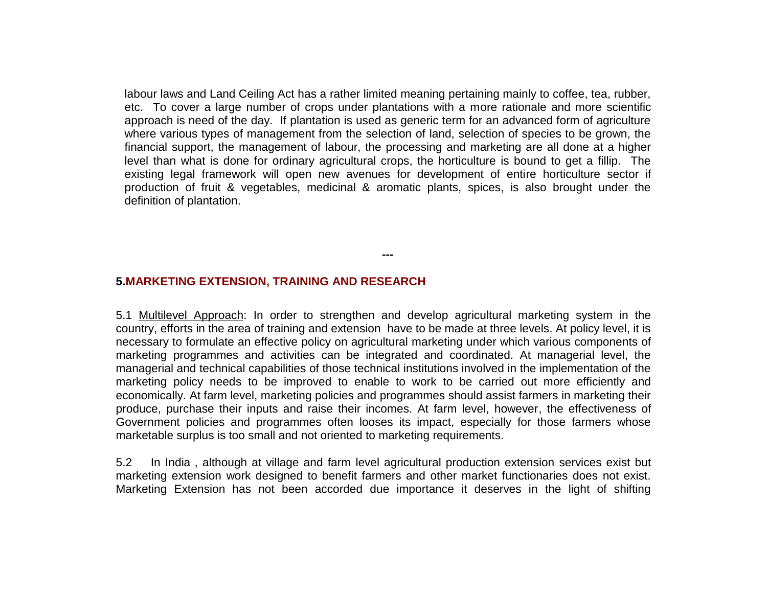labour laws and Land Ceiling Act has a rather limited meaning pertaining mainly to coffee, tea, rubber, etc. To cover a large number of crops under plantations with a more rationale and more scientific approach is need of the day. If plantation is used as generic term for an advanced form of agriculture where various types of management from the selection of land, selection of species to be grown, the financial support, the management of labour, the processing and marketing are all done at a higher level than what is done for ordinary agricultural crops, the horticulture is bound to get a fillip. The existing legal framework will open new avenues for development of entire horticulture sector if production of fruit & vegetables, medicinal & aromatic plants, spices, is also brought under the definition of plantation.

**---**

#### **5.MARKETING EXTENSION, TRAINING AND RESEARCH**

5.1 Multilevel Approach: In order to strengthen and develop agricultural marketing system in the country, efforts in the area of training and extension have to be made at three levels. At policy level, it is necessary to formulate an effective policy on agricultural marketing under which various components of marketing programmes and activities can be integrated and coordinated. At managerial level, the managerial and technical capabilities of those technical institutions involved in the implementation of the marketing policy needs to be improved to enable to work to be carried out more efficiently and economically. At farm level, marketing policies and programmes should assist farmers in marketing their produce, purchase their inputs and raise their incomes. At farm level, however, the effectiveness of Government policies and programmes often looses its impact, especially for those farmers whose marketable surplus is too small and not oriented to marketing requirements.

5.2 In India , although at village and farm level agricultural production extension services exist but marketing extension work designed to benefit farmers and other market functionaries does not exist. Marketing Extension has not been accorded due importance it deserves in the light of shifting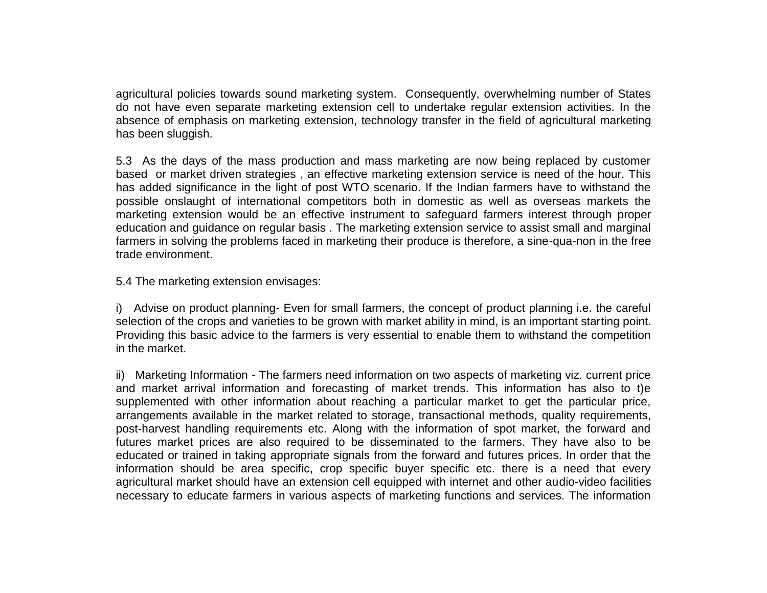agricultural policies towards sound marketing system. Consequently, overwhelming number of States do not have even separate marketing extension cell to undertake regular extension activities. In the absence of emphasis on marketing extension, technology transfer in the field of agricultural marketing has been sluggish.

5.3 As the days of the mass production and mass marketing are now being replaced by customer based or market driven strategies , an effective marketing extension service is need of the hour. This has added significance in the light of post WTO scenario. If the Indian farmers have to withstand the possible onslaught of international competitors both in domestic as well as overseas markets the marketing extension would be an effective instrument to safeguard farmers interest through proper education and guidance on regular basis . The marketing extension service to assist small and marginal farmers in solving the problems faced in marketing their produce is therefore, a sine-qua-non in the free trade environment.

5.4 The marketing extension envisages:

i) Advise on product planning- Even for small farmers, the concept of product planning i.e. the careful selection of the crops and varieties to be grown with market ability in mind, is an important starting point. Providing this basic advice to the farmers is very essential to enable them to withstand the competition in the market.

ii) Marketing Information - The farmers need information on two aspects of marketing viz. current price and market arrival information and forecasting of market trends. This information has also to t)e supplemented with other information about reaching a particular market to get the particular price, arrangements available in the market related to storage, transactional methods, quality requirements, post-harvest handling requirements etc. Along with the information of spot market, the forward and futures market prices are also required to be disseminated to the farmers. They have also to be educated or trained in taking appropriate signals from the forward and futures prices. In order that the information should be area specific, crop specific buyer specific etc. there is a need that every agricultural market should have an extension cell equipped with internet and other audio-video facilities necessary to educate farmers in various aspects of marketing functions and services. The information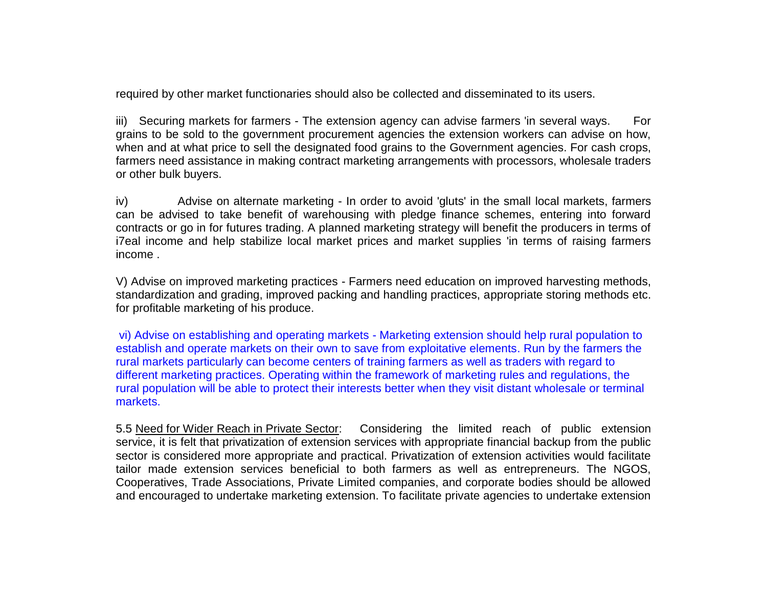required by other market functionaries should also be collected and disseminated to its users.

iii) Securing markets for farmers - The extension agency can advise farmers 'in several ways. For grains to be sold to the government procurement agencies the extension workers can advise on how, when and at what price to sell the designated food grains to the Government agencies. For cash crops, farmers need assistance in making contract marketing arrangements with processors, wholesale traders or other bulk buyers.

iv) Advise on alternate marketing - In order to avoid 'gluts' in the small local markets, farmers can be advised to take benefit of warehousing with pledge finance schemes, entering into forward contracts or go in for futures trading. A planned marketing strategy will benefit the producers in terms of i7eal income and help stabilize local market prices and market supplies 'in terms of raising farmers income .

V) Advise on improved marketing practices - Farmers need education on improved harvesting methods, standardization and grading, improved packing and handling practices, appropriate storing methods etc. for profitable marketing of his produce.

vi) Advise on establishing and operating markets - Marketing extension should help rural population to establish and operate markets on their own to save from exploitative elements. Run by the farmers the rural markets particularly can become centers of training farmers as well as traders with regard to different marketing practices. Operating within the framework of marketing rules and regulations, the rural population will be able to protect their interests better when they visit distant wholesale or terminal markets.

5.5 Need for Wider Reach in Private Sector: Considering the limited reach of public extension service, it is felt that privatization of extension services with appropriate financial backup from the public sector is considered more appropriate and practical. Privatization of extension activities would facilitate tailor made extension services beneficial to both farmers as well as entrepreneurs. The NGOS, Cooperatives, Trade Associations, Private Limited companies, and corporate bodies should be allowed and encouraged to undertake marketing extension. To facilitate private agencies to undertake extension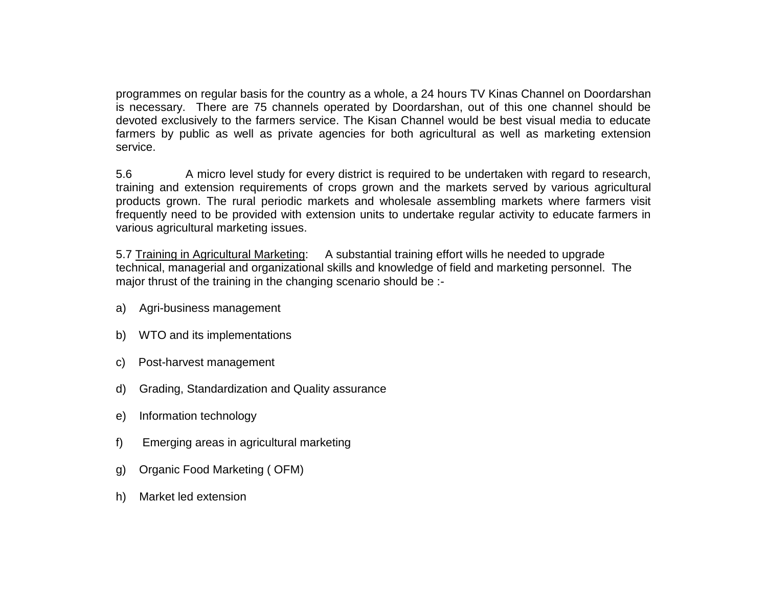programmes on regular basis for the country as a whole, a 24 hours TV Kinas Channel on Doordarshan is necessary. There are 75 channels operated by Doordarshan, out of this one channel should be devoted exclusively to the farmers service. The Kisan Channel would be best visual media to educate farmers by public as well as private agencies for both agricultural as well as marketing extension service.

5.6 A micro level study for every district is required to be undertaken with regard to research, training and extension requirements of crops grown and the markets served by various agricultural products grown. The rural periodic markets and wholesale assembling markets where farmers visit frequently need to be provided with extension units to undertake regular activity to educate farmers in various agricultural marketing issues.

5.7 Training in Agricultural Marketing: A substantial training effort wills he needed to upgrade technical, managerial and organizational skills and knowledge of field and marketing personnel. The major thrust of the training in the changing scenario should be :-

- a) Agri-business management
- b) WTO and its implementations
- c) Post-harvest management
- d) Grading, Standardization and Quality assurance
- e) Information technology
- f) Emerging areas in agricultural marketing
- g) Organic Food Marketing ( OFM)
- h) Market led extension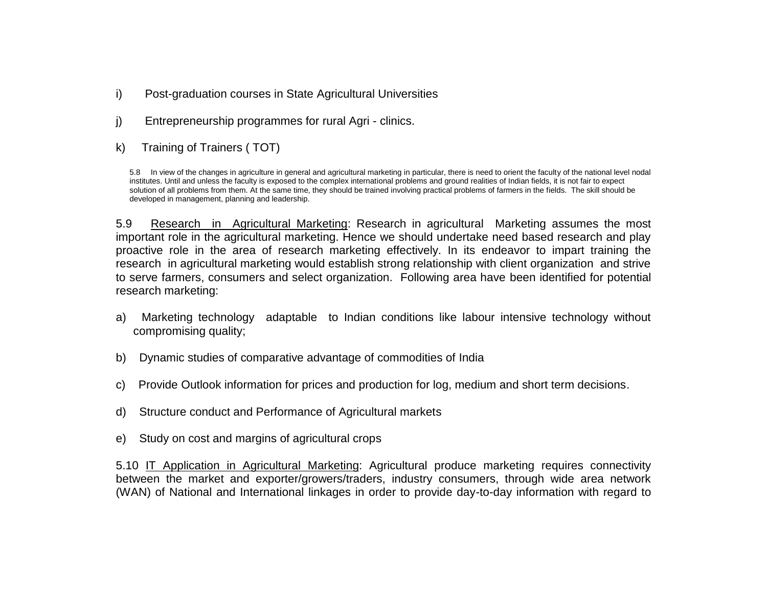- i) Post-graduation courses in State Agricultural Universities
- j) Entrepreneurship programmes for rural Agri clinics.
- k) Training of Trainers ( TOT)

5.8 In view of the changes in agriculture in general and agricultural marketing in particular, there is need to orient the faculty of the national level nodal institutes. Until and unless the faculty is exposed to the complex international problems and ground realities of Indian fields, it is not fair to expect solution of all problems from them. At the same time, they should be trained involving practical problems of farmers in the fields. The skill should be developed in management, planning and leadership.

5.9 Research in Agricultural Marketing: Research in agricultural Marketing assumes the most important role in the agricultural marketing. Hence we should undertake need based research and play proactive role in the area of research marketing effectively. In its endeavor to impart training the research in agricultural marketing would establish strong relationship with client organization and strive to serve farmers, consumers and select organization. Following area have been identified for potential research marketing:

- a) Marketing technology adaptable to Indian conditions like labour intensive technology without compromising quality;
- b) Dynamic studies of comparative advantage of commodities of India
- c) Provide Outlook information for prices and production for log, medium and short term decisions.
- d) Structure conduct and Performance of Agricultural markets
- e) Study on cost and margins of agricultural crops

5.10 IT Application in Agricultural Marketing: Agricultural produce marketing requires connectivity between the market and exporter/growers/traders, industry consumers, through wide area network (WAN) of National and International linkages in order to provide day-to-day information with regard to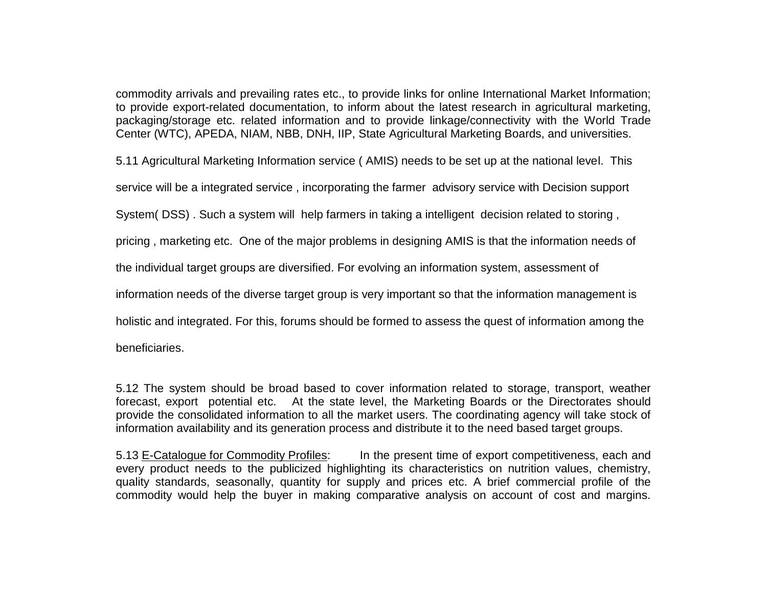commodity arrivals and prevailing rates etc., to provide links for online International Market Information; to provide export-related documentation, to inform about the latest research in agricultural marketing, packaging/storage etc. related information and to provide linkage/connectivity with the World Trade Center (WTC), APEDA, NIAM, NBB, DNH, IIP, State Agricultural Marketing Boards, and universities.

5.11 Agricultural Marketing Information service ( AMIS) needs to be set up at the national level. This

service will be a integrated service , incorporating the farmer advisory service with Decision support

System( DSS) . Such a system will help farmers in taking a intelligent decision related to storing ,

pricing , marketing etc. One of the major problems in designing AMIS is that the information needs of

the individual target groups are diversified. For evolving an information system, assessment of

information needs of the diverse target group is very important so that the information management is

holistic and integrated. For this, forums should be formed to assess the quest of information among the

beneficiaries.

5.12 The system should be broad based to cover information related to storage, transport, weather forecast, export potential etc. At the state level, the Marketing Boards or the Directorates should provide the consolidated information to all the market users. The coordinating agency will take stock of information availability and its generation process and distribute it to the need based target groups.

5.13 E-Catalogue for Commodity Profiles: In the present time of export competitiveness, each and every product needs to the publicized highlighting its characteristics on nutrition values, chemistry, quality standards, seasonally, quantity for supply and prices etc. A brief commercial profile of the commodity would help the buyer in making comparative analysis on account of cost and margins.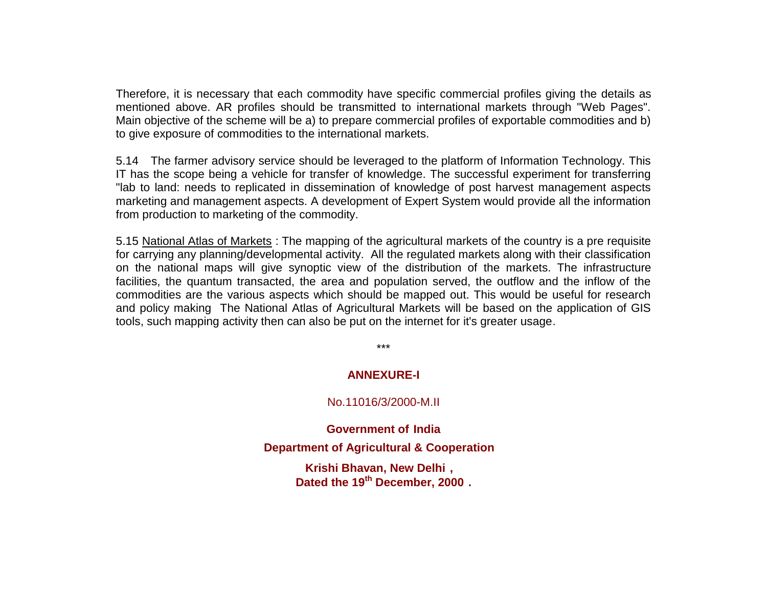Therefore, it is necessary that each commodity have specific commercial profiles giving the details as mentioned above. AR profiles should be transmitted to international markets through "Web Pages". Main objective of the scheme will be a) to prepare commercial profiles of exportable commodities and b) to give exposure of commodities to the international markets.

5.14 The farmer advisory service should be leveraged to the platform of Information Technology. This IT has the scope being a vehicle for transfer of knowledge. The successful experiment for transferring "lab to land: needs to replicated in dissemination of knowledge of post harvest management aspects marketing and management aspects. A development of Expert System would provide all the information from production to marketing of the commodity.

5.15 National Atlas of Markets : The mapping of the agricultural markets of the country is a pre requisite for carrying any planning/developmental activity. All the regulated markets along with their classification on the national maps will give synoptic view of the distribution of the markets. The infrastructure facilities, the quantum transacted, the area and population served, the outflow and the inflow of the commodities are the various aspects which should be mapped out. This would be useful for research and policy making The National Atlas of Agricultural Markets will be based on the application of GIS tools, such mapping activity then can also be put on the internet for it's greater usage.

\*\*\*

## **ANNEXURE-I**

## No.11016/3/2000-M.II

**Government of India Department of Agricultural & Cooperation Krishi Bhavan, New Delhi , Dated the 19th December, 2000 .**